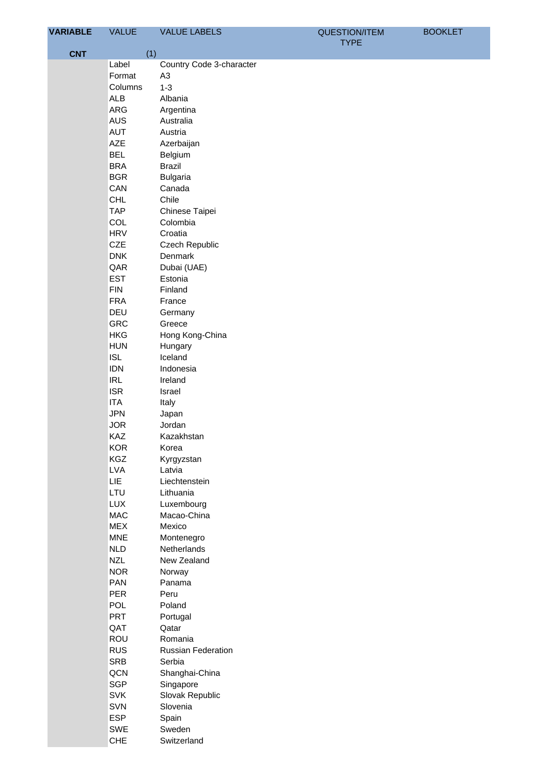| <b>VARIABLE</b> | <b>VALUE</b>             | <b>VALUE LABELS</b>      | <b>QUESTION/ITEM</b> | <b>BOOKLET</b> |
|-----------------|--------------------------|--------------------------|----------------------|----------------|
| <b>CNT</b>      |                          | (1)                      | <b>TYPE</b>          |                |
|                 | Label                    | Country Code 3-character |                      |                |
|                 | Format                   | A <sub>3</sub>           |                      |                |
|                 | Columns                  | $1 - 3$                  |                      |                |
|                 | <b>ALB</b>               | Albania                  |                      |                |
|                 | ARG                      | Argentina                |                      |                |
|                 | AUS                      | Australia                |                      |                |
|                 | <b>AUT</b>               | Austria                  |                      |                |
|                 | AZE                      | Azerbaijan               |                      |                |
|                 | <b>BEL</b>               | Belgium                  |                      |                |
|                 | <b>BRA</b>               | <b>Brazil</b>            |                      |                |
|                 | <b>BGR</b>               | <b>Bulgaria</b>          |                      |                |
|                 | CAN                      | Canada                   |                      |                |
|                 |                          | Chile                    |                      |                |
|                 | <b>CHL</b><br><b>TAP</b> |                          |                      |                |
|                 |                          | Chinese Taipei           |                      |                |
|                 | COL                      | Colombia                 |                      |                |
|                 | <b>HRV</b>               | Croatia                  |                      |                |
|                 | CZE                      | Czech Republic           |                      |                |
|                 | <b>DNK</b>               | Denmark                  |                      |                |
|                 | QAR                      | Dubai (UAE)              |                      |                |
|                 | <b>EST</b>               | Estonia                  |                      |                |
|                 | <b>FIN</b>               | Finland                  |                      |                |
|                 | <b>FRA</b>               | France                   |                      |                |
|                 | DEU                      | Germany                  |                      |                |
|                 | <b>GRC</b>               | Greece                   |                      |                |
|                 | <b>HKG</b>               | Hong Kong-China          |                      |                |
|                 | <b>HUN</b>               | Hungary                  |                      |                |
|                 | <b>ISL</b>               | Iceland                  |                      |                |
|                 | <b>IDN</b>               | Indonesia                |                      |                |
|                 | <b>IRL</b>               | Ireland                  |                      |                |
|                 | <b>ISR</b>               | Israel                   |                      |                |
|                 | <b>ITA</b>               | Italy                    |                      |                |
|                 | <b>JPN</b>               | Japan                    |                      |                |
|                 | <b>JOR</b>               | Jordan                   |                      |                |
|                 | KAZ                      | Kazakhstan               |                      |                |
|                 | <b>KOR</b>               | Korea                    |                      |                |
|                 | KGZ                      | Kyrgyzstan               |                      |                |
|                 | <b>LVA</b>               | Latvia                   |                      |                |
|                 | LIE                      | Liechtenstein            |                      |                |
|                 | LTU                      | Lithuania                |                      |                |
|                 | <b>LUX</b>               | Luxembourg               |                      |                |
|                 | <b>MAC</b>               | Macao-China              |                      |                |
|                 | <b>MEX</b>               | Mexico                   |                      |                |
|                 | <b>MNE</b>               | Montenegro               |                      |                |
|                 | <b>NLD</b>               | Netherlands              |                      |                |
|                 | <b>NZL</b>               | New Zealand              |                      |                |
|                 | <b>NOR</b>               | Norway                   |                      |                |
|                 | <b>PAN</b>               | Panama                   |                      |                |
|                 | <b>PER</b>               | Peru                     |                      |                |
|                 | <b>POL</b>               | Poland                   |                      |                |
|                 | <b>PRT</b>               | Portugal                 |                      |                |
|                 | QAT                      | Qatar                    |                      |                |
|                 | ROU                      | Romania                  |                      |                |
|                 | <b>RUS</b>               | Russian Federation       |                      |                |
|                 | SRB                      | Serbia                   |                      |                |
|                 | QCN                      | Shanghai-China           |                      |                |
|                 | <b>SGP</b>               | Singapore                |                      |                |
|                 | SVK                      | Slovak Republic          |                      |                |
|                 | SVN                      | Slovenia                 |                      |                |
|                 | <b>ESP</b>               | Spain                    |                      |                |
|                 | SWE                      | Sweden                   |                      |                |
|                 | CHE                      | Switzerland              |                      |                |
|                 |                          |                          |                      |                |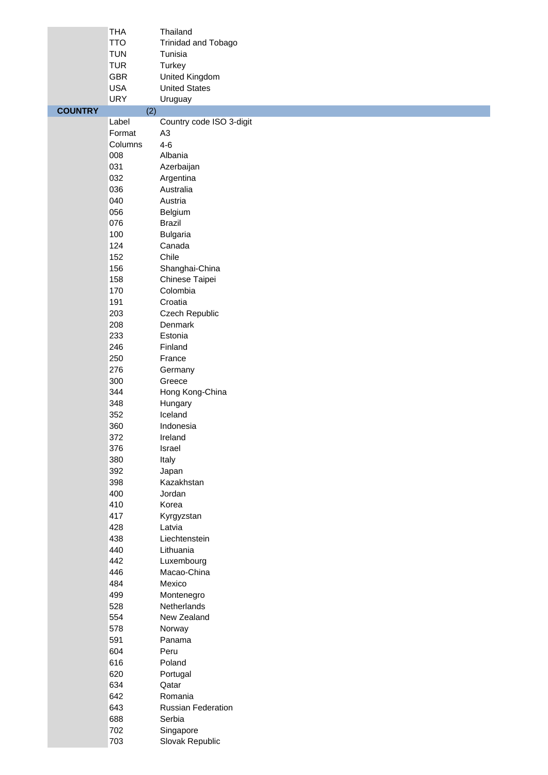|                | <b>THA</b> | Thailand                  |
|----------------|------------|---------------------------|
|                | <b>TTO</b> | Trinidad and Tobago       |
|                | <b>TUN</b> | Tunisia                   |
|                | <b>TUR</b> | Turkey                    |
|                | <b>GBR</b> | United Kingdom            |
|                | <b>USA</b> | <b>United States</b>      |
|                | <b>URY</b> | Uruguay                   |
| <b>COUNTRY</b> | (2)        |                           |
|                | Label      | Country code ISO 3-digit  |
|                | Format     | A <sub>3</sub>            |
|                | Columns    | $4 - 6$                   |
|                | 008        | Albania                   |
|                | 031        | Azerbaijan                |
|                | 032        | Argentina                 |
|                | 036        | Australia                 |
|                | 040        | Austria                   |
|                | 056        | Belgium                   |
|                | 076        | <b>Brazil</b>             |
|                | 100        | <b>Bulgaria</b>           |
|                | 124        | Canada                    |
|                | 152        | Chile                     |
|                | 156        | Shanghai-China            |
|                | 158        | Chinese Taipei            |
|                | 170        | Colombia                  |
|                | 191        | Croatia                   |
|                | 203        | Czech Republic            |
|                | 208        | Denmark                   |
|                | 233        | Estonia                   |
|                | 246        | Finland                   |
|                | 250        | France                    |
|                | 276        | Germany                   |
|                | 300        | Greece                    |
|                | 344        | Hong Kong-China           |
|                | 348        | Hungary                   |
|                | 352        | Iceland                   |
|                | 360        | Indonesia                 |
|                | 372        | Ireland                   |
|                | 376        | Israel                    |
|                | 380        | Italy                     |
|                | 392        | Japan                     |
|                | 398        | Kazakhstan                |
|                | 400        | Jordan                    |
|                | 410        | Korea                     |
|                | 417        | Kyrgyzstan                |
|                | 428        | Latvia                    |
|                | 438        | Liechtenstein             |
|                | 440        | Lithuania                 |
|                | 442        | Luxembourg                |
|                | 446        | Macao-China               |
|                | 484        | Mexico                    |
|                | 499<br>528 | Montenegro<br>Netherlands |
|                | 554        | New Zealand               |
|                | 578        | Norway                    |
|                | 591        | Panama                    |
|                | 604        | Peru                      |
|                | 616        | Poland                    |
|                | 620        | Portugal                  |
|                | 634        | Qatar                     |
|                | 642        | Romania                   |
|                | 643        | Russian Federation        |
|                | 688        | Serbia                    |
|                | 702        | Singapore                 |
|                | 703        | Slovak Republic           |
|                |            |                           |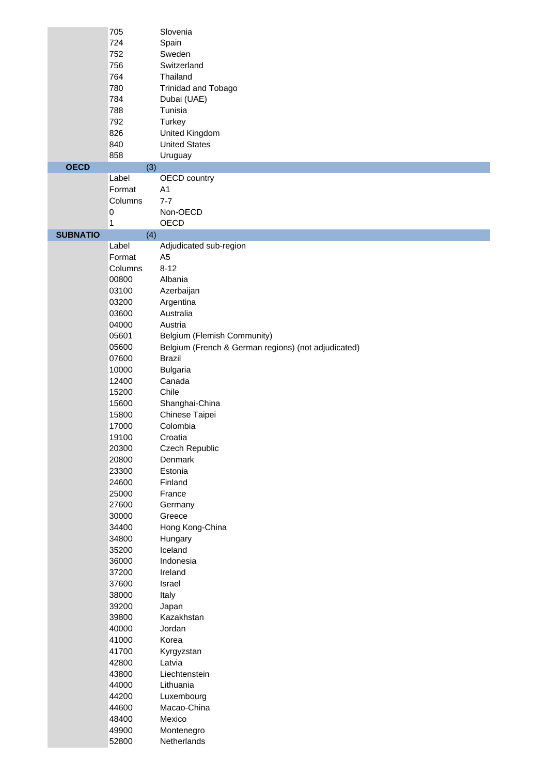|                 | 705<br>724<br>752<br>756<br>764<br>780<br>784 | Slovenia<br>Spain<br>Sweden<br>Switzerland<br>Thailand<br><b>Trinidad and Tobago</b><br>Dubai (UAE) |
|-----------------|-----------------------------------------------|-----------------------------------------------------------------------------------------------------|
|                 | 788<br>792<br>826                             | Tunisia<br>Turkey<br>United Kingdom                                                                 |
|                 | 840                                           | <b>United States</b>                                                                                |
|                 | 858                                           | Uruguay                                                                                             |
| <b>OECD</b>     | (3)                                           |                                                                                                     |
|                 | Label<br>Format                               | <b>OECD</b> country<br>A1                                                                           |
|                 | Columns                                       | $7 - 7$                                                                                             |
|                 | $\pmb{0}$                                     | Non-OECD                                                                                            |
|                 | $\mathbf{1}$                                  | OECD                                                                                                |
| <b>SUBNATIO</b> | (4)                                           |                                                                                                     |
|                 | Label<br>Format                               | Adjudicated sub-region<br>A <sub>5</sub>                                                            |
|                 | Columns                                       | $8 - 12$                                                                                            |
|                 | 00800                                         | Albania                                                                                             |
|                 | 03100                                         | Azerbaijan                                                                                          |
|                 | 03200                                         | Argentina                                                                                           |
|                 | 03600                                         | Australia                                                                                           |
|                 | 04000<br>05601                                | Austria                                                                                             |
|                 | 05600                                         | Belgium (Flemish Community)<br>Belgium (French & German regions) (not adjudicated)                  |
|                 | 07600                                         | <b>Brazil</b>                                                                                       |
|                 | 10000                                         | <b>Bulgaria</b>                                                                                     |
|                 | 12400                                         | Canada                                                                                              |
|                 | 15200                                         | Chile                                                                                               |
|                 | 15600                                         | Shanghai-China                                                                                      |
|                 | 15800<br>17000                                | Chinese Taipei<br>Colombia                                                                          |
|                 | 19100                                         | Croatia                                                                                             |
|                 | 20300                                         | Czech Republic                                                                                      |
|                 | 20800                                         | Denmark                                                                                             |
|                 | 23300                                         | Estonia                                                                                             |
|                 | 24600                                         | Finland                                                                                             |
|                 | 25000                                         | France                                                                                              |
|                 | 27600<br>30000                                | Germany<br>Greece                                                                                   |
|                 | 34400                                         | Hong Kong-China                                                                                     |
|                 | 34800                                         | Hungary                                                                                             |
|                 | 35200                                         | Iceland                                                                                             |
|                 | 36000                                         | Indonesia                                                                                           |
|                 | 37200                                         | Ireland                                                                                             |
|                 | 37600<br>38000                                | Israel<br>Italy                                                                                     |
|                 | 39200                                         | Japan                                                                                               |
|                 | 39800                                         | Kazakhstan                                                                                          |
|                 | 40000                                         | Jordan                                                                                              |
|                 | 41000                                         | Korea                                                                                               |
|                 | 41700                                         | Kyrgyzstan                                                                                          |
|                 | 42800                                         | Latvia                                                                                              |
|                 | 43800<br>44000                                | Liechtenstein<br>Lithuania                                                                          |
|                 | 44200                                         | Luxembourg                                                                                          |
|                 | 44600                                         | Macao-China                                                                                         |
|                 | 48400                                         | Mexico                                                                                              |
|                 | 49900                                         | Montenegro                                                                                          |
|                 | 52800                                         | Netherlands                                                                                         |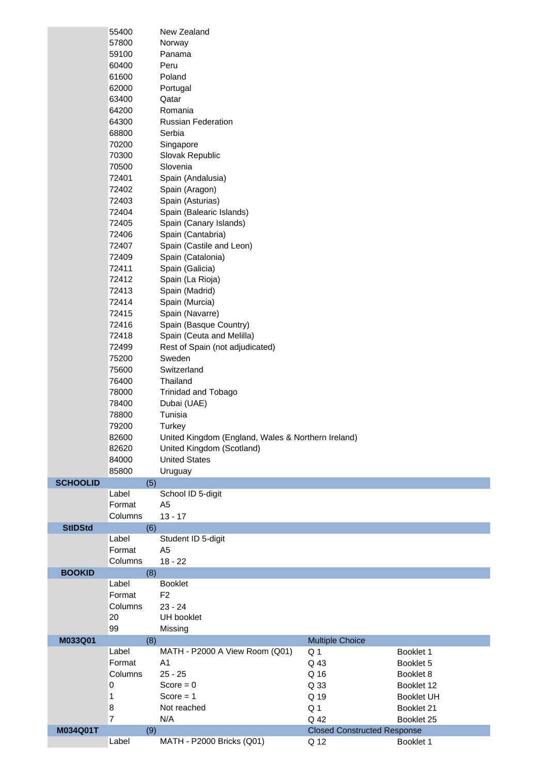|                 | 55400          | New Zealand                                        |                                    |                   |
|-----------------|----------------|----------------------------------------------------|------------------------------------|-------------------|
|                 | 57800          | Norway                                             |                                    |                   |
|                 | 59100          | Panama                                             |                                    |                   |
|                 | 60400          | Peru                                               |                                    |                   |
|                 | 61600          | Poland                                             |                                    |                   |
|                 | 62000          | Portugal                                           |                                    |                   |
|                 | 63400          | Qatar                                              |                                    |                   |
|                 | 64200          | Romania                                            |                                    |                   |
|                 | 64300          | <b>Russian Federation</b>                          |                                    |                   |
|                 | 68800          | Serbia                                             |                                    |                   |
|                 | 70200          | Singapore                                          |                                    |                   |
|                 | 70300          | Slovak Republic                                    |                                    |                   |
|                 | 70500          | Slovenia                                           |                                    |                   |
|                 | 72401          | Spain (Andalusia)                                  |                                    |                   |
|                 | 72402          | Spain (Aragon)                                     |                                    |                   |
|                 | 72403          | Spain (Asturias)                                   |                                    |                   |
|                 | 72404          | Spain (Balearic Islands)                           |                                    |                   |
|                 | 72405          | Spain (Canary Islands)                             |                                    |                   |
|                 | 72406          | Spain (Cantabria)                                  |                                    |                   |
|                 | 72407          | Spain (Castile and Leon)                           |                                    |                   |
|                 | 72409          | Spain (Catalonia)                                  |                                    |                   |
|                 | 72411          | Spain (Galicia)                                    |                                    |                   |
|                 | 72412          |                                                    |                                    |                   |
|                 | 72413          | Spain (La Rioja)<br>Spain (Madrid)                 |                                    |                   |
|                 |                |                                                    |                                    |                   |
|                 | 72414          | Spain (Murcia)                                     |                                    |                   |
|                 | 72415          | Spain (Navarre)                                    |                                    |                   |
|                 | 72416          | Spain (Basque Country)                             |                                    |                   |
|                 | 72418          | Spain (Ceuta and Melilla)                          |                                    |                   |
|                 | 72499          | Rest of Spain (not adjudicated)                    |                                    |                   |
|                 | 75200          | Sweden                                             |                                    |                   |
|                 | 75600          | Switzerland                                        |                                    |                   |
|                 | 76400          | Thailand                                           |                                    |                   |
|                 | 78000          | Trinidad and Tobago                                |                                    |                   |
|                 | 78400          | Dubai (UAE)                                        |                                    |                   |
|                 | 78800          | Tunisia                                            |                                    |                   |
|                 | 79200          | Turkey                                             |                                    |                   |
|                 | 82600          | United Kingdom (England, Wales & Northern Ireland) |                                    |                   |
|                 | 82620          | United Kingdom (Scotland)                          |                                    |                   |
|                 | 84000          | <b>United States</b>                               |                                    |                   |
|                 |                | Uruguay                                            |                                    |                   |
|                 | 85800          |                                                    |                                    |                   |
| <b>SCHOOLID</b> | (5)            |                                                    |                                    |                   |
|                 | Label          | School ID 5-digit                                  |                                    |                   |
|                 | Format         | A <sub>5</sub>                                     |                                    |                   |
|                 | Columns        | $13 - 17$                                          |                                    |                   |
| <b>StIDStd</b>  | (6)            |                                                    |                                    |                   |
|                 | Label          | Student ID 5-digit                                 |                                    |                   |
|                 | Format         | A <sub>5</sub>                                     |                                    |                   |
|                 | Columns        | $18 - 22$                                          |                                    |                   |
| <b>BOOKID</b>   | (8)            |                                                    |                                    |                   |
|                 | Label          | <b>Booklet</b>                                     |                                    |                   |
|                 | Format         | F <sub>2</sub>                                     |                                    |                   |
|                 | Columns        | $23 - 24$                                          |                                    |                   |
|                 | 20             | UH booklet                                         |                                    |                   |
|                 | 99             | Missing                                            |                                    |                   |
| M033Q01         | (8)            |                                                    | <b>Multiple Choice</b>             |                   |
|                 | Label          | MATH - P2000 A View Room (Q01)                     | Q <sub>1</sub>                     | Booklet 1         |
|                 | Format         | A <sub>1</sub>                                     | Q 43                               | Booklet 5         |
|                 | Columns        | $25 - 25$                                          | Q 16                               | Booklet 8         |
|                 | 0              | Score = $0$                                        | Q 33                               | Booklet 12        |
|                 | $\mathbf{1}$   | $Score = 1$                                        | Q 19                               | <b>Booklet UH</b> |
|                 | 8              | Not reached                                        | Q <sub>1</sub>                     | Booklet 21        |
|                 | $\overline{7}$ | N/A                                                | Q 42                               | Booklet 25        |
| M034Q01T        | (9)            |                                                    | <b>Closed Constructed Response</b> |                   |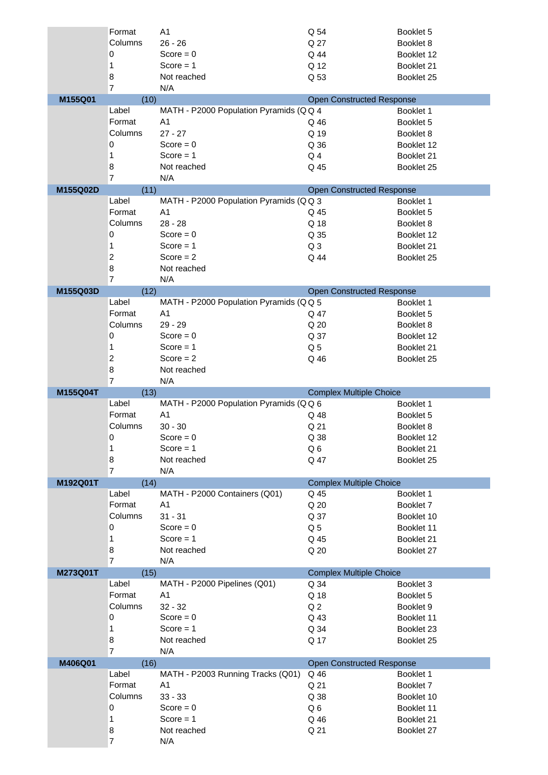|          | Format              | A <sub>1</sub>                         | Q 54                             | Booklet 5  |
|----------|---------------------|----------------------------------------|----------------------------------|------------|
|          | Columns             | $26 - 26$                              | Q 27                             | Booklet 8  |
|          | 0                   | Score = $0$                            | Q 44                             | Booklet 12 |
|          | 1                   | $Score = 1$                            | Q 12                             | Booklet 21 |
|          | 8                   | Not reached                            | Q 53                             | Booklet 25 |
|          | $\overline{7}$      | N/A                                    |                                  |            |
| M155Q01  | (10)                |                                        | <b>Open Constructed Response</b> |            |
|          | Label               | MATH - P2000 Population Pyramids (QQ 4 |                                  | Booklet 1  |
|          | Format              | A1                                     | Q 46                             | Booklet 5  |
|          | Columns             | $27 - 27$                              | Q 19                             | Booklet 8  |
|          | 0                   | Score = $0$                            | Q 36                             | Booklet 12 |
|          | 1                   | $Score = 1$                            | Q <sub>4</sub>                   | Booklet 21 |
|          | 8                   | Not reached                            | Q 45                             | Booklet 25 |
|          | $\overline{7}$      | N/A                                    |                                  |            |
| M155Q02D | (11)                |                                        | <b>Open Constructed Response</b> |            |
|          | Label               | MATH - P2000 Population Pyramids (QQ 3 |                                  | Booklet 1  |
|          | Format              | A <sub>1</sub>                         | Q 45                             | Booklet 5  |
|          | Columns             | $28 - 28$                              | Q 18                             | Booklet 8  |
|          | 0                   | Score = $0$                            | Q 35                             | Booklet 12 |
|          | 1                   | Score $= 1$                            | Q <sub>3</sub>                   | Booklet 21 |
|          | $\overline{c}$      | Score $= 2$                            | Q 44                             | Booklet 25 |
|          | 8<br>$\overline{7}$ | Not reached                            |                                  |            |
|          |                     | N/A                                    | <b>Open Constructed Response</b> |            |
| M155Q03D | (12)<br>Label       | MATH - P2000 Population Pyramids (QQ 5 |                                  | Booklet 1  |
|          | Format              | A <sub>1</sub>                         | Q 47                             | Booklet 5  |
|          | Columns             | 29 - 29                                | Q 20                             | Booklet 8  |
|          | 0                   | $Score = 0$                            | Q 37                             | Booklet 12 |
|          | 1                   | Score $= 1$                            | Q <sub>5</sub>                   | Booklet 21 |
|          | $\overline{c}$      | Score $= 2$                            | Q 46                             | Booklet 25 |
|          | 8                   | Not reached                            |                                  |            |
|          | $\overline{7}$      | N/A                                    |                                  |            |
|          |                     |                                        |                                  |            |
|          |                     |                                        |                                  |            |
| M155Q04T | (13)<br>Label       | MATH - P2000 Population Pyramids (QQ 6 | <b>Complex Multiple Choice</b>   | Booklet 1  |
|          | Format              | A <sub>1</sub>                         | Q 48                             | Booklet 5  |
|          | Columns             | $30 - 30$                              | Q 21                             | Booklet 8  |
|          | 0                   | $Score = 0$                            | Q 38                             | Booklet 12 |
|          | $\mathbf{1}$        | $Score = 1$                            | Q 6                              | Booklet 21 |
|          | 8                   | Not reached                            | Q 47                             | Booklet 25 |
|          | $\overline{7}$      | N/A                                    |                                  |            |
| M192Q01T | (14)                |                                        | <b>Complex Multiple Choice</b>   |            |
|          | Label               | MATH - P2000 Containers (Q01)          | Q 45                             | Booklet 1  |
|          | Format              | A <sub>1</sub>                         | Q 20                             | Booklet 7  |
|          | Columns             | $31 - 31$                              | Q 37                             | Booklet 10 |
|          | 0                   | Score = $0$                            | Q <sub>5</sub>                   | Booklet 11 |
|          | 1                   | Score $= 1$                            | Q 45                             | Booklet 21 |
|          | 8                   | Not reached                            | Q 20                             | Booklet 27 |
|          | $\overline{7}$      | N/A                                    |                                  |            |
| M273Q01T | (15)                |                                        | <b>Complex Multiple Choice</b>   |            |
|          | Label               | MATH - P2000 Pipelines (Q01)           | Q 34                             | Booklet 3  |
|          | Format              | A <sub>1</sub>                         | Q 18                             | Booklet 5  |
|          | Columns             | $32 - 32$                              | Q <sub>2</sub>                   | Booklet 9  |
|          | 0                   | Score = $0$                            | Q 43                             | Booklet 11 |
|          | 1                   | Score $= 1$                            | Q 34                             | Booklet 23 |
|          | 8                   | Not reached                            | Q 17                             | Booklet 25 |
|          | $\overline{7}$      | N/A                                    |                                  |            |
| M406Q01  | (16)                |                                        | <b>Open Constructed Response</b> |            |
|          | Label               | MATH - P2003 Running Tracks (Q01)      | Q 46                             | Booklet 1  |
|          | Format              | A <sub>1</sub>                         | Q 21                             | Booklet 7  |
|          | Columns             | $33 - 33$                              | Q 38                             | Booklet 10 |
|          | 0                   | $Score = 0$                            | Q <sub>6</sub>                   | Booklet 11 |
|          | 1                   | Score $= 1$                            | Q 46                             | Booklet 21 |
|          | 8<br>$\overline{7}$ | Not reached<br>N/A                     | Q 21                             | Booklet 27 |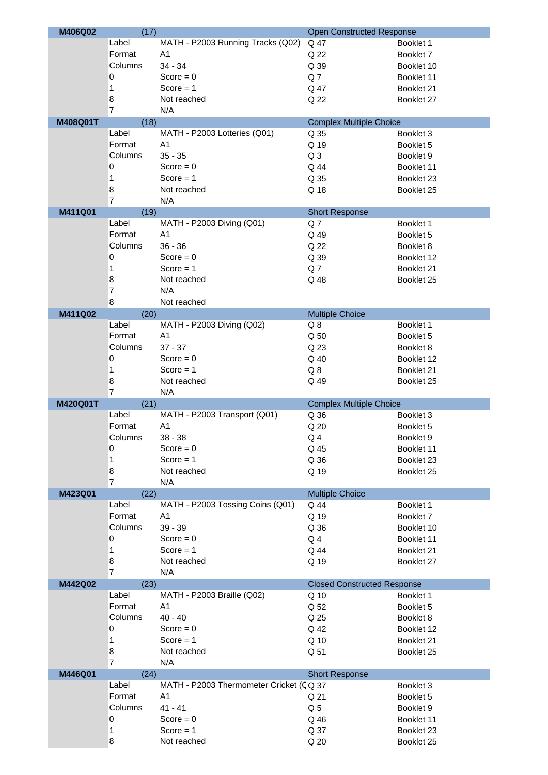| M406Q02  | (17)            |                                         | <b>Open Constructed Response</b>         |                          |
|----------|-----------------|-----------------------------------------|------------------------------------------|--------------------------|
|          | Label           | MATH - P2003 Running Tracks (Q02)       | Q 47                                     | Booklet 1                |
|          | Format          | A1                                      | Q 22                                     | Booklet 7                |
|          | Columns         | $34 - 34$                               | Q 39                                     | Booklet 10               |
|          | 0               | Score = $0$                             | Q7                                       | Booklet 11               |
|          | 1               | $Score = 1$                             | Q 47                                     | Booklet 21               |
|          | 8               | Not reached                             | Q 22                                     | Booklet 27               |
|          | 7               | N/A                                     |                                          |                          |
| M408Q01T | (18)            |                                         | <b>Complex Multiple Choice</b>           |                          |
|          | Label           | MATH - P2003 Lotteries (Q01)            | Q 35                                     | Booklet 3                |
|          | Format          | A <sub>1</sub>                          | Q 19                                     | Booklet 5                |
|          | Columns         | $35 - 35$                               | Q <sub>3</sub>                           | Booklet 9                |
|          | 0               | $Score = 0$                             | Q 44                                     | Booklet 11               |
|          | 1               | Score $= 1$                             | Q 35                                     | Booklet 23               |
|          | 8               | Not reached                             | Q 18                                     | Booklet 25               |
|          | 7               | N/A                                     |                                          |                          |
| M411Q01  | (19)            |                                         | <b>Short Response</b>                    |                          |
|          | Label           | MATH - P2003 Diving (Q01)               | Q7                                       | Booklet 1                |
|          | Format          | A <sub>1</sub>                          | Q 49                                     | Booklet 5                |
|          | Columns         | $36 - 36$                               | Q 22                                     | Booklet 8                |
|          | 0               | Score = $0$                             | Q 39                                     | Booklet 12               |
|          | 1               | Score $= 1$                             | Q <sub>7</sub>                           | Booklet 21               |
|          | 8               | Not reached                             | Q 48                                     | Booklet 25               |
|          | 7               | N/A                                     |                                          |                          |
|          | $\bf 8$         | Not reached                             |                                          |                          |
| M411Q02  | (20)<br>Label   | MATH - P2003 Diving (Q02)               | <b>Multiple Choice</b><br>Q <sub>8</sub> |                          |
|          | Format          | A <sub>1</sub>                          | Q 50                                     | Booklet 1<br>Booklet 5   |
|          | Columns         | $37 - 37$                               | Q 23                                     | Booklet 8                |
|          | 0               | $Score = 0$                             | Q 40                                     | Booklet 12               |
|          | 1               | $Score = 1$                             | $Q_8$                                    | Booklet 21               |
|          | 8               | Not reached                             | Q 49                                     | Booklet 25               |
|          | 7               | N/A                                     |                                          |                          |
| M420Q01T | (21)            |                                         | <b>Complex Multiple Choice</b>           |                          |
|          | Label           | MATH - P2003 Transport (Q01)            | Q 36                                     | Booklet 3                |
|          | Format          | A <sub>1</sub>                          | Q 20                                     | Booklet 5                |
|          | Columns         | $38 - 38$                               | Q <sub>4</sub>                           | Booklet 9                |
|          | 0               | $Score = 0$                             | Q 45                                     | Booklet 11               |
|          | 1               | Score $= 1$                             | Q 36                                     | Booklet 23               |
|          | 8               | Not reached                             | Q 19                                     | Booklet 25               |
|          | 7               | N/A                                     |                                          |                          |
| M423Q01  | (22)            |                                         | <b>Multiple Choice</b>                   |                          |
|          | Label           | MATH - P2003 Tossing Coins (Q01)        | Q 44                                     | Booklet 1                |
|          | Format          | A1                                      | Q 19                                     | Booklet 7                |
|          | Columns         | $39 - 39$                               | Q 36                                     | Booklet 10               |
|          | 0               | Score = $0$                             | Q <sub>4</sub>                           | Booklet 11               |
|          | 1               | Score $= 1$                             | Q 44                                     | Booklet 21               |
|          | 8               | Not reached                             | Q 19                                     | Booklet 27               |
|          | $\overline{7}$  | N/A                                     |                                          |                          |
| M442Q02  | (23)            |                                         | <b>Closed Constructed Response</b>       |                          |
|          | Label<br>Format | MATH - P2003 Braille (Q02)<br>A1        | Q 10<br>Q 52                             | Booklet 1                |
|          | Columns         | $40 - 40$                               | Q 25                                     | Booklet 5                |
|          | 0               | Score = $0$                             | Q 42                                     | Booklet 8<br>Booklet 12  |
|          |                 | Score $= 1$                             |                                          |                          |
|          | 1<br>8          | Not reached                             | Q 10<br>Q 51                             | Booklet 21<br>Booklet 25 |
|          | 7               | N/A                                     |                                          |                          |
| M446Q01  | (24)            |                                         | <b>Short Response</b>                    |                          |
|          | Label           | MATH - P2003 Thermometer Cricket (CQ 37 |                                          | Booklet 3                |
|          | Format          | A <sub>1</sub>                          | Q 21                                     | Booklet 5                |
|          | Columns         | $41 - 41$                               | Q <sub>5</sub>                           | Booklet 9                |
|          | 0               | Score = $0$                             | Q 46                                     | Booklet 11               |
|          | 1               | Score $= 1$                             | Q 37                                     | Booklet 23               |
|          | 8               | Not reached                             | Q 20                                     | Booklet 25               |
|          |                 |                                         |                                          |                          |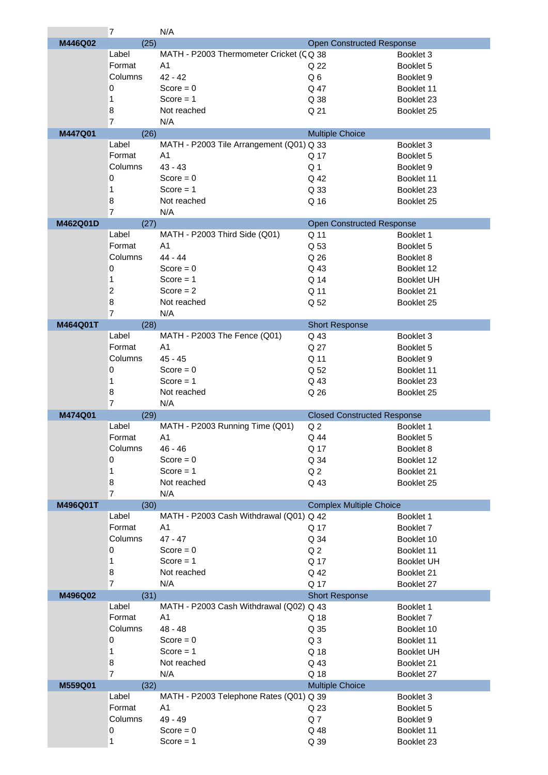|          | $\overline{7}$ | N/A                                      |                                    |                   |
|----------|----------------|------------------------------------------|------------------------------------|-------------------|
| M446Q02  | (25)           |                                          | <b>Open Constructed Response</b>   |                   |
|          | Label          | MATH - P2003 Thermometer Cricket (CQ 38  |                                    | Booklet 3         |
|          | Format         | A <sub>1</sub>                           | Q 22                               | Booklet 5         |
|          |                |                                          |                                    |                   |
|          | Columns        | $42 - 42$                                | Q6                                 | Booklet 9         |
|          | 0              | Score = $0$                              | Q 47                               | Booklet 11        |
|          | 1              | $Score = 1$                              | Q 38                               | Booklet 23        |
|          | 8              | Not reached                              | Q 21                               | Booklet 25        |
|          | $\overline{7}$ | N/A                                      |                                    |                   |
| M447Q01  | (26)           |                                          | <b>Multiple Choice</b>             |                   |
|          | Label          | MATH - P2003 Tile Arrangement (Q01) Q 33 |                                    | Booklet 3         |
|          |                |                                          |                                    |                   |
|          | Format         | A <sub>1</sub>                           | Q 17                               | Booklet 5         |
|          | Columns        | $43 - 43$                                | Q <sub>1</sub>                     | Booklet 9         |
|          | 0              | Score = $0$                              | Q 42                               | Booklet 11        |
|          | 1              | Score $= 1$                              | Q 33                               | Booklet 23        |
|          | 8              | Not reached                              | Q 16                               | Booklet 25        |
|          | $\overline{7}$ | N/A                                      |                                    |                   |
| M462Q01D | (27)           |                                          | <b>Open Constructed Response</b>   |                   |
|          | Label          | MATH - P2003 Third Side (Q01)            |                                    |                   |
|          |                |                                          | Q 11                               | Booklet 1         |
|          | Format         | A <sub>1</sub>                           | Q 53                               | Booklet 5         |
|          | Columns        | 44 - 44                                  | Q 26                               | Booklet 8         |
|          | 0              | Score = $0$                              | Q 43                               | Booklet 12        |
|          | 1              | Score $= 1$                              | Q 14                               | <b>Booklet UH</b> |
|          | $\overline{c}$ | Score $= 2$                              | Q 11                               | Booklet 21        |
|          | 8              | Not reached                              | Q 52                               | Booklet 25        |
|          |                |                                          |                                    |                   |
|          | $\overline{7}$ | N/A                                      |                                    |                   |
| M464Q01T | (28)           |                                          | <b>Short Response</b>              |                   |
|          | Label          | MATH - P2003 The Fence (Q01)             | Q 43                               | Booklet 3         |
|          | Format         | A <sub>1</sub>                           | Q 27                               | Booklet 5         |
|          | Columns        | $45 - 45$                                | Q 11                               | Booklet 9         |
|          | 0              | Score = $0$                              | Q 52                               | Booklet 11        |
|          | 1              | $Score = 1$                              | Q 43                               | Booklet 23        |
|          |                |                                          |                                    |                   |
|          | 8              | Not reached                              | Q 26                               | Booklet 25        |
|          | $\overline{7}$ | N/A                                      |                                    |                   |
| M474Q01  | (29)           |                                          | <b>Closed Constructed Response</b> |                   |
|          | Label          | MATH - P2003 Running Time (Q01)          | Q <sub>2</sub>                     | Booklet 1         |
|          | Format         | A <sub>1</sub>                           | Q 44                               | Booklet 5         |
|          | Columns        | $46 - 46$                                | Q 17                               | Booklet 8         |
|          | 0              | Score = $0$                              | Q 34                               | Booklet 12        |
|          | 1              | Score $= 1$                              | Q <sub>2</sub>                     | Booklet 21        |
|          |                |                                          |                                    |                   |
|          | 8              | Not reached                              | Q 43                               | Booklet 25        |
|          | $\overline{7}$ | N/A                                      |                                    |                   |
| M496Q01T | (30)           |                                          | <b>Complex Multiple Choice</b>     |                   |
|          | Label          | MATH - P2003 Cash Withdrawal (Q01) Q 42  |                                    | Booklet 1         |
|          | Format         | A <sub>1</sub>                           | Q 17                               | Booklet 7         |
|          | Columns        | $47 - 47$                                | Q 34                               | Booklet 10        |
|          | 0              | Score = $0$                              | Q <sub>2</sub>                     | Booklet 11        |
|          | 1              | Score $= 1$                              | Q 17                               | <b>Booklet UH</b> |
|          |                |                                          |                                    |                   |
|          | 8              | Not reached                              | Q 42                               | Booklet 21        |
|          | $\overline{7}$ | N/A                                      | Q 17                               | Booklet 27        |
| M496Q02  | (31)           |                                          | <b>Short Response</b>              |                   |
|          | Label          | MATH - P2003 Cash Withdrawal (Q02) Q 43  |                                    | Booklet 1         |
|          | Format         | A <sub>1</sub>                           | Q 18                               | Booklet 7         |
|          | Columns        | $48 - 48$                                | Q 35                               | Booklet 10        |
|          | 0              | Score = $0$                              | Q <sub>3</sub>                     | Booklet 11        |
|          | 1              | Score $= 1$                              | Q 18                               | <b>Booklet UH</b> |
|          |                |                                          |                                    |                   |
|          | 8              | Not reached                              | Q 43                               | Booklet 21        |
|          | $\overline{7}$ | N/A                                      | Q 18                               | Booklet 27        |
| M559Q01  | (32)           |                                          | <b>Multiple Choice</b>             |                   |
|          | Label          | MATH - P2003 Telephone Rates (Q01) Q 39  |                                    | Booklet 3         |
|          | Format         | A <sub>1</sub>                           | Q 23                               | Booklet 5         |
|          | Columns        | 49 - 49                                  | Q7                                 | Booklet 9         |
|          | 0              | Score = $0$                              | Q 48                               | Booklet 11        |
|          | 1              | Score $= 1$                              |                                    |                   |
|          |                |                                          | Q 39                               | Booklet 23        |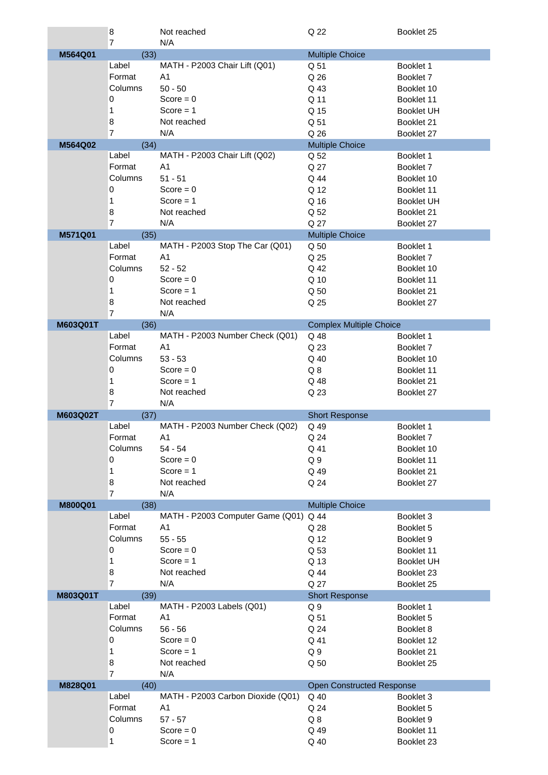|          | 8              | Not reached                           | Q 22                             | Booklet 25        |
|----------|----------------|---------------------------------------|----------------------------------|-------------------|
|          | 7              | N/A                                   |                                  |                   |
| M564Q01  | (33)           |                                       | <b>Multiple Choice</b>           |                   |
|          | Label          | MATH - P2003 Chair Lift (Q01)         | Q 51                             | Booklet 1         |
|          | Format         | A <sub>1</sub>                        | Q 26                             | Booklet 7         |
|          | Columns        | $50 - 50$                             | Q 43                             | Booklet 10        |
|          | 0              | Score = $0$                           | Q 11                             | Booklet 11        |
|          | 1              | Score $= 1$                           | Q 15                             | <b>Booklet UH</b> |
|          | 8              | Not reached                           | Q 51                             | Booklet 21        |
|          | $\overline{7}$ | N/A                                   | Q 26                             | Booklet 27        |
| M564Q02  | (34)           |                                       | <b>Multiple Choice</b>           |                   |
|          | Label          | MATH - P2003 Chair Lift (Q02)         | Q 52                             | Booklet 1         |
|          | Format         | A <sub>1</sub>                        | Q 27                             | Booklet 7         |
|          |                |                                       |                                  |                   |
|          | Columns        | $51 - 51$                             | Q 44                             | Booklet 10        |
|          | 0              | Score = $0$                           | Q 12                             | Booklet 11        |
|          | 1              | Score $= 1$                           | Q 16                             | <b>Booklet UH</b> |
|          | 8              | Not reached                           | Q 52                             | Booklet 21        |
|          | 7              | N/A                                   | Q 27                             | Booklet 27        |
| M571Q01  | (35)           |                                       | <b>Multiple Choice</b>           |                   |
|          | Label          | MATH - P2003 Stop The Car (Q01)       | Q <sub>50</sub>                  | Booklet 1         |
|          | Format         | A <sub>1</sub>                        | Q 25                             | Booklet 7         |
|          | Columns        | $52 - 52$                             | Q 42                             | Booklet 10        |
|          | 0              | Score = $0$                           | Q 10                             | Booklet 11        |
|          | 1              | $Score = 1$                           | Q 50                             | Booklet 21        |
|          | 8              | Not reached                           | Q 25                             | Booklet 27        |
|          | $\overline{7}$ | N/A                                   |                                  |                   |
| M603Q01T | (36)           |                                       | <b>Complex Multiple Choice</b>   |                   |
|          | Label          | MATH - P2003 Number Check (Q01)       | Q 48                             | Booklet 1         |
|          | Format         | A <sub>1</sub>                        | Q 23                             | Booklet 7         |
|          | Columns        | $53 - 53$                             | Q 40                             | Booklet 10        |
|          | 0              | Score = $0$                           | $Q_8$                            | Booklet 11        |
|          | 1              | Score $= 1$                           | Q 48                             | Booklet 21        |
|          | 8              | Not reached                           | Q 23                             | Booklet 27        |
|          | $\overline{7}$ | N/A                                   |                                  |                   |
|          |                |                                       |                                  |                   |
| M603Q02T | (37)           | MATH - P2003 Number Check (Q02)       | <b>Short Response</b>            |                   |
|          | Label          |                                       | Q 49                             | Booklet 1         |
|          | Format         | A1                                    | Q 24                             | Booklet 7         |
|          | Columns        | $54 - 54$                             | Q 41                             | Booklet 10        |
|          | 0              | Score = $0$                           | Q <sub>9</sub>                   | Booklet 11        |
|          | 1              | Score $= 1$                           | Q 49                             | Booklet 21        |
|          | 8              | Not reached                           | Q 24                             | Booklet 27        |
|          | $\overline{7}$ | N/A                                   |                                  |                   |
| M800Q01  | (38)           |                                       | <b>Multiple Choice</b>           |                   |
|          | Label          | MATH - P2003 Computer Game (Q01) Q 44 |                                  | Booklet 3         |
|          | Format         | A <sub>1</sub>                        | Q 28                             | Booklet 5         |
|          | Columns        | $55 - 55$                             | Q 12                             | Booklet 9         |
|          | 0              | Score = $0$                           | Q 53                             | Booklet 11        |
|          | 1              | Score $= 1$                           | Q 13                             | <b>Booklet UH</b> |
|          | 8              | Not reached                           | Q 44                             | Booklet 23        |
|          | $\overline{7}$ | N/A                                   | Q 27                             | Booklet 25        |
| M803Q01T | (39)           |                                       | <b>Short Response</b>            |                   |
|          | Label          | MATH - P2003 Labels (Q01)             | Q9                               | Booklet 1         |
|          | Format         | A1                                    | Q 51                             | Booklet 5         |
|          | Columns        | $56 - 56$                             | Q 24                             | Booklet 8         |
|          | 0              | Score = $0$                           | Q 41                             | Booklet 12        |
|          | 1              | Score $= 1$                           | Q <sub>9</sub>                   | Booklet 21        |
|          | 8              | Not reached                           | Q 50                             | Booklet 25        |
|          | $\overline{7}$ | N/A                                   |                                  |                   |
| M828Q01  | (40)           |                                       | <b>Open Constructed Response</b> |                   |
|          | Label          | MATH - P2003 Carbon Dioxide (Q01)     | Q 40                             | Booklet 3         |
|          | Format         | A <sub>1</sub>                        |                                  |                   |
|          |                |                                       | Q 24                             | Booklet 5         |
|          | Columns        | $57 - 57$                             | Q8                               | Booklet 9         |
|          | 0              | Score = $0$                           | Q 49                             | Booklet 11        |
|          | 1              | Score $= 1$                           | Q 40                             | Booklet 23        |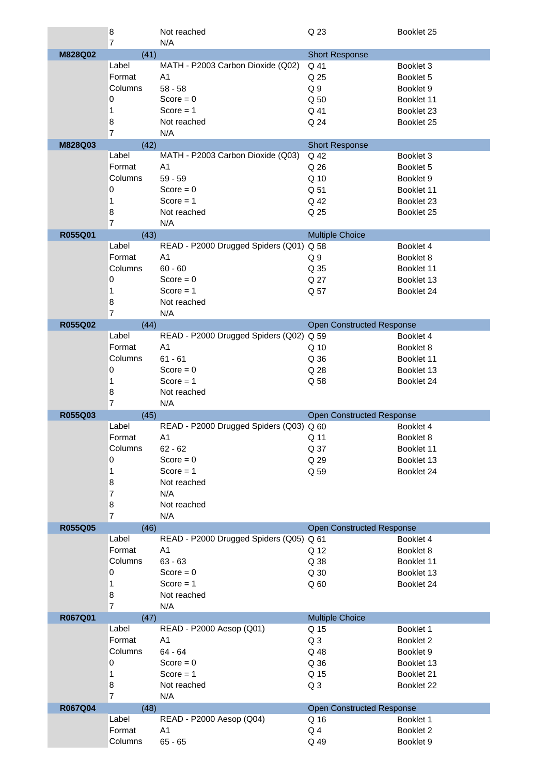|         | 8                   | Not reached                                   | Q 23                             | Booklet 25 |
|---------|---------------------|-----------------------------------------------|----------------------------------|------------|
|         | 7                   | N/A                                           |                                  |            |
| M828Q02 | (41)                |                                               | <b>Short Response</b>            |            |
|         | Label               | MATH - P2003 Carbon Dioxide (Q02)             | Q 41                             | Booklet 3  |
|         | Format              | A <sub>1</sub>                                | Q 25                             | Booklet 5  |
|         | Columns             | $58 - 58$                                     | Q <sub>9</sub>                   | Booklet 9  |
|         | 0                   | Score = $0$                                   | Q 50                             | Booklet 11 |
|         | 1                   | Score $= 1$                                   | Q 41                             | Booklet 23 |
|         | 8                   | Not reached                                   | Q 24                             | Booklet 25 |
|         | $\overline{7}$      | N/A                                           |                                  |            |
| M828Q03 | (42)                |                                               | <b>Short Response</b>            |            |
|         | Label               | MATH - P2003 Carbon Dioxide (Q03)             | Q 42                             | Booklet 3  |
|         | Format              | A <sub>1</sub>                                | Q 26                             | Booklet 5  |
|         | Columns             | $59 - 59$                                     | Q 10                             | Booklet 9  |
|         | 0                   | Score = $0$                                   | Q 51                             | Booklet 11 |
|         | 1                   | $Score = 1$                                   | Q 42                             | Booklet 23 |
|         | 8                   | Not reached                                   | Q 25                             | Booklet 25 |
|         | 7                   | N/A                                           |                                  |            |
| R055Q01 | (43)                |                                               | <b>Multiple Choice</b>           |            |
|         | Label               | READ - P2000 Drugged Spiders (Q01)            | Q 58                             | Booklet 4  |
|         | Format              | A <sub>1</sub>                                | Q <sub>9</sub>                   | Booklet 8  |
|         | Columns             | $60 - 60$                                     | Q 35                             | Booklet 11 |
|         | 0                   | Score = $0$                                   | Q 27                             | Booklet 13 |
|         | 1                   | Score $= 1$                                   | Q 57                             | Booklet 24 |
|         | 8                   | Not reached                                   |                                  |            |
|         | $\overline{7}$      | N/A                                           |                                  |            |
| R055Q02 | (44)                |                                               | <b>Open Constructed Response</b> |            |
|         | Label               | READ - P2000 Drugged Spiders (Q02)            | Q 59                             | Booklet 4  |
|         | Format              | A <sub>1</sub>                                | Q 10                             | Booklet 8  |
|         | Columns             | $61 - 61$                                     | Q 36                             | Booklet 11 |
|         | 0                   | $Score = 0$                                   | Q 28                             | Booklet 13 |
|         | 1                   | Score $= 1$                                   |                                  |            |
|         |                     |                                               |                                  |            |
|         |                     |                                               | Q 58                             | Booklet 24 |
|         | 8<br>$\overline{7}$ | Not reached                                   |                                  |            |
|         |                     | N/A                                           |                                  |            |
| R055Q03 | (45)<br>Label       |                                               | <b>Open Constructed Response</b> |            |
|         |                     | READ - P2000 Drugged Spiders (Q03) Q 60<br>A1 |                                  | Booklet 4  |
|         | Format              |                                               | Q 11                             | Booklet 8  |
|         | Columns<br>0        | $62 - 62$                                     | Q 37                             | Booklet 11 |
|         |                     | Score = $0$                                   | Q 29                             | Booklet 13 |
|         | 1                   | Score $= 1$                                   | Q 59                             | Booklet 24 |
|         | 8                   | Not reached                                   |                                  |            |
|         | 7                   | N/A                                           |                                  |            |
|         | 8<br>$\overline{7}$ | Not reached<br>N/A                            |                                  |            |
| R055Q05 | (46)                |                                               | <b>Open Constructed Response</b> |            |
|         | Label               | READ - P2000 Drugged Spiders (Q05) Q 61       |                                  | Booklet 4  |
|         | Format              | A <sub>1</sub>                                | Q 12                             | Booklet 8  |
|         | Columns             | $63 - 63$                                     | Q 38                             | Booklet 11 |
|         | 0                   | Score = $0$                                   | Q 30                             | Booklet 13 |
|         | 1                   | Score $= 1$                                   |                                  | Booklet 24 |
|         | 8                   | Not reached                                   | Q <sub>60</sub>                  |            |
|         | $\overline{7}$      | N/A                                           |                                  |            |
| R067Q01 | (47)                |                                               | <b>Multiple Choice</b>           |            |
|         | Label               | READ - P2000 Aesop (Q01)                      | Q 15                             | Booklet 1  |
|         | Format              | A <sub>1</sub>                                | Q <sub>3</sub>                   | Booklet 2  |
|         | Columns             | 64 - 64                                       | Q 48                             | Booklet 9  |
|         | 0                   | Score = $0$                                   | Q 36                             | Booklet 13 |
|         | 1                   | Score $= 1$                                   | Q 15                             | Booklet 21 |
|         | 8                   | Not reached                                   | Q <sub>3</sub>                   | Booklet 22 |
|         | $\overline{7}$      | N/A                                           |                                  |            |
| R067Q04 | (48)                |                                               | <b>Open Constructed Response</b> |            |
|         | Label               | READ - P2000 Aesop (Q04)                      | Q 16                             | Booklet 1  |
|         | Format              | A <sub>1</sub>                                | Q <sub>4</sub>                   | Booklet 2  |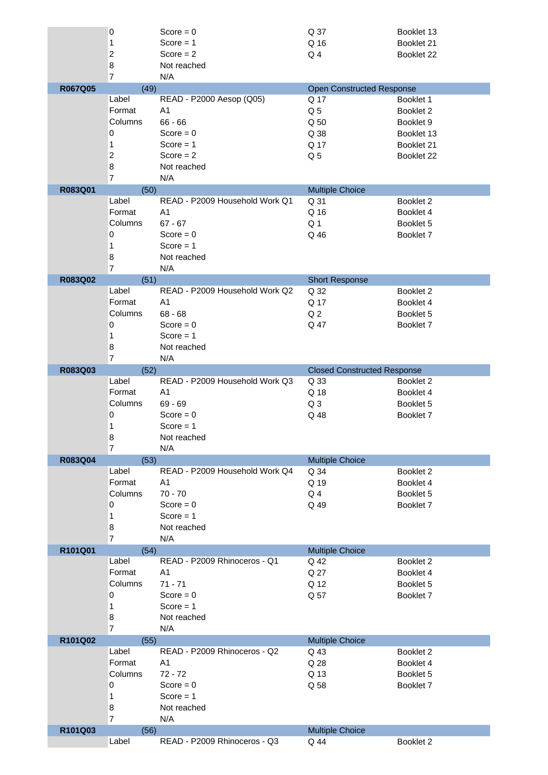|         | 0              | Score = $0$                    | Q 37                               | Booklet 13 |
|---------|----------------|--------------------------------|------------------------------------|------------|
|         | 1              | Score $= 1$                    | Q 16                               | Booklet 21 |
|         | $\overline{c}$ | Score $= 2$                    | Q <sub>4</sub>                     | Booklet 22 |
|         |                |                                |                                    |            |
|         | 8              | Not reached                    |                                    |            |
|         | $\overline{7}$ | N/A                            |                                    |            |
| R067Q05 | (49)           |                                | <b>Open Constructed Response</b>   |            |
|         | Label          | READ - P2000 Aesop (Q05)       | Q 17                               | Booklet 1  |
|         | Format         | A <sub>1</sub>                 | Q <sub>5</sub>                     | Booklet 2  |
|         | Columns        | $66 - 66$                      | Q 50                               | Booklet 9  |
|         | 0              | Score = $0$                    |                                    |            |
|         |                |                                | Q 38                               | Booklet 13 |
|         | 1              | Score $= 1$                    | Q 17                               | Booklet 21 |
|         | $\overline{2}$ | Score $= 2$                    | Q <sub>5</sub>                     | Booklet 22 |
|         | 8              | Not reached                    |                                    |            |
|         | $\overline{7}$ | N/A                            |                                    |            |
| R083Q01 | (50)           |                                | <b>Multiple Choice</b>             |            |
|         | Label          | READ - P2009 Household Work Q1 | Q 31                               | Booklet 2  |
|         | Format         | A <sub>1</sub>                 | Q 16                               |            |
|         |                |                                |                                    | Booklet 4  |
|         | Columns        | $67 - 67$                      | Q <sub>1</sub>                     | Booklet 5  |
|         | 0              | Score = $0$                    | Q 46                               | Booklet 7  |
|         | 1              | Score $= 1$                    |                                    |            |
|         | 8              | Not reached                    |                                    |            |
|         | $\overline{7}$ | N/A                            |                                    |            |
| R083Q02 | (51)           |                                | <b>Short Response</b>              |            |
|         | Label          | READ - P2009 Household Work Q2 |                                    |            |
|         |                |                                | Q 32                               | Booklet 2  |
|         | Format         | A <sub>1</sub>                 | Q 17                               | Booklet 4  |
|         | Columns        | $68 - 68$                      | Q <sub>2</sub>                     | Booklet 5  |
|         | 0              | Score = $0$                    | Q 47                               | Booklet 7  |
|         | 1              | Score $= 1$                    |                                    |            |
|         | 8              | Not reached                    |                                    |            |
|         | $\overline{7}$ | N/A                            |                                    |            |
|         |                |                                |                                    |            |
| R083Q03 | (52)           |                                | <b>Closed Constructed Response</b> |            |
|         | Label          | READ - P2009 Household Work Q3 | Q 33                               | Booklet 2  |
|         | Format         | A <sub>1</sub>                 | Q 18                               | Booklet 4  |
|         | Columns        | $69 - 69$                      | Q <sub>3</sub>                     | Booklet 5  |
|         | 0              | Score = $0$                    | Q 48                               | Booklet 7  |
|         |                |                                |                                    |            |
|         |                |                                |                                    |            |
|         | 1              | Score $= 1$                    |                                    |            |
|         | 8              | Not reached                    |                                    |            |
|         | $\overline{7}$ | N/A                            |                                    |            |
| R083Q04 | (53)           |                                | <b>Multiple Choice</b>             |            |
|         | Label          | READ - P2009 Household Work Q4 | Q 34                               | Booklet 2  |
|         | Format         | A <sub>1</sub>                 | Q 19                               | Booklet 4  |
|         | Columns        | $70 - 70$                      | Q <sub>4</sub>                     | Booklet 5  |
|         |                |                                |                                    |            |
|         | 0              | Score = $0$                    | Q 49                               | Booklet 7  |
|         | 1              | $Score = 1$                    |                                    |            |
|         | 8              | Not reached                    |                                    |            |
|         | $\overline{7}$ | N/A                            |                                    |            |
| R101Q01 | (54)           |                                | <b>Multiple Choice</b>             |            |
|         | Label          | READ - P2009 Rhinoceros - Q1   | Q 42                               | Booklet 2  |
|         | Format         | A <sub>1</sub>                 | Q 27                               | Booklet 4  |
|         | Columns        | $71 - 71$                      |                                    | Booklet 5  |
|         |                |                                | Q 12                               |            |
|         | 0              | Score = $0$                    | Q 57                               | Booklet 7  |
|         | 1              | Score $= 1$                    |                                    |            |
|         | 8              | Not reached                    |                                    |            |
|         | $\overline{7}$ | N/A                            |                                    |            |
| R101Q02 | (55)           |                                | <b>Multiple Choice</b>             |            |
|         | Label          | READ - P2009 Rhinoceros - Q2   | Q 43                               | Booklet 2  |
|         | Format         | A <sub>1</sub>                 | Q 28                               | Booklet 4  |
|         | Columns        | $72 - 72$                      |                                    | Booklet 5  |
|         |                |                                | Q 13                               |            |
|         | 0              | Score = $0$                    | Q 58                               | Booklet 7  |
|         | 1              | $Score = 1$                    |                                    |            |
|         | 8              | Not reached                    |                                    |            |
|         | $\overline{7}$ | N/A                            |                                    |            |
| R101Q03 | (56)           |                                | <b>Multiple Choice</b>             |            |
|         | Label          | READ - P2009 Rhinoceros - Q3   | Q 44                               | Booklet 2  |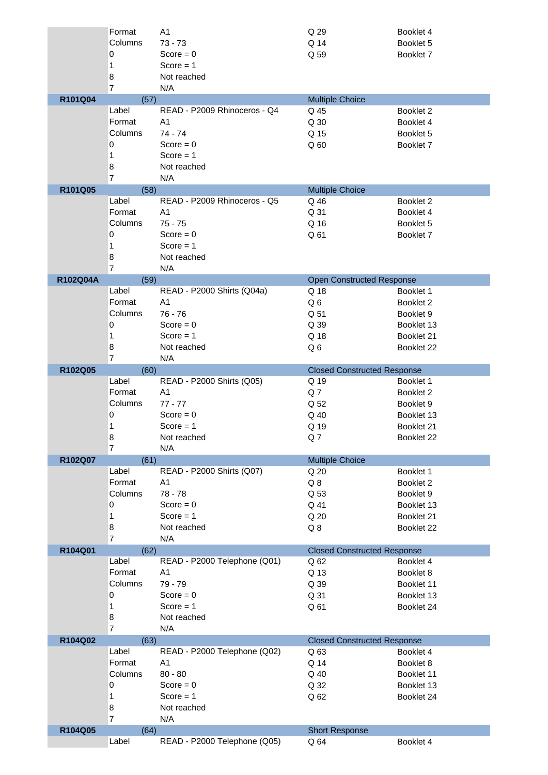|          | Format         | A <sub>1</sub>               | Q 29                               | Booklet 4  |
|----------|----------------|------------------------------|------------------------------------|------------|
|          | Columns        | $73 - 73$                    | Q 14                               | Booklet 5  |
|          | 0              | Score = $0$                  | Q 59                               | Booklet 7  |
|          | 1              | $Score = 1$                  |                                    |            |
|          | 8              | Not reached                  |                                    |            |
|          | $\overline{7}$ | N/A                          |                                    |            |
| R101Q04  | (57)           |                              | <b>Multiple Choice</b>             |            |
|          | Label          | READ - P2009 Rhinoceros - Q4 | Q 45                               | Booklet 2  |
|          | Format         | A <sub>1</sub>               | Q 30                               | Booklet 4  |
|          | Columns        | 74 - 74                      | Q 15                               | Booklet 5  |
|          | 0              | Score = $0$                  | Q <sub>60</sub>                    | Booklet 7  |
|          | 1              | Score $= 1$                  |                                    |            |
|          | 8              | Not reached                  |                                    |            |
|          | 7              | N/A                          |                                    |            |
| R101Q05  | (58)           |                              | <b>Multiple Choice</b>             |            |
|          | Label          | READ - P2009 Rhinoceros - Q5 | Q 46                               | Booklet 2  |
|          | Format         | A <sub>1</sub>               | Q 31                               | Booklet 4  |
|          | Columns        | $75 - 75$                    | Q 16                               | Booklet 5  |
|          | 0              | Score = $0$                  | Q 61                               | Booklet 7  |
|          | 1              | Score $= 1$                  |                                    |            |
|          | 8              | Not reached                  |                                    |            |
|          | $\overline{7}$ | N/A                          |                                    |            |
| R102Q04A | (59)           |                              | <b>Open Constructed Response</b>   |            |
|          | Label          | READ - P2000 Shirts (Q04a)   | Q 18                               | Booklet 1  |
|          | Format         | A <sub>1</sub>               | Q6                                 | Booklet 2  |
|          | Columns        | $76 - 76$                    | Q 51                               | Booklet 9  |
|          | 0              | Score = $0$                  | Q 39                               | Booklet 13 |
|          | 1              | $Score = 1$                  | Q 18                               | Booklet 21 |
|          | 8              | Not reached                  | Q6                                 | Booklet 22 |
|          | $\overline{7}$ | N/A                          |                                    |            |
| R102Q05  | (60)           |                              | <b>Closed Constructed Response</b> |            |
|          | Label          | READ - P2000 Shirts (Q05)    | Q 19                               | Booklet 1  |
|          | Format         | A <sub>1</sub>               | Q7                                 | Booklet 2  |
|          | Columns        | $77 - 77$                    | Q 52                               | Booklet 9  |
|          | 0              | Score = $0$                  | Q 40                               | Booklet 13 |
|          | 1              | $Score = 1$                  | Q 19                               | Booklet 21 |
|          | 8              | Not reached                  | Q7                                 | Booklet 22 |
|          | $\overline{7}$ | N/A                          |                                    |            |
| R102Q07  | (61)           |                              | <b>Multiple Choice</b>             |            |
|          | Label          | READ - P2000 Shirts (Q07)    | Q 20                               | Booklet 1  |
|          | Format         | A <sub>1</sub>               | Q8                                 | Booklet 2  |
|          | Columns        | $78 - 78$                    | Q 53                               | Booklet 9  |
|          | 0              | Score = $0$                  | Q 41                               | Booklet 13 |
|          | 1              | Score $= 1$                  | Q 20                               | Booklet 21 |
|          | 8              | Not reached                  | Q8                                 | Booklet 22 |
|          | $\overline{7}$ | N/A                          |                                    |            |
| R104Q01  |                |                              |                                    |            |
|          | (62)           |                              | <b>Closed Constructed Response</b> |            |
|          | Label          | READ - P2000 Telephone (Q01) | Q 62                               | Booklet 4  |
|          | Format         | A <sub>1</sub>               | Q 13                               | Booklet 8  |
|          | Columns        | 79 - 79                      | Q 39                               | Booklet 11 |
|          | 0              | Score = $0$                  | Q 31                               | Booklet 13 |
|          | 1              | Score $= 1$                  | Q 61                               | Booklet 24 |
|          | 8              | Not reached                  |                                    |            |
|          | $\overline{7}$ | N/A                          |                                    |            |
| R104Q02  | (63)           |                              | <b>Closed Constructed Response</b> |            |
|          | Label          | READ - P2000 Telephone (Q02) | Q 63                               | Booklet 4  |
|          | Format         | A <sub>1</sub>               | Q 14                               | Booklet 8  |
|          | Columns        | $80 - 80$                    | Q 40                               | Booklet 11 |
|          | 0              | Score = $0$                  | Q 32                               | Booklet 13 |
|          | 1              | $Score = 1$                  | Q 62                               | Booklet 24 |
|          | 8              | Not reached                  |                                    |            |
|          | 7              | N/A                          |                                    |            |
| R104Q05  | (64)<br>Label  | READ - P2000 Telephone (Q05) | <b>Short Response</b><br>Q 64      | Booklet 4  |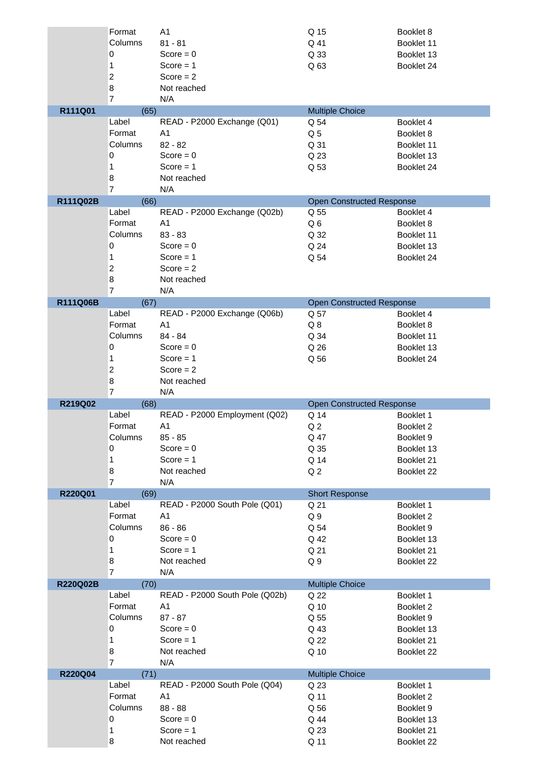|          | Format         | A <sub>1</sub>                 | Q 15                             | Booklet 8                |
|----------|----------------|--------------------------------|----------------------------------|--------------------------|
|          | Columns        | $81 - 81$                      | Q 41                             | Booklet 11               |
|          | 0              | Score = $0$                    | Q 33                             | Booklet 13               |
|          | 1              | Score $= 1$                    | Q 63                             | Booklet 24               |
|          | $\overline{c}$ | Score $= 2$                    |                                  |                          |
|          | $\bf 8$        | Not reached                    |                                  |                          |
|          | $\overline{7}$ | N/A                            |                                  |                          |
| R111Q01  | (65)           |                                | <b>Multiple Choice</b>           |                          |
|          | Label          | READ - P2000 Exchange (Q01)    | Q 54                             | Booklet 4                |
|          | Format         | A1                             | Q <sub>5</sub>                   | Booklet 8                |
|          | Columns        | $82 - 82$                      | Q 31                             | Booklet 11               |
|          | 0              | Score = $0$                    | Q 23                             | Booklet 13               |
|          | 1              | Score $= 1$                    | Q 53                             | Booklet 24               |
|          | 8              | Not reached                    |                                  |                          |
|          | $\overline{7}$ | N/A                            |                                  |                          |
| R111Q02B | (66)           |                                | <b>Open Constructed Response</b> |                          |
|          | Label          | READ - P2000 Exchange (Q02b)   | Q 55                             | Booklet 4                |
|          | Format         | A <sub>1</sub>                 | Q6                               | Booklet 8                |
|          | Columns        | $83 - 83$                      | Q 32                             | Booklet 11               |
|          | $\mathbf 0$    | Score = $0$                    | Q 24                             | Booklet 13               |
|          | 1              | Score $= 1$                    | Q 54                             | Booklet 24               |
|          | $\overline{c}$ | Score $= 2$                    |                                  |                          |
|          | $\bf8$         | Not reached                    |                                  |                          |
|          | $\overline{7}$ | N/A                            |                                  |                          |
| R111Q06B | (67)           |                                | <b>Open Constructed Response</b> |                          |
|          | Label          | READ - P2000 Exchange (Q06b)   | Q 57                             | Booklet 4                |
|          | Format         | A <sub>1</sub>                 | Q8                               | Booklet 8                |
|          | Columns        | 84 - 84                        | Q 34                             | Booklet 11               |
|          | 0              | $Score = 0$                    | Q 26                             | Booklet 13               |
|          | 1              | Score $= 1$                    | Q 56                             | Booklet 24               |
|          | $\overline{c}$ | Score $= 2$                    |                                  |                          |
|          | $\bf 8$        | Not reached                    |                                  |                          |
|          |                |                                |                                  |                          |
|          | $\overline{7}$ | N/A                            |                                  |                          |
| R219Q02  | (68)           |                                | <b>Open Constructed Response</b> |                          |
|          | Label          | READ - P2000 Employment (Q02)  | Q 14                             | Booklet 1                |
|          | Format         | A <sub>1</sub>                 | Q <sub>2</sub>                   | Booklet 2                |
|          | Columns        | $85 - 85$                      | Q 47                             | Booklet 9                |
|          | 0              | $Score = 0$                    | Q 35                             | Booklet 13               |
|          | 1              | Score $= 1$                    | Q 14                             | Booklet 21               |
|          | 8              | Not reached                    | Q <sub>2</sub>                   | Booklet 22               |
|          | $\overline{7}$ | N/A                            |                                  |                          |
| R220Q01  | (69)           |                                | <b>Short Response</b>            |                          |
|          | Label          | READ - P2000 South Pole (Q01)  | Q 21                             | Booklet 1                |
|          | Format         | A <sub>1</sub>                 | Q <sub>9</sub>                   | Booklet 2                |
|          | Columns        | $86 - 86$                      | Q 54                             | Booklet 9                |
|          | 0              | Score = $0$                    | Q 42                             | Booklet 13               |
|          | $\mathbf{1}$   | Score $= 1$                    | Q 21                             | Booklet 21               |
|          | 8              | Not reached                    | Q <sub>9</sub>                   | Booklet 22               |
|          | $\overline{7}$ | N/A                            |                                  |                          |
| R220Q02B | (70)           |                                | <b>Multiple Choice</b>           |                          |
|          | Label          | READ - P2000 South Pole (Q02b) | Q 22                             | Booklet 1                |
|          | Format         | A <sub>1</sub>                 | Q 10                             | Booklet 2                |
|          | Columns        | $87 - 87$                      | Q 55                             | Booklet 9                |
|          | 0              | Score = $0$                    | Q 43                             | Booklet 13               |
|          | 1              | Score $= 1$                    | Q 22                             | Booklet 21               |
|          | 8              | Not reached                    | Q 10                             | Booklet 22               |
|          | $\overline{7}$ | N/A                            |                                  |                          |
| R220Q04  | (71)           |                                | <b>Multiple Choice</b>           |                          |
|          | Label          | READ - P2000 South Pole (Q04)  | Q 23                             | Booklet 1                |
|          | Format         | A <sub>1</sub>                 | Q 11                             | Booklet 2                |
|          | Columns        | 88 - 88                        | Q 56                             | Booklet 9                |
|          | 0              | Score = $0$                    | Q 44                             | Booklet 13               |
|          | 1<br>8         | Score $= 1$<br>Not reached     | Q 23<br>Q 11                     | Booklet 21<br>Booklet 22 |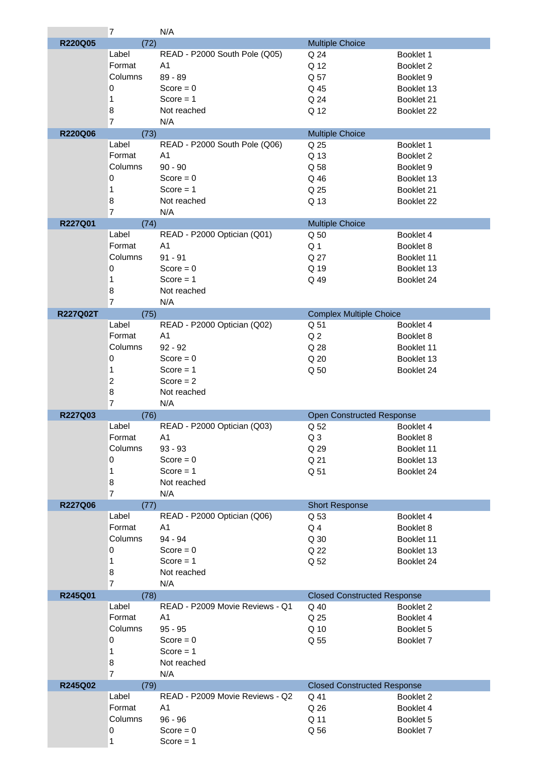|                 | $\overline{7}$ | N/A                             |                                    |            |
|-----------------|----------------|---------------------------------|------------------------------------|------------|
| R220Q05         | (72)           |                                 | <b>Multiple Choice</b>             |            |
|                 | Label          | READ - P2000 South Pole (Q05)   | Q 24                               | Booklet 1  |
|                 | Format         | A <sub>1</sub>                  | Q 12                               | Booklet 2  |
|                 | Columns        | $89 - 89$                       | Q 57                               | Booklet 9  |
|                 |                |                                 |                                    |            |
|                 | 0              | Score = $0$                     | Q 45                               | Booklet 13 |
|                 | 1              | $Score = 1$                     | Q 24                               | Booklet 21 |
|                 | 8              | Not reached                     | Q 12                               | Booklet 22 |
|                 | $\overline{7}$ | N/A                             |                                    |            |
| <b>R220Q06</b>  | (73)           |                                 | <b>Multiple Choice</b>             |            |
|                 | Label          | READ - P2000 South Pole (Q06)   | Q 25                               | Booklet 1  |
|                 | Format         | A <sub>1</sub>                  | Q 13                               | Booklet 2  |
|                 | Columns        | $90 - 90$                       | Q 58                               | Booklet 9  |
|                 |                | $Score = 0$                     |                                    |            |
|                 | 0              |                                 | Q 46                               | Booklet 13 |
|                 | 1              | Score $= 1$                     | Q 25                               | Booklet 21 |
|                 | 8              | Not reached                     | Q 13                               | Booklet 22 |
|                 | $\overline{7}$ | N/A                             |                                    |            |
| R227Q01         | (74)           |                                 | <b>Multiple Choice</b>             |            |
|                 | Label          | READ - P2000 Optician (Q01)     | Q 50                               | Booklet 4  |
|                 | Format         | A <sub>1</sub>                  | Q <sub>1</sub>                     | Booklet 8  |
|                 | Columns        | $91 - 91$                       | Q 27                               | Booklet 11 |
|                 | 0              | Score = $0$                     | Q 19                               |            |
|                 |                |                                 |                                    | Booklet 13 |
|                 | 1              | Score $= 1$                     | Q 49                               | Booklet 24 |
|                 | 8              | Not reached                     |                                    |            |
|                 | $\overline{7}$ | N/A                             |                                    |            |
| <b>R227Q02T</b> | (75)           |                                 | <b>Complex Multiple Choice</b>     |            |
|                 | Label          | READ - P2000 Optician (Q02)     | Q 51                               | Booklet 4  |
|                 | Format         | A <sub>1</sub>                  | Q <sub>2</sub>                     | Booklet 8  |
|                 | Columns        | $92 - 92$                       | Q 28                               | Booklet 11 |
|                 | $\pmb{0}$      | Score = $0$                     | Q 20                               | Booklet 13 |
|                 |                |                                 |                                    |            |
|                 | 1              | $Score = 1$                     | Q 50                               | Booklet 24 |
|                 | $\overline{c}$ | Score $= 2$                     |                                    |            |
|                 | 8              | Not reached                     |                                    |            |
|                 | $\overline{7}$ | N/A                             |                                    |            |
|                 |                |                                 |                                    |            |
| R227Q03         | (76)           |                                 | <b>Open Constructed Response</b>   |            |
|                 | Label          | READ - P2000 Optician (Q03)     | Q 52                               | Booklet 4  |
|                 |                |                                 |                                    |            |
|                 | Format         | A <sub>1</sub>                  | Q <sub>3</sub>                     | Booklet 8  |
|                 | Columns        | $93 - 93$                       | Q 29                               | Booklet 11 |
|                 | 0              | Score = $0$                     | Q 21                               | Booklet 13 |
|                 | 1              | $Score = 1$                     | Q 51                               | Booklet 24 |
|                 | 8              | Not reached                     |                                    |            |
|                 | 7              | N/A                             |                                    |            |
| R227Q06         | (77)           |                                 | <b>Short Response</b>              |            |
|                 | Label          | READ - P2000 Optician (Q06)     | Q 53                               | Booklet 4  |
|                 | Format         | A <sub>1</sub>                  | Q4                                 | Booklet 8  |
|                 | Columns        | 94 - 94                         | Q 30                               | Booklet 11 |
|                 | 0              |                                 |                                    |            |
|                 |                | $Score = 0$                     | Q 22                               | Booklet 13 |
|                 | 1              | $Score = 1$                     | Q 52                               | Booklet 24 |
|                 | 8              | Not reached                     |                                    |            |
|                 | $\overline{7}$ | N/A                             |                                    |            |
| R245Q01         | (78)           |                                 | <b>Closed Constructed Response</b> |            |
|                 | Label          | READ - P2009 Movie Reviews - Q1 | Q 40                               | Booklet 2  |
|                 | Format         | A <sub>1</sub>                  | Q 25                               | Booklet 4  |
|                 | Columns        | $95 - 95$                       | Q 10                               | Booklet 5  |
|                 | 0              | Score = $0$                     | Q 55                               | Booklet 7  |
|                 | 1              |                                 |                                    |            |
|                 |                | Score $= 1$                     |                                    |            |
|                 | 8              | Not reached                     |                                    |            |
|                 | $\overline{7}$ | N/A                             |                                    |            |
| R245Q02         | (79)           |                                 | <b>Closed Constructed Response</b> |            |
|                 | Label          | READ - P2009 Movie Reviews - Q2 | Q 41                               | Booklet 2  |
|                 | Format         | A <sub>1</sub>                  | Q 26                               | Booklet 4  |
|                 | Columns        | $96 - 96$                       | Q 11                               | Booklet 5  |
|                 | 0              | $Score = 0$                     | Q 56                               | Booklet 7  |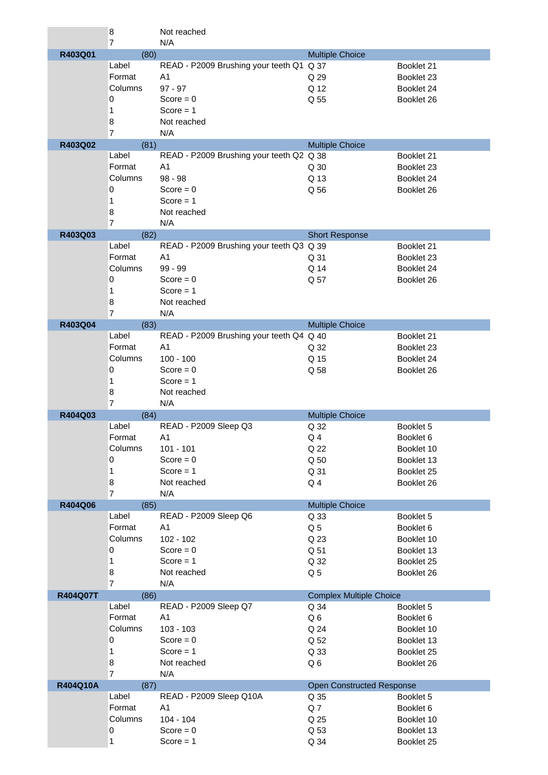|          | 8              | Not reached                              |                                  |            |
|----------|----------------|------------------------------------------|----------------------------------|------------|
|          | 7              | N/A                                      |                                  |            |
| R403Q01  | (80)           |                                          | <b>Multiple Choice</b>           |            |
|          | Label          | READ - P2009 Brushing your teeth Q1 Q 37 |                                  | Booklet 21 |
|          | Format         | A <sub>1</sub>                           | Q 29                             | Booklet 23 |
|          | Columns        | $97 - 97$                                | Q 12                             | Booklet 24 |
|          | 0              | Score = $0$                              | Q 55                             | Booklet 26 |
|          | 1              | Score $= 1$                              |                                  |            |
|          |                |                                          |                                  |            |
|          | 8              | Not reached                              |                                  |            |
|          | $\overline{7}$ | N/A                                      |                                  |            |
| R403Q02  | (81)           |                                          | <b>Multiple Choice</b>           |            |
|          | Label          | READ - P2009 Brushing your teeth Q2 Q 38 |                                  | Booklet 21 |
|          | Format         | A1                                       | Q 30                             | Booklet 23 |
|          | Columns        | $98 - 98$                                | Q 13                             | Booklet 24 |
|          | 0              | $Score = 0$                              | Q 56                             | Booklet 26 |
|          | 1              | Score $= 1$                              |                                  |            |
|          | 8              | Not reached                              |                                  |            |
|          | $\overline{7}$ | N/A                                      |                                  |            |
| R403Q03  | (82)           |                                          | <b>Short Response</b>            |            |
|          | Label          | READ - P2009 Brushing your teeth Q3 Q 39 |                                  | Booklet 21 |
|          | Format         | A <sub>1</sub>                           | Q 31                             | Booklet 23 |
|          | Columns        | $99 - 99$                                | Q 14                             | Booklet 24 |
|          |                |                                          |                                  |            |
|          | 0              | $Score = 0$                              | Q 57                             | Booklet 26 |
|          | 1              | Score $= 1$                              |                                  |            |
|          | 8              | Not reached                              |                                  |            |
|          | 7              | N/A                                      |                                  |            |
| R403Q04  | (83)           |                                          | <b>Multiple Choice</b>           |            |
|          | Label          | READ - P2009 Brushing your teeth Q4 Q 40 |                                  | Booklet 21 |
|          | Format         | A1                                       | Q 32                             | Booklet 23 |
|          | Columns        | $100 - 100$                              | Q 15                             | Booklet 24 |
|          | 0              | Score = $0$                              | Q 58                             | Booklet 26 |
|          | 1              | $Score = 1$                              |                                  |            |
|          | 8              | Not reached                              |                                  |            |
|          | $\overline{7}$ | N/A                                      |                                  |            |
| R404Q03  | (84)           |                                          | <b>Multiple Choice</b>           |            |
|          | Label          | READ - P2009 Sleep Q3                    | Q 32                             | Booklet 5  |
|          | Format         |                                          |                                  |            |
|          |                | A1                                       | $Q_4$                            | Booklet 6  |
|          | Columns        | $101 - 101$                              | Q 22                             | Booklet 10 |
|          | 0              | Score = $0$                              | Q 50                             | Booklet 13 |
|          | 1              | Score $= 1$                              | Q 31                             | Booklet 25 |
|          | 8              | Not reached                              | Q <sub>4</sub>                   | Booklet 26 |
|          | $\overline{7}$ | N/A                                      |                                  |            |
| R404Q06  | (85)           |                                          | <b>Multiple Choice</b>           |            |
|          | Label          | READ - P2009 Sleep Q6                    | Q 33                             | Booklet 5  |
|          | Format         | A <sub>1</sub>                           | Q <sub>5</sub>                   | Booklet 6  |
|          | Columns        | $102 - 102$                              | Q 23                             | Booklet 10 |
|          | 0              | Score = $0$                              | Q 51                             | Booklet 13 |
|          | 1              | Score $= 1$                              | Q 32                             | Booklet 25 |
|          | 8              | Not reached                              | Q <sub>5</sub>                   | Booklet 26 |
|          | $\overline{7}$ | N/A                                      |                                  |            |
| R404Q07T | (86)           |                                          | <b>Complex Multiple Choice</b>   |            |
|          | Label          | READ - P2009 Sleep Q7                    | Q 34                             | Booklet 5  |
|          | Format         | A <sub>1</sub>                           |                                  |            |
|          |                |                                          | Q6                               | Booklet 6  |
|          | Columns        | $103 - 103$                              | Q 24                             | Booklet 10 |
|          | 0              | $Score = 0$                              | Q 52                             | Booklet 13 |
|          | 1              | Score $= 1$                              | Q 33                             | Booklet 25 |
|          | 8              | Not reached                              | Q6                               | Booklet 26 |
|          | $\overline{7}$ | N/A                                      |                                  |            |
| R404Q10A | (87)           |                                          | <b>Open Constructed Response</b> |            |
|          | Label          | READ - P2009 Sleep Q10A                  | Q 35                             | Booklet 5  |
|          | Format         | A1                                       | Q7                               | Booklet 6  |
|          | Columns        | $104 - 104$                              | Q 25                             | Booklet 10 |
|          | 0              | Score = $0$                              | Q 53                             | Booklet 13 |
|          | 1              | Score $= 1$                              | Q 34                             | Booklet 25 |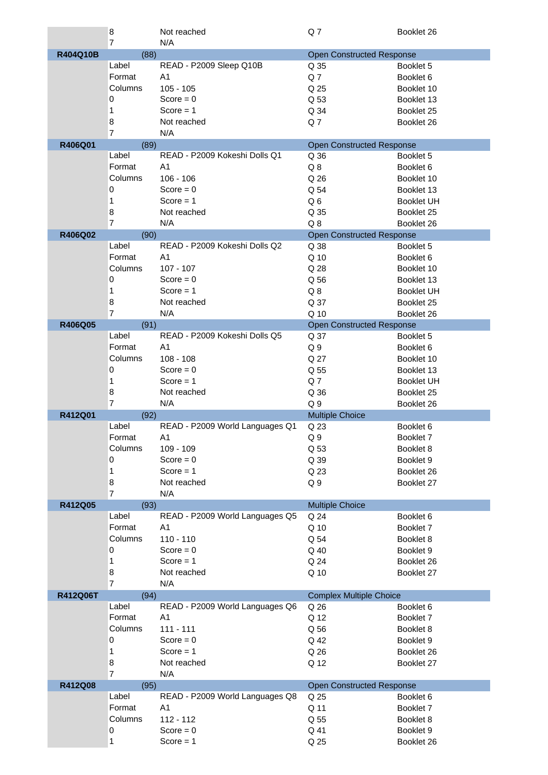|          | $\boldsymbol{8}$ | Not reached                     | Q7                               | Booklet 26                      |
|----------|------------------|---------------------------------|----------------------------------|---------------------------------|
|          | 7                | N/A                             |                                  |                                 |
| R404Q10B | (88)             |                                 | <b>Open Constructed Response</b> |                                 |
|          | Label            | READ - P2009 Sleep Q10B         | Q 35                             | Booklet 5                       |
|          | Format           | A <sub>1</sub>                  | Q <sub>7</sub>                   | Booklet 6                       |
|          | Columns          | $105 - 105$                     | Q 25                             | Booklet 10                      |
|          | 0                | Score = $0$                     | Q 53                             | Booklet 13                      |
|          | 1                | $Score = 1$                     | Q 34                             | Booklet 25                      |
|          | 8                | Not reached                     | Q <sub>7</sub>                   | Booklet 26                      |
|          | $\overline{7}$   | N/A                             |                                  |                                 |
| R406Q01  | (89)<br>Label    | READ - P2009 Kokeshi Dolls Q1   | <b>Open Constructed Response</b> |                                 |
|          | Format           | A <sub>1</sub>                  | Q 36                             | Booklet 5                       |
|          | Columns          | $106 - 106$                     | $Q_8$                            | Booklet 6                       |
|          | $\mathbf 0$      | $Score = 0$                     | Q 26<br>Q 54                     | Booklet 10                      |
|          | 1                | Score $= 1$                     | Q6                               | Booklet 13                      |
|          | 8                | Not reached                     | Q 35                             | <b>Booklet UH</b><br>Booklet 25 |
|          | 7                | N/A                             | Q <sub>8</sub>                   | Booklet 26                      |
| R406Q02  | (90)             |                                 | <b>Open Constructed Response</b> |                                 |
|          | Label            | READ - P2009 Kokeshi Dolls Q2   | Q 38                             | Booklet 5                       |
|          | Format           | A <sub>1</sub>                  | Q 10                             | Booklet 6                       |
|          | Columns          | $107 - 107$                     | Q 28                             | Booklet 10                      |
|          | 0                | Score = $0$                     | Q 56                             | Booklet 13                      |
|          | 1                | Score $= 1$                     | $Q_8$                            | <b>Booklet UH</b>               |
|          | 8                | Not reached                     | Q 37                             | Booklet 25                      |
|          | $\overline{7}$   | N/A                             | Q 10                             | Booklet 26                      |
| R406Q05  | (91)             |                                 | <b>Open Constructed Response</b> |                                 |
|          | Label            | READ - P2009 Kokeshi Dolls Q5   | Q 37                             | Booklet 5                       |
|          | Format           | A <sub>1</sub>                  | Q <sub>9</sub>                   | Booklet 6                       |
|          | Columns          | $108 - 108$                     | Q 27                             | Booklet 10                      |
|          | $\mathbf 0$      | $Score = 0$                     | Q 55                             | Booklet 13                      |
|          | 1                | $Score = 1$                     | Q <sub>7</sub>                   | <b>Booklet UH</b>               |
|          | 8                | Not reached                     | Q 36                             | Booklet 25                      |
|          | $\overline{7}$   | N/A                             | Q <sub>9</sub>                   | Booklet 26                      |
| R412Q01  | (92)             |                                 | <b>Multiple Choice</b>           |                                 |
|          | Label            | READ - P2009 World Languages Q1 | Q 23                             | Booklet 6                       |
|          | Format           | A1                              | Q <sub>9</sub>                   | Booklet 7                       |
|          | Columns          | 109 - 109                       | Q 53                             | Booklet 8                       |
|          | 0                | Score = $0$                     | Q 39                             | Booklet 9                       |
|          | 1                | Score $= 1$                     | Q 23                             | Booklet 26                      |
|          | 8                | Not reached                     | Q <sub>9</sub>                   | Booklet 27                      |
|          | $\overline{7}$   | N/A                             |                                  |                                 |
| R412Q05  | (93)             |                                 | <b>Multiple Choice</b>           |                                 |
|          | Label            | READ - P2009 World Languages Q5 | Q 24                             | Booklet 6                       |
|          | Format           | A1                              | Q 10                             | Booklet 7                       |
|          | Columns          | $110 - 110$                     | Q 54                             | Booklet 8                       |
|          | 0                | Score = $0$                     | Q 40                             | Booklet 9                       |
|          | 1                | Score $= 1$                     | Q 24                             | Booklet 26                      |
|          | 8                | Not reached                     | Q 10                             | Booklet 27                      |
|          | $\overline{7}$   | N/A                             |                                  |                                 |
| R412Q06T | (94)             |                                 | <b>Complex Multiple Choice</b>   |                                 |
|          | Label            | READ - P2009 World Languages Q6 | Q 26                             | Booklet 6                       |
|          | Format           | A <sub>1</sub>                  | Q 12                             | Booklet 7                       |
|          | Columns          | $111 - 111$                     | Q 56                             | Booklet 8                       |
|          | $\mathbf 0$      | Score = $0$                     | Q 42                             | Booklet 9                       |
|          | 1                | Score $= 1$                     | Q 26                             | Booklet 26                      |
|          | 8                | Not reached                     | Q 12                             | Booklet 27                      |
|          | $\overline{7}$   | N/A                             |                                  |                                 |
| R412Q08  | (95)             |                                 | <b>Open Constructed Response</b> |                                 |
|          | Label            | READ - P2009 World Languages Q8 | Q 25                             | Booklet 6                       |
|          | Format           | A <sub>1</sub>                  | Q 11                             | Booklet 7                       |
|          | Columns          | 112 - 112                       | Q 55                             | Booklet 8                       |
|          | $\mathbf 0$      | Score = $0$                     | Q 41                             | Booklet 9                       |
|          | 1                | Score $= 1$                     | Q 25                             | Booklet 26                      |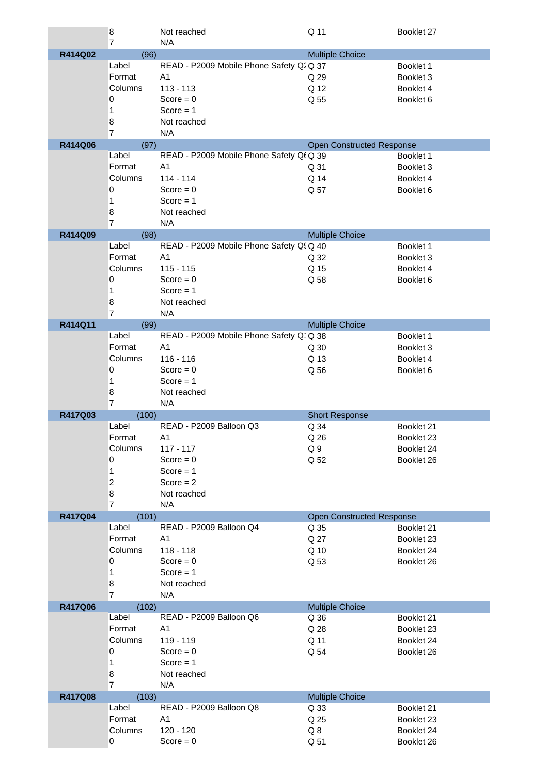|         | 8                      | Not reached                              | Q 11                             | Booklet 27               |
|---------|------------------------|------------------------------------------|----------------------------------|--------------------------|
|         | $\overline{7}$         | N/A                                      |                                  |                          |
| R414Q02 | (96)                   |                                          | <b>Multiple Choice</b>           |                          |
|         | Label                  | READ - P2009 Mobile Phone Safety Q2 Q 37 |                                  | Booklet 1                |
|         | Format                 | A <sub>1</sub>                           | Q 29                             | Booklet 3                |
|         | Columns                | $113 - 113$                              | Q 12                             | Booklet 4                |
|         | 0                      | Score = $0$                              | Q 55                             | Booklet 6                |
|         | 1                      | Score $= 1$                              |                                  |                          |
|         | 8                      | Not reached                              |                                  |                          |
|         | $\overline{7}$         | N/A                                      |                                  |                          |
| R414Q06 | (97)                   |                                          | Open Constructed Response        |                          |
|         | Label                  | READ - P2009 Mobile Phone Safety Qf Q 39 |                                  | Booklet 1                |
|         | Format                 | A <sub>1</sub>                           | Q 31                             | Booklet 3                |
|         | Columns                | $114 - 114$                              | Q 14                             | Booklet 4                |
|         | 0                      | Score = $0$                              | Q 57                             | Booklet 6                |
|         | 1                      | Score $= 1$                              |                                  |                          |
|         | 8                      | Not reached                              |                                  |                          |
|         | $\overline{7}$         | N/A                                      |                                  |                          |
| R414Q09 | (98)                   |                                          | <b>Multiple Choice</b>           |                          |
|         | Label                  | READ - P2009 Mobile Phone Safety Q! Q 40 |                                  | Booklet 1                |
|         | Format                 | A <sub>1</sub>                           | Q 32                             | Booklet 3                |
|         | Columns                | $115 - 115$                              | Q 15                             | Booklet 4                |
|         | 0                      | Score = $0$                              | Q 58                             | Booklet 6                |
|         | 1                      | Score = $1$                              |                                  |                          |
|         | 8                      | Not reached                              |                                  |                          |
|         | $\overline{7}$         | N/A                                      |                                  |                          |
| R414Q11 | (99)                   |                                          | <b>Multiple Choice</b>           |                          |
|         | Label                  | READ - P2009 Mobile Phone Safety Q1Q 38  |                                  | Booklet 1                |
|         | Format                 | A <sub>1</sub>                           | Q 30                             | Booklet 3                |
|         | Columns                | $116 - 116$                              | Q 13                             | Booklet 4                |
|         | 0                      | Score = $0$                              | Q 56                             | Booklet 6                |
|         | 1                      | Score $= 1$                              |                                  |                          |
|         | 8                      | Not reached                              |                                  |                          |
|         | $\overline{7}$         | N/A                                      |                                  |                          |
| R417Q03 | (100)                  |                                          | <b>Short Response</b>            |                          |
|         | Label                  | READ - P2009 Balloon Q3                  | Q 34                             | Booklet 21               |
|         | Format                 | A1                                       | Q 26                             | Booklet 23               |
|         | Columns                | $117 - 117$                              | Q9                               | Booklet 24               |
|         | 0                      | $Score = 0$                              | Q 52                             | Booklet 26               |
|         | $\mathbf{1}$           | Score $= 1$                              |                                  |                          |
|         | $\overline{c}$         | Score $= 2$                              |                                  |                          |
|         | 8                      | Not reached                              |                                  |                          |
|         | $\overline{7}$         | N/A                                      |                                  |                          |
| R417Q04 | (101)                  |                                          | <b>Open Constructed Response</b> |                          |
|         | Label                  | READ - P2009 Balloon Q4                  | Q 35                             | Booklet 21               |
|         | Format                 | A <sub>1</sub>                           | Q 27                             | Booklet 23               |
|         | Columns                | $118 - 118$                              | Q 10                             | Booklet 24               |
|         | 0                      | Score = $0$                              | Q 53                             | Booklet 26               |
|         | 1                      | Score $= 1$                              |                                  |                          |
|         | 8                      | Not reached                              |                                  |                          |
|         | $\overline{7}$         | N/A                                      |                                  |                          |
| R417Q06 | (102)                  |                                          | <b>Multiple Choice</b>           |                          |
|         | Label                  | READ - P2009 Balloon Q6                  | Q 36                             | Booklet 21               |
|         | Format                 | A <sub>1</sub>                           | Q 28                             | Booklet 23               |
|         | Columns                | 119 - 119                                | Q 11                             | Booklet 24               |
|         | 0                      | Score = $0$                              | Q 54                             | Booklet 26               |
|         | 1                      | Score $= 1$                              |                                  |                          |
|         | 8                      | Not reached                              |                                  |                          |
|         | $\overline{7}$         | N/A                                      |                                  |                          |
| R417Q08 | (103)                  |                                          | <b>Multiple Choice</b>           |                          |
|         | Label                  | READ - P2009 Balloon Q8                  | Q 33                             | Booklet 21               |
|         |                        |                                          |                                  |                          |
|         | Format                 | A <sub>1</sub>                           | Q 25                             | Booklet 23               |
|         | Columns<br>$\mathbf 0$ | 120 - 120<br>$Score = 0$                 | Q8<br>Q 51                       | Booklet 24<br>Booklet 26 |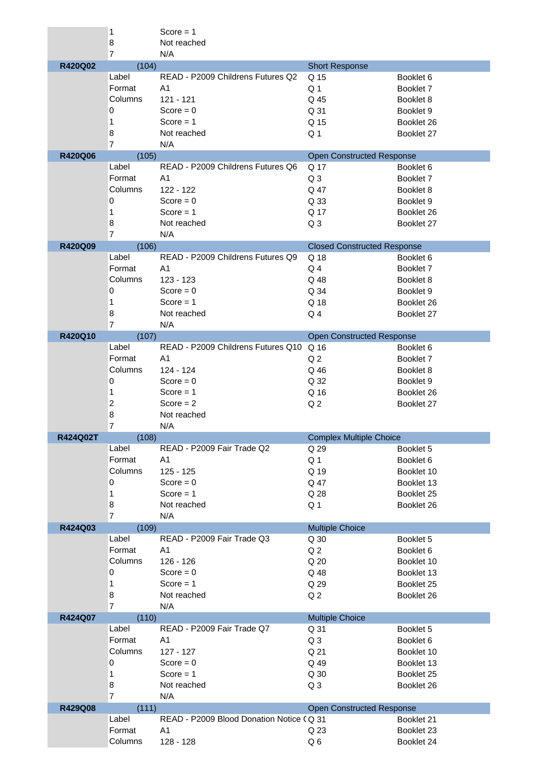|                | 1                 | $Score = 1$                              |                                    |                          |
|----------------|-------------------|------------------------------------------|------------------------------------|--------------------------|
|                | 8                 | Not reached                              |                                    |                          |
|                | $\overline{7}$    | N/A                                      |                                    |                          |
| R420Q02        | (104)             | READ - P2009 Childrens Futures Q2        | <b>Short Response</b>              |                          |
|                | Label             |                                          | Q 15                               | Booklet 6                |
|                | Format            | A <sub>1</sub>                           | Q <sub>1</sub>                     | Booklet 7                |
|                | Columns           | 121 - 121                                | Q 45                               | Booklet 8                |
|                | 0                 | $Score = 0$                              | Q 31                               | Booklet 9                |
|                | 1                 | Score $= 1$                              | Q 15                               | Booklet 26               |
|                | 8                 | Not reached                              | Q <sub>1</sub>                     | Booklet 27               |
|                | $\overline{7}$    | N/A                                      |                                    |                          |
| <b>R420Q06</b> | (105)             |                                          | <b>Open Constructed Response</b>   |                          |
|                | Label             | READ - P2009 Childrens Futures Q6        | Q 17                               | Booklet 6                |
|                | Format            | A1                                       | Q <sub>3</sub>                     | Booklet 7                |
|                | Columns           | 122 - 122                                | Q 47                               | Booklet 8                |
|                | 0                 | Score = $0$                              | Q 33                               | Booklet 9                |
|                | 1                 | $Score = 1$                              | Q 17                               | Booklet 26               |
|                | 8                 | Not reached                              | Q <sub>3</sub>                     | Booklet 27               |
|                | $\overline{7}$    | N/A                                      |                                    |                          |
| R420Q09        | (106)             |                                          | <b>Closed Constructed Response</b> |                          |
|                | Label             | READ - P2009 Childrens Futures Q9        | Q 18                               | Booklet 6                |
|                | Format            | A <sub>1</sub>                           | Q <sub>4</sub>                     | Booklet 7                |
|                | Columns           | 123 - 123                                | Q 48                               | Booklet 8                |
|                | $\mathbf 0$       | $Score = 0$                              | Q 34                               | Booklet 9                |
|                | 1                 | $Score = 1$                              | Q 18                               | Booklet 26               |
|                | 8                 | Not reached                              | Q <sub>4</sub>                     | Booklet 27               |
|                | $\overline{7}$    | N/A                                      |                                    |                          |
| R420Q10        | (107)             |                                          | <b>Open Constructed Response</b>   |                          |
|                | Label             | READ - P2009 Childrens Futures Q10 Q 16  |                                    | Booklet 6                |
|                | Format            | A <sub>1</sub>                           | Q <sub>2</sub>                     | Booklet 7                |
|                | Columns           | 124 - 124                                | Q 46                               | Booklet 8                |
|                | 0                 | Score = $0$                              | Q 32                               | Booklet 9                |
|                | 1                 | Score $= 1$                              | Q 16                               | Booklet 26               |
|                |                   |                                          |                                    |                          |
|                |                   |                                          |                                    |                          |
|                | $\overline{c}$    | Score $= 2$                              | Q <sub>2</sub>                     | Booklet 27               |
|                | 8                 | Not reached                              |                                    |                          |
|                | $\overline{7}$    | N/A                                      |                                    |                          |
| R424Q02T       | (108)             |                                          | <b>Complex Multiple Choice</b>     |                          |
|                | Label             | READ - P2009 Fair Trade Q2               | Q 29                               | Booklet 5                |
|                | Format            | A1                                       | Q <sub>1</sub>                     | Booklet 6                |
|                | Columns           | $125 - 125$                              | Q 19                               | Booklet 10               |
|                | 0                 | $Score = 0$                              | Q 47                               | Booklet 13               |
|                | 1                 | $Score = 1$                              | Q 28                               | Booklet 25               |
|                | 8                 | Not reached                              | Q <sub>1</sub>                     | Booklet 26               |
|                | $\overline{7}$    | N/A                                      |                                    |                          |
| R424Q03        | (109)             |                                          | <b>Multiple Choice</b>             |                          |
|                | Label             | READ - P2009 Fair Trade Q3               | Q 30                               | Booklet 5                |
|                | Format            | A <sub>1</sub>                           | Q <sub>2</sub>                     | Booklet 6                |
|                | Columns           | 126 - 126                                | Q 20                               | Booklet 10               |
|                | 0                 | $Score = 0$                              | Q 48                               | Booklet 13               |
|                | 1                 | Score $= 1$                              | Q 29                               | Booklet 25               |
|                | 8                 | Not reached                              | Q <sub>2</sub>                     | Booklet 26               |
|                | $\overline{7}$    | N/A                                      |                                    |                          |
| R424Q07        | (110)             |                                          | <b>Multiple Choice</b>             |                          |
|                | Label             | READ - P2009 Fair Trade Q7               | Q 31                               | Booklet 5                |
|                | Format            | A <sub>1</sub>                           | Q <sub>3</sub>                     | Booklet 6                |
|                | Columns           | $127 - 127$                              | Q 21                               | Booklet 10               |
|                | 0                 | Score = $0$                              | Q 49                               | Booklet 13               |
|                | $\mathbf{1}$      | Score $= 1$                              | Q 30                               | Booklet 25               |
|                | 8                 | Not reached                              | Q <sub>3</sub>                     | Booklet 26               |
|                | $\overline{7}$    | N/A                                      |                                    |                          |
| R429Q08        | (111)             |                                          | <b>Open Constructed Response</b>   |                          |
|                | Label             | READ - P2009 Blood Donation Notice (Q 31 |                                    | Booklet 21               |
|                | Format<br>Columns | A1<br>128 - 128                          | Q 23<br>Q6                         | Booklet 23<br>Booklet 24 |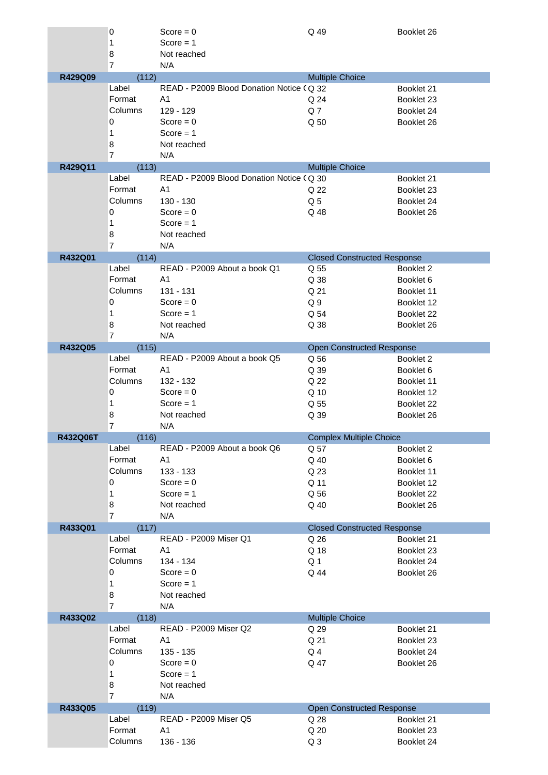|                 | 0              | Score = $0$                              | Q 49                               | Booklet 26 |
|-----------------|----------------|------------------------------------------|------------------------------------|------------|
|                 | 1              | Score $= 1$                              |                                    |            |
|                 | 8              | Not reached                              |                                    |            |
|                 | $\overline{7}$ | N/A                                      |                                    |            |
| R429Q09         | (112)          |                                          | <b>Multiple Choice</b>             |            |
|                 | Label          | READ - P2009 Blood Donation Notice (Q 32 |                                    | Booklet 21 |
|                 | Format         | A <sub>1</sub>                           | Q 24                               | Booklet 23 |
|                 | Columns        | 129 - 129                                | Q7                                 | Booklet 24 |
|                 | 0              | Score = $0$                              | Q 50                               | Booklet 26 |
|                 | 1              | Score $= 1$                              |                                    |            |
|                 | 8              | Not reached                              |                                    |            |
|                 | $\overline{7}$ | N/A                                      |                                    |            |
| R429Q11         | (113)          |                                          | <b>Multiple Choice</b>             |            |
|                 | Label          | READ - P2009 Blood Donation Notice (Q 30 |                                    | Booklet 21 |
|                 | Format         | A <sub>1</sub>                           | Q 22                               | Booklet 23 |
|                 | Columns        | $130 - 130$                              | Q <sub>5</sub>                     | Booklet 24 |
|                 | $\mathbf 0$    | Score = $0$                              | Q 48                               | Booklet 26 |
|                 | 1              | Score $= 1$                              |                                    |            |
|                 | 8              | Not reached                              |                                    |            |
|                 | $\overline{7}$ | N/A                                      |                                    |            |
| R432Q01         | (114)          |                                          | <b>Closed Constructed Response</b> |            |
|                 | Label          | READ - P2009 About a book Q1             | Q 55                               | Booklet 2  |
|                 | Format         | A <sub>1</sub>                           | Q 38                               | Booklet 6  |
|                 | Columns        | 131 - 131                                | Q 21                               | Booklet 11 |
|                 | 0              | Score = $0$                              | Q <sub>9</sub>                     | Booklet 12 |
|                 | 1              | Score $= 1$                              | Q 54                               | Booklet 22 |
|                 | 8              | Not reached                              | Q 38                               | Booklet 26 |
|                 | $\overline{7}$ | N/A                                      |                                    |            |
| R432Q05         | (115)          |                                          | <b>Open Constructed Response</b>   |            |
|                 | Label          | READ - P2009 About a book Q5             | Q 56                               | Booklet 2  |
|                 | Format         | A <sub>1</sub>                           | Q 39                               | Booklet 6  |
|                 | Columns        | 132 - 132                                | Q 22                               | Booklet 11 |
|                 | 0              | Score = $0$                              | Q 10                               | Booklet 12 |
|                 | 1              | $Score = 1$                              | Q 55                               | Booklet 22 |
|                 | 8              | Not reached                              | Q 39                               | Booklet 26 |
|                 | $\overline{7}$ | N/A                                      |                                    |            |
| <b>R432Q06T</b> | (116)          |                                          | <b>Complex Multiple Choice</b>     |            |
|                 | Label          | READ - P2009 About a book Q6             | Q 57                               | Booklet 2  |
|                 | Format         | A1                                       | Q 40                               | Booklet 6  |
|                 | Columns        | 133 - 133                                | Q 23                               | Booklet 11 |
|                 | 0              | $Score = 0$                              | Q 11                               | Booklet 12 |
|                 | 1              | $Score = 1$                              | Q 56                               | Booklet 22 |
|                 | 8              | Not reached                              | Q 40                               | Booklet 26 |
|                 | $\overline{7}$ | N/A                                      |                                    |            |
| R433Q01         | (117)          |                                          | <b>Closed Constructed Response</b> |            |
|                 | Label          | READ - P2009 Miser Q1                    | Q 26                               | Booklet 21 |
|                 | Format         | A <sub>1</sub>                           | Q 18                               | Booklet 23 |
|                 | Columns        | 134 - 134                                | Q <sub>1</sub>                     | Booklet 24 |
|                 | 0              | $Score = 0$                              | Q 44                               | Booklet 26 |
|                 | $\mathbf{1}$   | Score $= 1$                              |                                    |            |
|                 | 8              | Not reached                              |                                    |            |
|                 | $\overline{7}$ | N/A                                      |                                    |            |
| R433Q02         | (118)          |                                          | <b>Multiple Choice</b>             |            |
|                 | Label          | READ - P2009 Miser Q2                    | Q 29                               | Booklet 21 |
|                 | Format         | A1                                       | Q 21                               | Booklet 23 |
|                 | Columns        | 135 - 135                                | Q <sub>4</sub>                     | Booklet 24 |
|                 | 0              | Score = $0$                              | Q 47                               | Booklet 26 |
|                 | 1              | Score $= 1$                              |                                    |            |
|                 | 8              | Not reached                              |                                    |            |
|                 | $\overline{7}$ | N/A                                      |                                    |            |
| R433Q05         | (119)          |                                          | <b>Open Constructed Response</b>   |            |
|                 | Label          | <b>READ - P2009 Miser Q5</b>             | Q 28                               | Booklet 21 |
|                 | Format         | A <sub>1</sub>                           | Q 20                               | Booklet 23 |
|                 | Columns        | 136 - 136                                | Q <sub>3</sub>                     | Booklet 24 |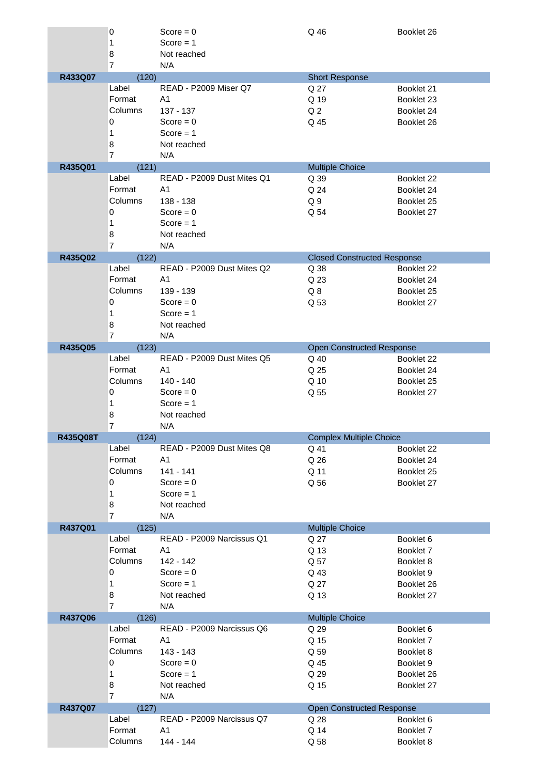|          | 0                   | Score = $0$                | Q 46                               | Booklet 26 |
|----------|---------------------|----------------------------|------------------------------------|------------|
|          | 1                   | Score $= 1$                |                                    |            |
|          | 8                   | Not reached                |                                    |            |
|          | $\overline{7}$      | N/A                        |                                    |            |
| R433Q07  | (120)               |                            | <b>Short Response</b>              |            |
|          | Label               | READ - P2009 Miser Q7      | Q 27                               | Booklet 21 |
|          | Format              | A <sub>1</sub>             | Q 19                               | Booklet 23 |
|          | Columns             | 137 - 137                  | Q <sub>2</sub>                     | Booklet 24 |
|          | 0                   | Score = $0$                | Q 45                               | Booklet 26 |
|          | 1                   | Score $= 1$                |                                    |            |
|          | 8                   | Not reached                |                                    |            |
|          | $\overline{7}$      | N/A                        |                                    |            |
| R435Q01  | (121)               |                            | <b>Multiple Choice</b>             |            |
|          | Label               | READ - P2009 Dust Mites Q1 | Q 39                               | Booklet 22 |
|          | Format              | A <sub>1</sub>             | Q 24                               | Booklet 24 |
|          | Columns             | 138 - 138                  | Q <sub>9</sub>                     | Booklet 25 |
|          | 0                   | Score = $0$                | Q 54                               | Booklet 27 |
|          | 1                   | Score $= 1$                |                                    |            |
|          | 8                   | Not reached                |                                    |            |
|          | $\overline{7}$      | N/A                        |                                    |            |
| R435Q02  | (122)               |                            | <b>Closed Constructed Response</b> |            |
|          | Label               | READ - P2009 Dust Mites Q2 | Q 38                               | Booklet 22 |
|          | Format              | A <sub>1</sub>             | Q 23                               | Booklet 24 |
|          | Columns             | 139 - 139                  | Q8                                 | Booklet 25 |
|          | 0                   | Score = $0$                | Q 53                               | Booklet 27 |
|          | 1                   | Score $= 1$                |                                    |            |
|          | 8                   | Not reached                |                                    |            |
|          | $\overline{7}$      | N/A                        |                                    |            |
| R435Q05  | (123)               |                            | <b>Open Constructed Response</b>   |            |
|          | Label               | READ - P2009 Dust Mites Q5 | Q 40                               | Booklet 22 |
|          | Format              | A <sub>1</sub>             | Q 25                               | Booklet 24 |
|          | Columns             | 140 - 140                  | Q 10                               | Booklet 25 |
|          | 0                   | Score = $0$                | Q 55                               | Booklet 27 |
|          | 1                   | Score $= 1$                |                                    |            |
|          |                     | Not reached                |                                    |            |
|          | 8<br>$\overline{7}$ | N/A                        |                                    |            |
| R435Q08T | (124)               |                            | <b>Complex Multiple Choice</b>     |            |
|          | Label               | READ - P2009 Dust Mites Q8 | Q 41                               | Booklet 22 |
|          | Format              | A1                         | Q 26                               | Booklet 24 |
|          | Columns             | 141 - 141                  | Q 11                               | Booklet 25 |
|          | 0                   | $Score = 0$                | Q 56                               | Booklet 27 |
|          | 1                   | Score $= 1$                |                                    |            |
|          | 8                   | Not reached                |                                    |            |
|          | $\overline{7}$      | N/A                        |                                    |            |
| R437Q01  | (125)               |                            | <b>Multiple Choice</b>             |            |
|          | Label               | READ - P2009 Narcissus Q1  | Q 27                               | Booklet 6  |
|          | Format              | A <sub>1</sub>             | Q 13                               | Booklet 7  |
|          | Columns             | 142 - 142                  | Q 57                               | Booklet 8  |
|          | 0                   | $Score = 0$                | Q 43                               | Booklet 9  |
|          | 1                   | $Score = 1$                | Q 27                               | Booklet 26 |
|          | 8                   | Not reached                | Q 13                               | Booklet 27 |
|          | $\overline{7}$      | N/A                        |                                    |            |
| R437Q06  | (126)               |                            | <b>Multiple Choice</b>             |            |
|          | Label               | READ - P2009 Narcissus Q6  | Q 29                               | Booklet 6  |
|          | Format              | A <sub>1</sub>             | Q 15                               | Booklet 7  |
|          | Columns             | 143 - 143                  | Q 59                               | Booklet 8  |
|          | 0                   | Score = $0$                | Q 45                               | Booklet 9  |
|          | 1                   | $Score = 1$                | Q 29                               | Booklet 26 |
|          | 8                   | Not reached                | Q 15                               | Booklet 27 |
|          | $\overline{7}$      | N/A                        |                                    |            |
| R437Q07  | (127)               |                            | <b>Open Constructed Response</b>   |            |
|          | Label               | READ - P2009 Narcissus Q7  | Q 28                               | Booklet 6  |
|          | Format              | A <sub>1</sub>             | Q 14                               | Booklet 7  |
|          |                     |                            |                                    |            |
|          | Columns             | 144 - 144                  | Q 58                               | Booklet 8  |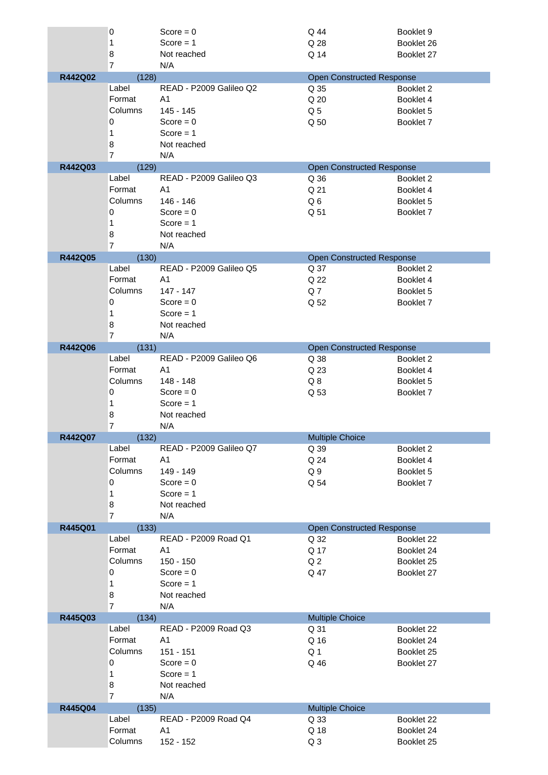|         | 0                       | Score = $0$             | Q 44                   | Booklet 9                        |
|---------|-------------------------|-------------------------|------------------------|----------------------------------|
|         | 1                       | Score $= 1$             | Q 28                   | Booklet 26                       |
|         | 8<br>$\overline{7}$     | Not reached<br>N/A      | Q 14                   | Booklet 27                       |
| R442Q02 | (128)                   |                         |                        | <b>Open Constructed Response</b> |
|         | Label                   | READ - P2009 Galileo Q2 | Q 35                   | Booklet 2                        |
|         | Format                  | A1                      | Q 20                   | Booklet 4                        |
|         | Columns                 | 145 - 145               | Q <sub>5</sub>         | Booklet 5                        |
|         | 0                       | Score = $0$             |                        |                                  |
|         |                         |                         | Q 50                   | Booklet 7                        |
|         | 1                       | Score $= 1$             |                        |                                  |
|         | 8<br>$\overline{7}$     | Not reached<br>N/A      |                        |                                  |
| R442Q03 | (129)                   |                         |                        | <b>Open Constructed Response</b> |
|         | Label                   | READ - P2009 Galileo Q3 | Q 36                   | Booklet 2                        |
|         | Format                  | A <sub>1</sub>          | Q 21                   | Booklet 4                        |
|         | Columns                 | 146 - 146               | Q6                     | Booklet 5                        |
|         | 0                       | Score = $0$             | Q 51                   | Booklet 7                        |
|         | 1                       | Score $= 1$             |                        |                                  |
|         |                         |                         |                        |                                  |
|         | 8<br>$\overline{7}$     | Not reached<br>N/A      |                        |                                  |
| R442Q05 | (130)                   |                         |                        | <b>Open Constructed Response</b> |
|         | Label                   | READ - P2009 Galileo Q5 | Q 37                   | Booklet 2                        |
|         | Format                  | A <sub>1</sub>          | Q 22                   | Booklet 4                        |
|         | Columns                 | 147 - 147               | Q7                     | Booklet 5                        |
|         | 0                       | Score = $0$             | Q 52                   | Booklet 7                        |
|         |                         | Score $= 1$             |                        |                                  |
|         | 1                       |                         |                        |                                  |
|         | 8<br>$\overline{7}$     | Not reached<br>N/A      |                        |                                  |
| R442Q06 | (131)                   |                         |                        | <b>Open Constructed Response</b> |
|         | Label                   | READ - P2009 Galileo Q6 | Q 38                   | Booklet 2                        |
|         | Format                  | A <sub>1</sub>          | Q 23                   | Booklet 4                        |
|         | Columns                 | 148 - 148               | Q8                     | Booklet 5                        |
|         |                         |                         |                        |                                  |
|         |                         |                         |                        |                                  |
|         | 0                       | Score = $0$             | Q 53                   | Booklet 7                        |
|         | 1                       | Score $= 1$             |                        |                                  |
|         | 8                       | Not reached             |                        |                                  |
| R442Q07 | $\overline{7}$<br>(132) | N/A                     | <b>Multiple Choice</b> |                                  |
|         | Label                   | READ - P2009 Galileo Q7 | Q 39                   | Booklet 2                        |
|         | Format                  | A1                      | Q 24                   | Booklet 4                        |
|         | Columns                 | 149 - 149               | Q9                     | Booklet 5                        |
|         | 0                       | $Score = 0$             |                        | Booklet 7                        |
|         |                         |                         | Q 54                   |                                  |
|         | 1                       | Score $= 1$             |                        |                                  |
|         | 8<br>$\overline{7}$     | Not reached<br>N/A      |                        |                                  |
| R445Q01 | (133)                   |                         |                        | <b>Open Constructed Response</b> |
|         | Label                   | READ - P2009 Road Q1    | Q 32                   | Booklet 22                       |
|         | Format                  | A <sub>1</sub>          | Q 17                   | Booklet 24                       |
|         | Columns                 | $150 - 150$             | Q <sub>2</sub>         | Booklet 25                       |
|         | 0                       | $Score = 0$             | Q 47                   | Booklet 27                       |
|         | 1                       | Score $= 1$             |                        |                                  |
|         |                         | Not reached             |                        |                                  |
|         | 8<br>$\overline{7}$     | N/A                     |                        |                                  |
| R445Q03 | (134)                   |                         | <b>Multiple Choice</b> |                                  |
|         | Label                   | READ - P2009 Road Q3    | Q 31                   | Booklet 22                       |
|         | Format                  | A <sub>1</sub>          | Q 16                   | Booklet 24                       |
|         | Columns                 | 151 - 151               | Q <sub>1</sub>         | Booklet 25                       |
|         | 0                       | $Score = 0$             | Q 46                   | Booklet 27                       |
|         | $\mathbf{1}$            | Score $= 1$             |                        |                                  |
|         |                         |                         |                        |                                  |
|         | 8<br>$\overline{7}$     | Not reached<br>N/A      |                        |                                  |
| R445Q04 | (135)                   |                         | <b>Multiple Choice</b> |                                  |
|         | Label                   | READ - P2009 Road Q4    | Q 33                   | Booklet 22                       |
|         | Format                  | A <sub>1</sub>          | Q 18                   | Booklet 24                       |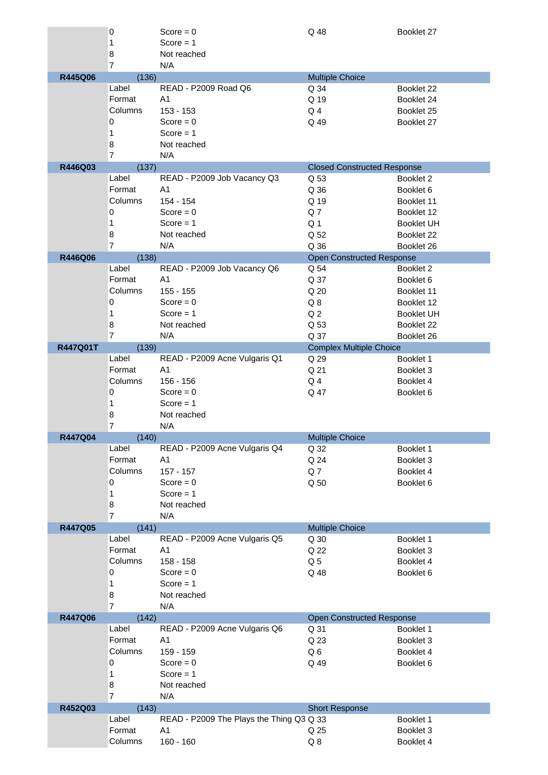|          | 0              | $Score = 0$                              | Q 48                               | Booklet 27        |
|----------|----------------|------------------------------------------|------------------------------------|-------------------|
|          | 1              | Score $= 1$                              |                                    |                   |
|          | 8              | Not reached                              |                                    |                   |
|          | $\overline{7}$ | N/A                                      |                                    |                   |
| R445Q06  | (136)<br>Label | READ - P2009 Road Q6                     | <b>Multiple Choice</b>             |                   |
|          |                |                                          | Q 34                               | Booklet 22        |
|          | Format         | A <sub>1</sub>                           | Q 19                               | Booklet 24        |
|          | Columns        | $153 - 153$                              | Q <sub>4</sub>                     | Booklet 25        |
|          | 0              | Score = $0$                              | Q 49                               | Booklet 27        |
|          | 1              | Score $= 1$                              |                                    |                   |
|          | 8              | Not reached                              |                                    |                   |
|          | $\overline{7}$ | N/A                                      |                                    |                   |
| R446Q03  | (137)          |                                          | <b>Closed Constructed Response</b> |                   |
|          | Label          | READ - P2009 Job Vacancy Q3              | Q 53                               | Booklet 2         |
|          | Format         | A1                                       | Q 36                               | Booklet 6         |
|          | Columns        | 154 - 154                                | Q 19                               | Booklet 11        |
|          | 0              | Score = $0$                              | Q7                                 | Booklet 12        |
|          | 1              | Score $= 1$                              | Q <sub>1</sub>                     | <b>Booklet UH</b> |
|          | 8              | Not reached                              | Q 52                               | Booklet 22        |
|          | $\overline{7}$ | N/A                                      | Q 36                               | Booklet 26        |
| R446Q06  | (138)          |                                          | <b>Open Constructed Response</b>   |                   |
|          | Label          | READ - P2009 Job Vacancy Q6              | Q 54                               | Booklet 2         |
|          | Format         | A <sub>1</sub>                           | Q 37                               | Booklet 6         |
|          | Columns        | 155 - 155                                | Q 20                               | Booklet 11        |
|          | 0              | Score = $0$                              | Q8                                 | Booklet 12        |
|          | 1              | Score $= 1$                              | Q <sub>2</sub>                     | <b>Booklet UH</b> |
|          | 8              | Not reached                              | Q 53                               |                   |
|          | $\overline{7}$ | N/A                                      |                                    | Booklet 22        |
|          |                |                                          | Q 37                               | Booklet 26        |
| R447Q01T | (139)<br>Label |                                          | <b>Complex Multiple Choice</b>     |                   |
|          |                | READ - P2009 Acne Vulgaris Q1            | Q 29                               | Booklet 1         |
|          | Format         | A <sub>1</sub>                           | Q 21                               | Booklet 3         |
|          | Columns        | $156 - 156$                              | Q <sub>4</sub>                     | Booklet 4         |
|          | 0              | Score = $0$                              | Q 47                               | Booklet 6         |
|          |                |                                          |                                    |                   |
|          | 1              | $Score = 1$                              |                                    |                   |
|          | 8              | Not reached                              |                                    |                   |
|          | 7              | N/A                                      |                                    |                   |
| R447Q04  | (140)          |                                          | <b>Multiple Choice</b>             |                   |
|          | Label          | READ - P2009 Acne Vulgaris Q4            | Q 32                               | Booklet 1         |
|          | Format         | A1                                       | Q 24                               | Booklet 3         |
|          | Columns        | $157 - 157$                              | Q7                                 | Booklet 4         |
|          | 0              | Score = $0$                              | Q 50                               | Booklet 6         |
|          | 1              | $Score = 1$                              |                                    |                   |
|          | 8              | Not reached                              |                                    |                   |
|          | 7              | N/A                                      |                                    |                   |
| R447Q05  | (141)          |                                          | <b>Multiple Choice</b>             |                   |
|          | Label          | READ - P2009 Acne Vulgaris Q5            | Q 30                               | Booklet 1         |
|          | Format         | A <sub>1</sub>                           | Q 22                               | Booklet 3         |
|          | Columns        | 158 - 158                                | Q <sub>5</sub>                     | Booklet 4         |
|          | 0              | Score = $0$                              | Q 48                               | Booklet 6         |
|          | 1              | Score $= 1$                              |                                    |                   |
|          | 8              | Not reached                              |                                    |                   |
|          | $\overline{7}$ | N/A                                      |                                    |                   |
| R447Q06  | (142)          |                                          | <b>Open Constructed Response</b>   |                   |
|          | Label          | READ - P2009 Acne Vulgaris Q6            | Q 31                               | Booklet 1         |
|          | Format         | A <sub>1</sub>                           | Q 23                               | Booklet 3         |
|          | Columns        | 159 - 159                                | Q6                                 | Booklet 4         |
|          | 0              | Score = $0$                              | Q 49                               | Booklet 6         |
|          | 1              | Score $= 1$                              |                                    |                   |
|          | 8              | Not reached                              |                                    |                   |
|          | $\overline{7}$ | N/A                                      |                                    |                   |
| R452Q03  | (143)          |                                          | <b>Short Response</b>              |                   |
|          | Label          | READ - P2009 The Plays the Thing Q3 Q 33 |                                    | Booklet 1         |
|          | Format         | A <sub>1</sub>                           | Q 25                               | Booklet 3         |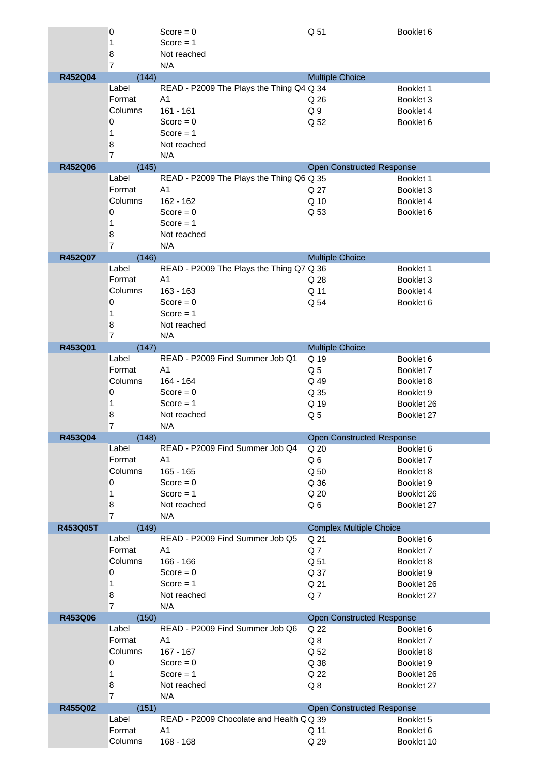|          | 0                       | Score = $0$                              | Q 51                             | Booklet 6  |
|----------|-------------------------|------------------------------------------|----------------------------------|------------|
|          | 1                       | Score $= 1$                              |                                  |            |
|          | 8<br>$\overline{7}$     | Not reached<br>N/A                       |                                  |            |
| R452Q04  | (144)                   |                                          | <b>Multiple Choice</b>           |            |
|          | Label                   | READ - P2009 The Plays the Thing Q4 Q 34 |                                  | Booklet 1  |
|          | Format                  | A <sub>1</sub>                           | Q 26                             | Booklet 3  |
|          | Columns                 | $161 - 161$                              | Q <sub>9</sub>                   | Booklet 4  |
|          | 0                       | Score = $0$                              | Q 52                             | Booklet 6  |
|          | 1                       | $Score = 1$                              |                                  |            |
|          |                         |                                          |                                  |            |
|          | 8<br>$\overline{7}$     | Not reached<br>N/A                       |                                  |            |
| R452Q06  | (145)                   |                                          | <b>Open Constructed Response</b> |            |
|          | Label                   | READ - P2009 The Plays the Thing Q6 Q 35 |                                  | Booklet 1  |
|          | Format                  | A <sub>1</sub>                           | Q 27                             | Booklet 3  |
|          | Columns                 | 162 - 162                                | Q 10                             | Booklet 4  |
|          | 0                       | Score = $0$                              | Q 53                             | Booklet 6  |
|          | 1                       | Score $= 1$                              |                                  |            |
|          |                         |                                          |                                  |            |
|          | 8<br>$\overline{7}$     | Not reached<br>N/A                       |                                  |            |
| R452Q07  | (146)                   |                                          | <b>Multiple Choice</b>           |            |
|          | Label                   | READ - P2009 The Plays the Thing Q7 Q 36 |                                  | Booklet 1  |
|          | Format                  | A <sub>1</sub>                           | Q 28                             | Booklet 3  |
|          | Columns                 | 163 - 163                                | Q 11                             | Booklet 4  |
|          | 0                       | Score = $0$                              | Q 54                             | Booklet 6  |
|          | 1                       | Score $= 1$                              |                                  |            |
|          | 8                       | Not reached                              |                                  |            |
|          | $\overline{7}$          | N/A                                      |                                  |            |
| R453Q01  | (147)                   |                                          | <b>Multiple Choice</b>           |            |
|          | Label                   | READ - P2009 Find Summer Job Q1          | Q 19                             | Booklet 6  |
|          | Format                  | A <sub>1</sub>                           | Q <sub>5</sub>                   | Booklet 7  |
|          | Columns                 | 164 - 164                                | Q 49                             | Booklet 8  |
|          | 0                       | Score = $0$                              | Q 35                             | Booklet 9  |
|          | 1                       | $Score = 1$                              | Q 19                             | Booklet 26 |
|          | 8                       | Not reached                              |                                  |            |
|          | 7                       | N/A                                      | Q <sub>5</sub>                   | Booklet 27 |
| R453Q04  | (148)                   |                                          | <b>Open Constructed Response</b> |            |
|          | Label                   | READ - P2009 Find Summer Job Q4          | Q 20                             | Booklet 6  |
|          | Format                  | A1                                       | Q6                               | Booklet 7  |
|          | Columns                 | $165 - 165$                              | Q 50                             | Booklet 8  |
|          | 0                       | $Score = 0$                              | Q 36                             | Booklet 9  |
|          | 1                       | $Score = 1$                              | Q 20                             | Booklet 26 |
|          | 8                       | Not reached                              | Q6                               | Booklet 27 |
|          | $\overline{7}$          | N/A                                      |                                  |            |
| R453Q05T | (149)                   |                                          | <b>Complex Multiple Choice</b>   |            |
|          | Label                   | READ - P2009 Find Summer Job Q5          | Q 21                             | Booklet 6  |
|          | Format                  | A <sub>1</sub>                           | Q7                               | Booklet 7  |
|          | Columns                 | $166 - 166$                              | Q 51                             | Booklet 8  |
|          | 0                       | Score = $0$                              | Q 37                             | Booklet 9  |
|          | 1                       | Score $= 1$                              | Q 21                             | Booklet 26 |
|          | 8                       | Not reached                              | Q <sub>7</sub>                   | Booklet 27 |
| R453Q06  | $\overline{7}$<br>(150) | N/A                                      | <b>Open Constructed Response</b> |            |
|          | Label                   | READ - P2009 Find Summer Job Q6          | Q 22                             | Booklet 6  |
|          | Format                  | A <sub>1</sub>                           | Q8                               | Booklet 7  |
|          | Columns                 | $167 - 167$                              |                                  |            |
|          |                         |                                          | Q 52                             | Booklet 8  |
|          | 0                       | Score = $0$                              | Q 38                             | Booklet 9  |
|          | 1                       | Score $= 1$                              | Q 22                             | Booklet 26 |
|          | 8                       | Not reached                              | $Q_8$                            | Booklet 27 |
| R455Q02  | $\overline{7}$<br>(151) | N/A                                      | <b>Open Constructed Response</b> |            |
|          | Label                   | READ - P2009 Chocolate and Health QQ 39  |                                  | Booklet 5  |
|          | Format                  | A <sub>1</sub>                           | Q 11                             | Booklet 6  |
|          | Columns                 | $168 - 168$                              | Q 29                             | Booklet 10 |
|          |                         |                                          |                                  |            |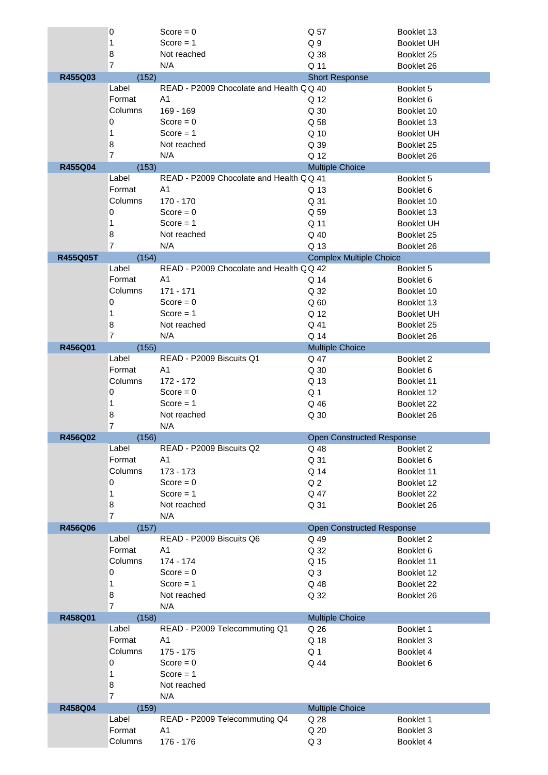|                 | 0                 | Score = $0$                              | Q 57                             | Booklet 13             |
|-----------------|-------------------|------------------------------------------|----------------------------------|------------------------|
|                 | 1                 | Score $= 1$                              | Q <sub>9</sub>                   | <b>Booklet UH</b>      |
|                 | 8                 | Not reached                              | Q 38                             | Booklet 25             |
|                 | $\overline{7}$    | N/A                                      | Q 11                             | Booklet 26             |
| R455Q03         | (152)             |                                          | <b>Short Response</b>            |                        |
|                 | Label             | READ - P2009 Chocolate and Health Q Q 40 |                                  | Booklet 5              |
|                 | Format            | A <sub>1</sub>                           | Q 12                             | Booklet 6              |
|                 | Columns           | 169 - 169                                | Q 30                             | Booklet 10             |
|                 | 0                 | Score = $0$                              | Q 58                             | Booklet 13             |
|                 | 1                 | Score $= 1$                              | Q 10                             | <b>Booklet UH</b>      |
|                 | 8                 | Not reached                              | Q 39                             | Booklet 25             |
|                 | $\overline{7}$    | N/A                                      | Q 12                             | Booklet 26             |
|                 |                   |                                          |                                  |                        |
| R455Q04         | (153)             |                                          | <b>Multiple Choice</b>           |                        |
|                 | Label             | READ - P2009 Chocolate and Health QQ 41  |                                  | Booklet 5              |
|                 | Format            | A <sub>1</sub>                           | Q 13                             | Booklet 6              |
|                 | Columns           | $170 - 170$                              | Q 31                             | Booklet 10             |
|                 | 0                 | Score = $0$                              | Q 59                             | Booklet 13             |
|                 | 1                 | $Score = 1$                              | Q 11                             | <b>Booklet UH</b>      |
|                 | 8                 | Not reached                              | Q 40                             | Booklet 25             |
|                 | $\overline{7}$    | N/A                                      | Q 13                             | Booklet 26             |
| <b>R455Q05T</b> | (154)             |                                          | <b>Complex Multiple Choice</b>   |                        |
|                 | Label             | READ - P2009 Chocolate and Health QQ 42  |                                  | Booklet 5              |
|                 | Format            | A <sub>1</sub>                           | Q 14                             | Booklet 6              |
|                 | Columns           | $171 - 171$                              | Q 32                             | Booklet 10             |
|                 | 0                 | Score = $0$                              |                                  |                        |
|                 |                   |                                          | Q <sub>60</sub>                  | Booklet 13             |
|                 | 1                 | Score $= 1$                              | Q 12                             | <b>Booklet UH</b>      |
|                 | 8                 | Not reached                              | Q 41                             | Booklet 25             |
|                 | $\overline{7}$    | N/A                                      | Q 14                             | Booklet 26             |
| R456Q01         | (155)             |                                          | <b>Multiple Choice</b>           |                        |
|                 | Label             | READ - P2009 Biscuits Q1                 | Q 47                             | Booklet 2              |
|                 | Format            | A <sub>1</sub>                           | Q 30                             | Booklet 6              |
|                 | Columns           | 172 - 172                                | Q 13                             | Booklet 11             |
|                 | 0                 | Score = $0$                              | Q 1                              | Booklet 12             |
|                 | 1                 | $Score = 1$                              | Q 46                             | Booklet 22             |
|                 |                   |                                          |                                  |                        |
|                 | 8                 | Not reached                              | Q 30                             | Booklet 26             |
|                 | 7                 | N/A                                      |                                  |                        |
| R456Q02         | (156)             |                                          | <b>Open Constructed Response</b> |                        |
|                 | Label             | READ - P2009 Biscuits Q2                 | Q 48                             | Booklet 2              |
|                 | Format            | A1                                       | Q 31                             | Booklet 6              |
|                 | Columns           | 173 - 173                                | Q 14                             | Booklet 11             |
|                 | 0                 | $Score = 0$                              | Q <sub>2</sub>                   | Booklet 12             |
|                 | 1                 | $Score = 1$                              | Q 47                             | Booklet 22             |
|                 | 8                 | Not reached                              | Q 31                             | Booklet 26             |
|                 | $\overline{7}$    | N/A                                      |                                  |                        |
| R456Q06         | (157)             |                                          | <b>Open Constructed Response</b> |                        |
|                 | Label             | READ - P2009 Biscuits Q6                 | Q 49                             | Booklet 2              |
|                 | Format            | A <sub>1</sub>                           | Q 32                             | Booklet 6              |
|                 | Columns           | 174 - 174                                | Q 15                             | Booklet 11             |
|                 | 0                 | $Score = 0$                              | Q <sub>3</sub>                   | Booklet 12             |
|                 |                   |                                          |                                  |                        |
|                 | 1                 | Score $= 1$                              | Q 48                             | Booklet 22             |
|                 | 8                 | Not reached                              | Q 32                             | Booklet 26             |
|                 | $\overline{7}$    | N/A                                      |                                  |                        |
| R458Q01         | (158)             |                                          | <b>Multiple Choice</b>           |                        |
|                 | Label             | READ - P2009 Telecommuting Q1            | Q 26                             | Booklet 1              |
|                 | Format            | A <sub>1</sub>                           | Q 18                             | Booklet 3              |
|                 | Columns           | $175 - 175$                              | Q <sub>1</sub>                   | Booklet 4              |
|                 |                   |                                          |                                  |                        |
|                 | 0                 | Score = $0$                              | Q 44                             |                        |
|                 | 1                 | Score $= 1$                              |                                  | Booklet 6              |
|                 |                   |                                          |                                  |                        |
|                 | 8                 | Not reached                              |                                  |                        |
|                 | $\overline{7}$    | N/A                                      |                                  |                        |
| R458Q04         | (159)             |                                          | <b>Multiple Choice</b>           |                        |
|                 | Label             | READ - P2009 Telecommuting Q4            | Q 28                             | Booklet 1              |
|                 | Format<br>Columns | A <sub>1</sub><br>176 - 176              | Q 20<br>Q <sub>3</sub>           | Booklet 3<br>Booklet 4 |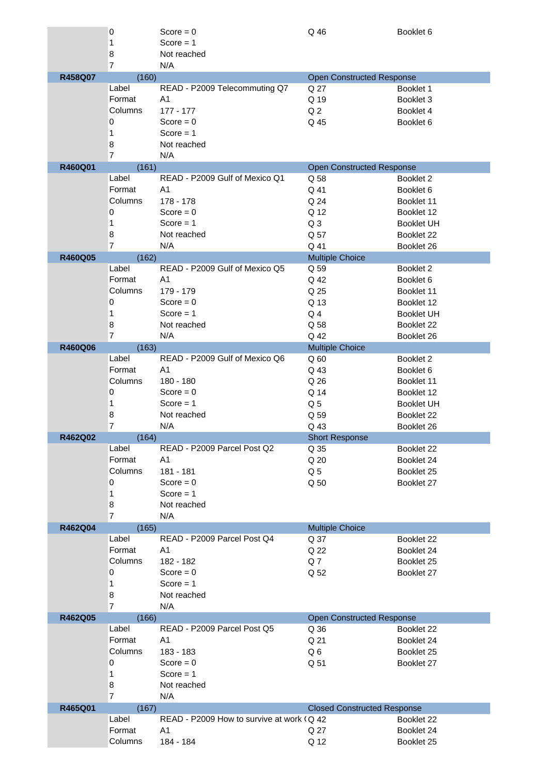|         | 0                   | Score = $0$                                | Q 46                                     | Booklet 6         |
|---------|---------------------|--------------------------------------------|------------------------------------------|-------------------|
|         | 1                   | Score $= 1$                                |                                          |                   |
|         | 8                   | Not reached                                |                                          |                   |
|         | $\overline{7}$      | N/A                                        |                                          |                   |
| R458Q07 | (160)               |                                            | <b>Open Constructed Response</b>         |                   |
|         | Label               | READ - P2009 Telecommuting Q7              | Q 27                                     | Booklet 1         |
|         | Format              | A1                                         | Q 19                                     | Booklet 3         |
|         | Columns             | $177 - 177$                                | Q <sub>2</sub>                           | Booklet 4         |
|         | 0                   | Score = $0$                                | Q 45                                     | Booklet 6         |
|         | 1                   | Score $= 1$                                |                                          |                   |
|         | 8                   | Not reached                                |                                          |                   |
|         | $\overline{7}$      | N/A                                        |                                          |                   |
| R460Q01 | (161)               |                                            | <b>Open Constructed Response</b>         |                   |
|         | Label               | READ - P2009 Gulf of Mexico Q1             | Q 58                                     | Booklet 2         |
|         | Format              | A1                                         | Q 41                                     | Booklet 6         |
|         | Columns             | 178 - 178                                  | Q 24                                     | Booklet 11        |
|         | 0                   | Score = $0$                                | Q 12                                     | Booklet 12        |
|         | 1                   | Score $= 1$                                | Q <sub>3</sub>                           | <b>Booklet UH</b> |
|         | 8                   | Not reached                                | Q 57                                     | Booklet 22        |
|         | $\overline{7}$      | N/A                                        | Q 41                                     | Booklet 26        |
| R460Q05 | (162)               |                                            | <b>Multiple Choice</b>                   |                   |
|         | Label               | READ - P2009 Gulf of Mexico Q5             | Q 59                                     | Booklet 2         |
|         | Format              | A <sub>1</sub>                             | Q 42                                     | Booklet 6         |
|         | Columns             | 179 - 179                                  | Q 25                                     | Booklet 11        |
|         | 0                   | Score = $0$                                | Q 13                                     | Booklet 12        |
|         | 1                   | Score $= 1$                                | Q <sub>4</sub>                           | <b>Booklet UH</b> |
|         | 8                   | Not reached                                | Q 58                                     | Booklet 22        |
|         | $\overline{7}$      | N/A                                        | Q 42                                     | Booklet 26        |
| R460Q06 | (163)               |                                            | <b>Multiple Choice</b>                   |                   |
|         | Label               | READ - P2009 Gulf of Mexico Q6             | Q60                                      | Booklet 2         |
|         | Format              | A <sub>1</sub>                             | Q 43                                     | Booklet 6         |
|         | Columns             | 180 - 180                                  | Q 26                                     | Booklet 11        |
|         | 0                   | Score = $0$                                | Q 14                                     | Booklet 12        |
|         | 1                   | Score $= 1$                                | Q <sub>5</sub>                           | <b>Booklet UH</b> |
|         | 8                   | Not reached                                | Q 59                                     | Booklet 22        |
|         | 7                   | N/A                                        | Q 43                                     | Booklet 26        |
| R462Q02 | (164)               |                                            | <b>Short Response</b>                    |                   |
|         | Label               | READ - P2009 Parcel Post Q2                | Q 35                                     | Booklet 22        |
|         | Format              | A <sub>1</sub>                             | Q 20                                     | Booklet 24        |
|         | Columns             | 181 - 181                                  | Q <sub>5</sub>                           | Booklet 25        |
|         | 0                   | $Score = 0$                                | Q 50                                     | Booklet 27        |
|         | 1                   | Score $= 1$                                |                                          |                   |
|         | 8                   | Not reached                                |                                          |                   |
|         | $\overline{7}$      | N/A                                        |                                          |                   |
| R462Q04 | (165)               | READ - P2009 Parcel Post Q4                | <b>Multiple Choice</b>                   |                   |
|         | Label               |                                            | Q 37                                     | Booklet 22        |
|         | Format              | A <sub>1</sub>                             | Q 22                                     | Booklet 24        |
|         | Columns             | 182 - 182                                  | Q7                                       | Booklet 25        |
|         | 0                   | $Score = 0$                                | Q 52                                     | Booklet 27        |
|         | 1                   | Score $= 1$                                |                                          |                   |
|         | 8<br>$\overline{7}$ | Not reached<br>N/A                         |                                          |                   |
|         |                     |                                            |                                          |                   |
| R462Q05 | (166)<br>Label      | READ - P2009 Parcel Post Q5                | <b>Open Constructed Response</b><br>Q 36 | Booklet 22        |
|         | Format              | A <sub>1</sub>                             | Q 21                                     | Booklet 24        |
|         | Columns             |                                            |                                          |                   |
|         |                     | 183 - 183                                  | Q6                                       | Booklet 25        |
|         | 0                   | Score = $0$<br>Score $= 1$                 | Q 51                                     | Booklet 27        |
|         | 1                   | Not reached                                |                                          |                   |
|         | 8<br>$\overline{7}$ | N/A                                        |                                          |                   |
| R465Q01 | (167)               |                                            | <b>Closed Constructed Response</b>       |                   |
|         | Label               | READ - P2009 How to survive at work (Q 42) |                                          | Booklet 22        |
|         | Format              | A <sub>1</sub>                             | Q 27                                     | Booklet 24        |
|         | Columns             | 184 - 184                                  | Q 12                                     | Booklet 25        |
|         |                     |                                            |                                          |                   |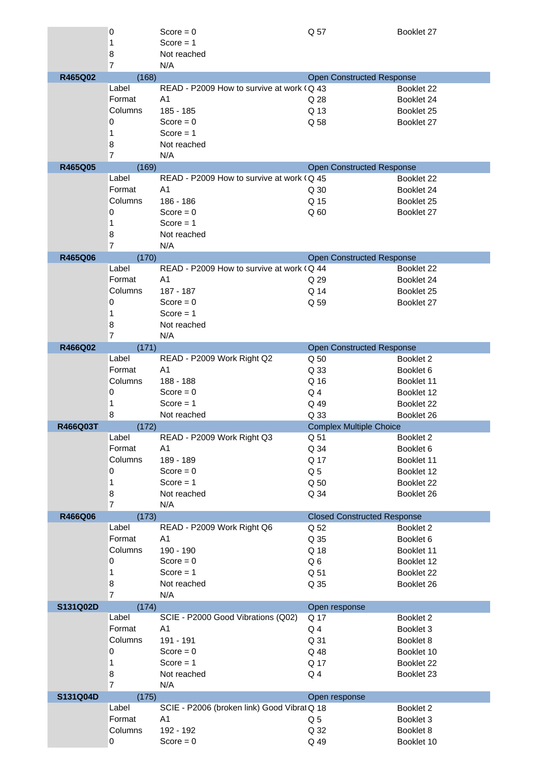|          | 0              | Score = $0$                                 | Q 57                               | Booklet 27           |
|----------|----------------|---------------------------------------------|------------------------------------|----------------------|
|          | 1              | Score = $1$                                 |                                    |                      |
|          | 8              | Not reached                                 |                                    |                      |
|          | $\overline{7}$ | N/A                                         |                                    |                      |
| R465Q02  | (168)<br>Label | READ - P2009 How to survive at work (Q 43   | <b>Open Constructed Response</b>   | Booklet 22           |
|          | Format         | A <sub>1</sub>                              | Q 28                               | Booklet 24           |
|          | Columns        | 185 - 185                                   | Q 13                               | Booklet 25           |
|          | 0              | Score = $0$                                 | Q 58                               | Booklet 27           |
|          | 1              | $Score = 1$                                 |                                    |                      |
|          | 8              | Not reached                                 |                                    |                      |
|          | $\overline{7}$ | N/A                                         |                                    |                      |
| R465Q05  | (169)          |                                             | <b>Open Constructed Response</b>   |                      |
|          | Label          | READ - P2009 How to survive at work (Q 45   |                                    | Booklet 22           |
|          | Format         | A <sub>1</sub>                              | Q 30                               | Booklet 24           |
|          | Columns        | 186 - 186                                   | Q 15                               | Booklet 25           |
|          | 0              | Score = $0$                                 | Q <sub>60</sub>                    | Booklet 27           |
|          | 1              | Score $= 1$                                 |                                    |                      |
|          | 8              | Not reached                                 |                                    |                      |
|          | $\overline{7}$ | N/A                                         |                                    |                      |
| R465Q06  | (170)          |                                             | <b>Open Constructed Response</b>   |                      |
|          | Label          | READ - P2009 How to survive at work (Q 44   |                                    | Booklet 22           |
|          | Format         | A <sub>1</sub>                              | Q 29                               | Booklet 24           |
|          | Columns        | 187 - 187                                   | Q 14                               | Booklet 25           |
|          | 0              | Score = $0$                                 | Q 59                               | Booklet 27           |
|          | 1              | Score $= 1$                                 |                                    |                      |
|          | 8              | Not reached                                 |                                    |                      |
|          | $\overline{7}$ | N/A                                         |                                    |                      |
| R466Q02  | (171)          |                                             | <b>Open Constructed Response</b>   |                      |
|          | Label          | READ - P2009 Work Right Q2                  | Q 50                               | Booklet 2            |
|          | Format         | A <sub>1</sub>                              | Q 33                               | Booklet 6            |
|          | Columns        | 188 - 188                                   | Q 16                               | Booklet 11           |
|          | 0              | Score = $0$                                 | Q4                                 | Booklet 12           |
|          | 1              | $Score = 1$                                 | Q 49                               | Booklet 22           |
|          | 8              | Not reached                                 | Q 33                               | Booklet 26           |
| R466Q03T | (172)          |                                             | <b>Complex Multiple Choice</b>     |                      |
|          | Label          | READ - P2009 Work Right Q3                  | Q 51                               | Booklet <sub>2</sub> |
|          | Format         | A1                                          | Q 34                               | Booklet 6            |
|          | Columns        | 189 - 189                                   | Q 17                               | Booklet 11           |
|          | 0              | Score = $0$                                 | Q <sub>5</sub>                     | Booklet 12           |
|          | $\mathbf{1}$   | Score $= 1$                                 | Q 50                               | Booklet 22           |
|          | 8              | Not reached                                 | Q 34                               | Booklet 26           |
|          | $\overline{7}$ | N/A                                         |                                    |                      |
| R466Q06  | (173)          |                                             | <b>Closed Constructed Response</b> |                      |
|          | Label          | READ - P2009 Work Right Q6                  | Q 52                               | Booklet 2            |
|          | Format         | A <sub>1</sub>                              | Q 35                               | Booklet 6            |
|          | Columns        | 190 - 190                                   | Q 18                               | Booklet 11           |
|          | 0              | $Score = 0$                                 | Q6                                 | Booklet 12           |
|          | $\mathbf{1}$   | Score $= 1$                                 | Q 51                               | Booklet 22           |
|          | 8              | Not reached                                 | Q 35                               | Booklet 26           |
|          | $\overline{7}$ | N/A                                         |                                    |                      |
| S131Q02D | (174)          |                                             | Open response                      |                      |
|          | Label          | SCIE - P2000 Good Vibrations (Q02)          | Q 17                               | Booklet 2            |
|          | Format         | A <sub>1</sub>                              | Q <sub>4</sub>                     | Booklet 3            |
|          | Columns        | 191 - 191                                   | Q 31                               | Booklet 8            |
|          | 0              | Score = $0$                                 | Q 48                               | Booklet 10           |
|          | 1              | Score $= 1$                                 | Q 17                               | Booklet 22           |
|          | 8              | Not reached                                 | Q <sub>4</sub>                     | Booklet 23           |
|          | $\overline{7}$ | N/A                                         |                                    |                      |
| S131Q04D | (175)<br>Label | SCIE - P2006 (broken link) Good Vibrat Q 18 | Open response                      |                      |
|          | Format         | A <sub>1</sub>                              |                                    | Booklet 2            |
|          |                |                                             | Q <sub>5</sub>                     | Booklet 3            |
|          | Columns<br>0   | 192 - 192<br>Score = $0$                    | Q 32<br>Q 49                       | Booklet 8            |
|          |                |                                             |                                    | Booklet 10           |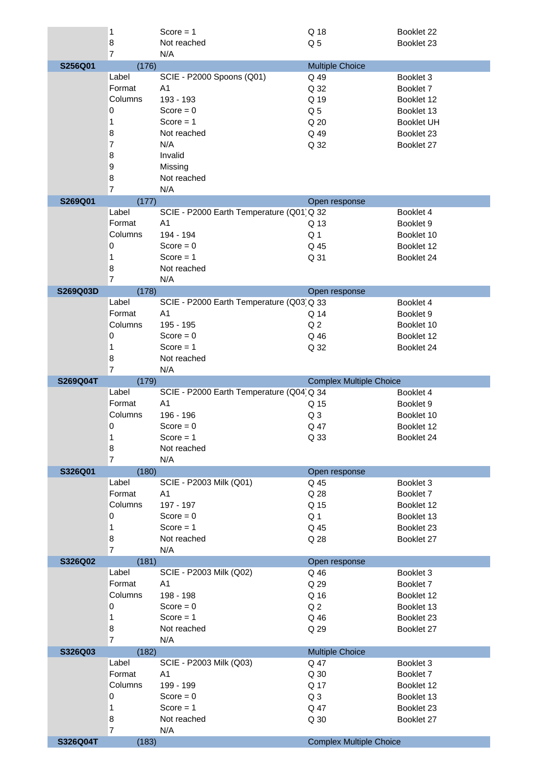|          | 1                       | Score $= 1$                              | Q 18                           | Booklet 22        |
|----------|-------------------------|------------------------------------------|--------------------------------|-------------------|
|          | 8<br>$\overline{7}$     | Not reached<br>N/A                       | Q <sub>5</sub>                 | Booklet 23        |
| S256Q01  | (176)                   |                                          | <b>Multiple Choice</b>         |                   |
|          | Label                   | SCIE - P2000 Spoons (Q01)                | Q 49                           | Booklet 3         |
|          | Format                  | A <sub>1</sub>                           | Q 32                           | Booklet 7         |
|          | Columns                 | 193 - 193                                | Q 19                           | Booklet 12        |
|          | $\mathbf 0$             | Score = $0$                              | Q <sub>5</sub>                 | Booklet 13        |
|          | 1                       | Score $= 1$                              | Q 20                           | <b>Booklet UH</b> |
|          | 8                       | Not reached                              | Q 49                           | Booklet 23        |
|          | $\overline{7}$          | N/A                                      | Q 32                           | Booklet 27        |
|          | 8                       | Invalid                                  |                                |                   |
|          | 9                       | Missing                                  |                                |                   |
|          | 8<br>$\overline{7}$     | Not reached<br>N/A                       |                                |                   |
| S269Q01  | (177)                   |                                          | Open response                  |                   |
|          | Label                   | SCIE - P2000 Earth Temperature (Q01 Q 32 |                                | Booklet 4         |
|          | Format                  | A <sub>1</sub>                           | Q 13                           | Booklet 9         |
|          | Columns                 | 194 - 194                                | Q <sub>1</sub>                 | Booklet 10        |
|          | $\mathbf 0$             | Score = $0$                              | Q 45                           | Booklet 12        |
|          | 1                       | Score $= 1$                              | Q 31                           | Booklet 24        |
|          | 8                       | Not reached                              |                                |                   |
|          | $\overline{7}$          | N/A                                      |                                |                   |
| S269Q03D | (178)<br>Label          | SCIE - P2000 Earth Temperature (Q03 Q 33 | Open response                  | Booklet 4         |
|          | Format                  | A <sub>1</sub>                           | Q 14                           | Booklet 9         |
|          | Columns                 | 195 - 195                                | Q <sub>2</sub>                 | Booklet 10        |
|          | $\pmb{0}$               | Score = $0$                              | Q 46                           | Booklet 12        |
|          | 1                       | Score $= 1$                              | Q 32                           | Booklet 24        |
|          | 8                       | Not reached                              |                                |                   |
|          | $\overline{7}$          | N/A                                      |                                |                   |
| S269Q04T | (179)                   |                                          | <b>Complex Multiple Choice</b> |                   |
|          | Label                   | SCIE - P2000 Earth Temperature (Q04 Q 34 |                                | Booklet 4         |
|          | Format                  | A <sub>1</sub>                           | Q 15                           | Booklet 9         |
|          | Columns                 | 196 - 196                                | Q <sub>3</sub>                 | Booklet 10        |
|          | 0                       | $Score = 0$                              | Q 47                           | Booklet 12        |
|          | 1<br>8                  | $Score = 1$<br>Not reached               | Q 33                           | Booklet 24        |
|          | $\overline{7}$          | N/A                                      |                                |                   |
| S326Q01  | (180)                   |                                          | Open response                  |                   |
|          | Label                   | SCIE - P2003 Milk (Q01)                  | Q 45                           | Booklet 3         |
|          | Format                  | A <sub>1</sub>                           | Q 28                           | Booklet 7         |
|          | Columns                 | 197 - 197                                | Q 15                           | Booklet 12        |
|          | 0                       | Score = $0$                              | Q <sub>1</sub>                 | Booklet 13        |
|          | 1                       | Score $= 1$                              | Q 45                           | Booklet 23        |
|          | 8                       | Not reached                              | Q 28                           | Booklet 27        |
| S326Q02  | $\overline{7}$<br>(181) | N/A                                      | Open response                  |                   |
|          | Label                   | SCIE - P2003 Milk (Q02)                  | Q 46                           | Booklet 3         |
|          | Format                  | A <sub>1</sub>                           | Q 29                           | Booklet 7         |
|          | Columns                 | 198 - 198                                | Q 16                           | Booklet 12        |
|          | $\pmb{0}$               | Score = $0$                              | Q <sub>2</sub>                 | Booklet 13        |
|          | 1                       | Score $= 1$                              | Q 46                           | Booklet 23        |
|          | 8                       | Not reached                              | Q 29                           | Booklet 27        |
|          | $\overline{7}$          | N/A                                      |                                |                   |
| S326Q03  | (182)<br>Label          | SCIE - P2003 Milk (Q03)                  | <b>Multiple Choice</b><br>Q 47 | Booklet 3         |
|          | Format                  | A <sub>1</sub>                           | Q 30                           | Booklet 7         |
|          | Columns                 | 199 - 199                                | Q 17                           | Booklet 12        |
|          | 0                       | Score = $0$                              | Q <sub>3</sub>                 | Booklet 13        |
|          | 1                       | Score $= 1$                              | Q 47                           | Booklet 23        |
|          | 8                       | Not reached                              | Q 30                           | Booklet 27        |
|          | $\overline{7}$          | N/A                                      |                                |                   |
| S326Q04T | (183)                   |                                          | <b>Complex Multiple Choice</b> |                   |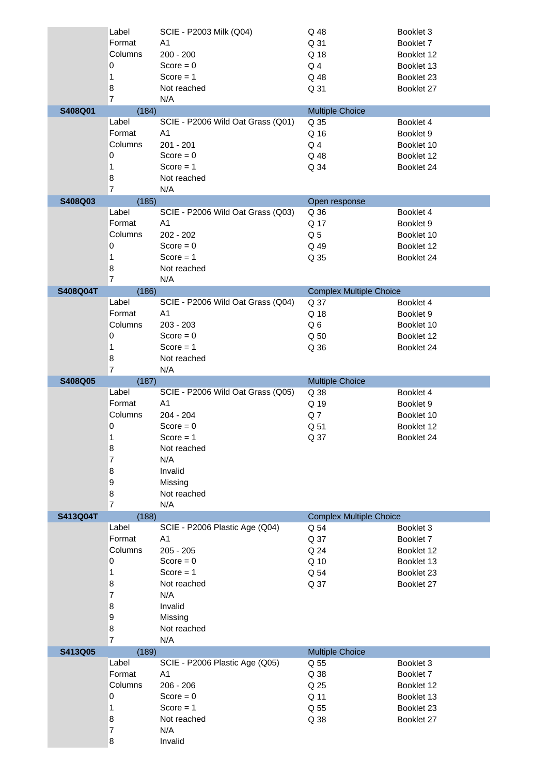|                 | Label          | SCIE - P2003 Milk (Q04)           | Q 48                           | Booklet 3  |
|-----------------|----------------|-----------------------------------|--------------------------------|------------|
|                 | Format         | A <sub>1</sub>                    | Q 31                           | Booklet 7  |
|                 | Columns        | $200 - 200$                       | Q 18                           | Booklet 12 |
|                 | 0              | $Score = 0$                       | $Q_4$                          | Booklet 13 |
|                 | 1              | Score $= 1$                       | Q 48                           | Booklet 23 |
|                 | 8              | Not reached                       | Q 31                           |            |
|                 | $\overline{7}$ |                                   |                                | Booklet 27 |
|                 |                | N/A                               |                                |            |
| S408Q01         | (184)          |                                   | <b>Multiple Choice</b>         |            |
|                 | Label          | SCIE - P2006 Wild Oat Grass (Q01) | Q 35                           | Booklet 4  |
|                 | Format         | A1                                | Q 16                           | Booklet 9  |
|                 | Columns        | 201 - 201                         | Q <sub>4</sub>                 | Booklet 10 |
|                 | 0              | Score = $0$                       | Q 48                           | Booklet 12 |
|                 | 1              | Score $= 1$                       | Q 34                           | Booklet 24 |
|                 | 8              | Not reached                       |                                |            |
|                 | $\overline{7}$ | N/A                               |                                |            |
| S408Q03         | (185)          |                                   | Open response                  |            |
|                 | Label          | SCIE - P2006 Wild Oat Grass (Q03) | Q 36                           | Booklet 4  |
|                 | Format         | A <sub>1</sub>                    | Q 17                           | Booklet 9  |
|                 | Columns        | 202 - 202                         | Q <sub>5</sub>                 | Booklet 10 |
|                 | 0              | Score = $0$                       | Q 49                           | Booklet 12 |
|                 |                |                                   |                                |            |
|                 | 1              | Score $= 1$                       | Q 35                           | Booklet 24 |
|                 | 8              | Not reached                       |                                |            |
|                 | $\overline{7}$ | N/A                               |                                |            |
| S408Q04T        | (186)          |                                   | <b>Complex Multiple Choice</b> |            |
|                 | Label          | SCIE - P2006 Wild Oat Grass (Q04) | Q 37                           | Booklet 4  |
|                 | Format         | A <sub>1</sub>                    | Q 18                           | Booklet 9  |
|                 | Columns        | $203 - 203$                       | Q6                             | Booklet 10 |
|                 | 0              | Score = $0$                       | Q 50                           | Booklet 12 |
|                 | 1              | Score $= 1$                       | Q 36                           | Booklet 24 |
|                 | 8              | Not reached                       |                                |            |
|                 | $\overline{7}$ | N/A                               |                                |            |
| S408Q05         | (187)          |                                   | <b>Multiple Choice</b>         |            |
|                 | Label          | SCIE - P2006 Wild Oat Grass (Q05) | Q 38                           | Booklet 4  |
|                 | Format         | A <sub>1</sub>                    | Q 19                           | Booklet 9  |
|                 | Columns        | $204 - 204$                       | Q7                             | Booklet 10 |
|                 |                |                                   |                                |            |
|                 |                |                                   |                                |            |
|                 | 0              | Score = $0$                       | Q 51                           | Booklet 12 |
|                 | 1              | $Score = 1$                       | Q 37                           | Booklet 24 |
|                 | 8              | Not reached                       |                                |            |
|                 | 7              | N/A                               |                                |            |
|                 | 8              | Invalid                           |                                |            |
|                 | 9              | Missing                           |                                |            |
|                 | 8              | Not reached                       |                                |            |
|                 | $\overline{7}$ | N/A                               |                                |            |
| <b>S413Q04T</b> | (188)          |                                   | <b>Complex Multiple Choice</b> |            |
|                 | Label          | SCIE - P2006 Plastic Age (Q04)    | Q 54                           | Booklet 3  |
|                 | Format         | A <sub>1</sub>                    | Q 37                           | Booklet 7  |
|                 | Columns        | $205 - 205$                       | Q 24                           | Booklet 12 |
|                 |                |                                   |                                |            |
|                 | 0              | $Score = 0$                       | Q 10                           | Booklet 13 |
|                 | 1              | Score $= 1$                       | Q 54                           | Booklet 23 |
|                 | 8              | Not reached                       | Q 37                           | Booklet 27 |
|                 | 7              | N/A                               |                                |            |
|                 | 8              | Invalid                           |                                |            |
|                 | 9              | Missing                           |                                |            |
|                 | 8              | Not reached                       |                                |            |
|                 | $\overline{7}$ | N/A                               |                                |            |
| S413Q05         | (189)          |                                   | <b>Multiple Choice</b>         |            |
|                 | Label          | SCIE - P2006 Plastic Age (Q05)    | Q 55                           | Booklet 3  |
|                 | Format         | A <sub>1</sub>                    | Q 38                           | Booklet 7  |
|                 | Columns        | $206 - 206$                       | Q 25                           | Booklet 12 |
|                 | 0              | Score = $0$                       | Q 11                           | Booklet 13 |
|                 | 1              | Score $= 1$                       | Q 55                           | Booklet 23 |
|                 | 8              | Not reached                       | Q 38                           | Booklet 27 |
|                 | 7              | N/A                               |                                |            |
|                 | 8              | Invalid                           |                                |            |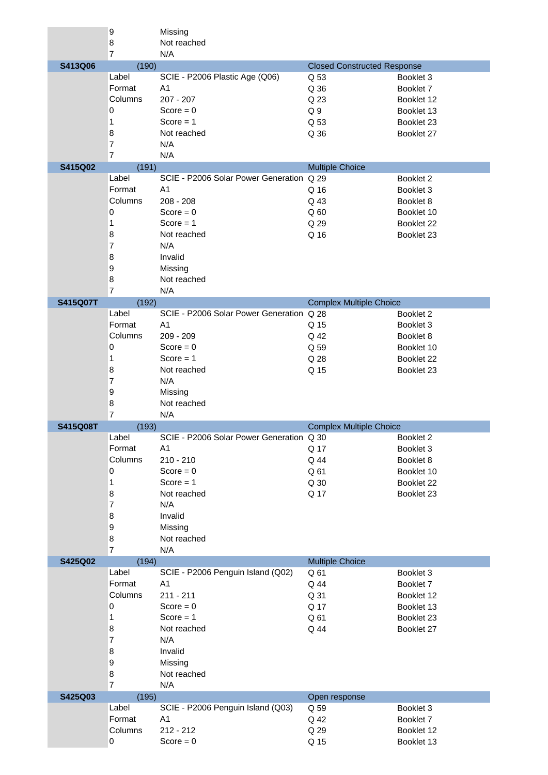|                 | 9              | Missing                                  |                                    |                          |
|-----------------|----------------|------------------------------------------|------------------------------------|--------------------------|
|                 | 8              | Not reached                              |                                    |                          |
|                 | $\overline{7}$ | N/A                                      |                                    |                          |
| S413Q06         | (190)          |                                          | <b>Closed Constructed Response</b> |                          |
|                 | Label          | SCIE - P2006 Plastic Age (Q06)           | Q 53                               | Booklet 3                |
|                 | Format         | A <sub>1</sub>                           | Q 36                               | Booklet 7                |
|                 | Columns        | $207 - 207$                              | Q 23                               | Booklet 12               |
|                 | 0              | Score = $0$                              | Q <sub>9</sub>                     | Booklet 13               |
|                 | 1              | Score $= 1$                              | Q 53                               | Booklet 23               |
|                 | 8              | Not reached                              | Q 36                               | Booklet 27               |
|                 | 7              | N/A                                      |                                    |                          |
|                 | $\overline{7}$ | N/A                                      |                                    |                          |
| S415Q02         | (191)          |                                          | <b>Multiple Choice</b>             |                          |
|                 | Label          | SCIE - P2006 Solar Power Generation Q 29 |                                    | Booklet 2                |
|                 | Format         | A <sub>1</sub>                           | Q 16                               | Booklet 3                |
|                 | Columns        | $208 - 208$                              | Q 43                               | Booklet 8                |
|                 | 0              | $Score = 0$                              | Q60                                | Booklet 10               |
|                 | 1              | Score $= 1$                              | Q 29                               | Booklet 22               |
|                 | 8              | Not reached                              | Q 16                               | Booklet 23               |
|                 | 7              | N/A                                      |                                    |                          |
|                 | 8              | Invalid                                  |                                    |                          |
|                 | 9              | Missing                                  |                                    |                          |
|                 | 8              | Not reached                              |                                    |                          |
|                 | $\overline{7}$ | N/A                                      |                                    |                          |
| <b>S415Q07T</b> | (192)          |                                          | <b>Complex Multiple Choice</b>     |                          |
|                 | Label          | SCIE - P2006 Solar Power Generation Q 28 |                                    | Booklet 2                |
|                 | Format         | A <sub>1</sub>                           | Q 15                               | Booklet 3                |
|                 | Columns        | $209 - 209$                              | Q 42                               | Booklet 8                |
|                 | $\pmb{0}$      | $Score = 0$                              | Q 59                               | Booklet 10               |
|                 | 1              | Score $= 1$                              | Q 28                               | Booklet 22               |
|                 | 8              | Not reached                              | Q 15                               | Booklet 23               |
|                 | 7              | N/A                                      |                                    |                          |
|                 | 9              | Missing                                  |                                    |                          |
|                 |                |                                          |                                    |                          |
|                 |                |                                          |                                    |                          |
|                 | 8              | Not reached                              |                                    |                          |
|                 | 7              | N/A                                      |                                    |                          |
| <b>S415Q08T</b> | (193)          |                                          | <b>Complex Multiple Choice</b>     |                          |
|                 | Label          | SCIE - P2006 Solar Power Generation Q 30 |                                    | Booklet 2                |
|                 | Format         | A1                                       | Q 17                               | Booklet 3                |
|                 | Columns        | 210 - 210                                | Q 44                               | Booklet 8                |
|                 | 0              | Score = $0$                              | Q 61                               | Booklet 10               |
|                 | 1              | Score $= 1$                              | Q 30                               | Booklet 22               |
|                 | 8              | Not reached                              | Q 17                               | Booklet 23               |
|                 | $\overline{7}$ | N/A                                      |                                    |                          |
|                 | 8              | Invalid                                  |                                    |                          |
|                 | 9              | Missing                                  |                                    |                          |
|                 | 8              | Not reached                              |                                    |                          |
|                 | $\overline{7}$ | N/A                                      |                                    |                          |
| S425Q02         | (194)          |                                          | <b>Multiple Choice</b>             |                          |
|                 | Label          | SCIE - P2006 Penguin Island (Q02)        | Q 61                               | Booklet 3                |
|                 | Format         | A <sub>1</sub>                           | Q 44                               | Booklet 7                |
|                 | Columns        | $211 - 211$                              | Q 31                               | Booklet 12               |
|                 | $\pmb{0}$      | Score = $0$                              | Q 17                               | Booklet 13               |
|                 | 1              | Score $= 1$                              | Q 61                               | Booklet 23               |
|                 | 8              | Not reached                              | Q 44                               | Booklet 27               |
|                 | $\overline{7}$ | N/A                                      |                                    |                          |
|                 | 8              | Invalid                                  |                                    |                          |
|                 | 9              | Missing                                  |                                    |                          |
|                 | $\bf8$         | Not reached                              |                                    |                          |
|                 | $\overline{7}$ | N/A                                      |                                    |                          |
| S425Q03         | (195)          |                                          | Open response                      |                          |
|                 | Label          | SCIE - P2006 Penguin Island (Q03)        | Q 59                               | Booklet 3                |
|                 | Format         | A <sub>1</sub>                           | Q 42                               | Booklet 7                |
|                 | Columns<br>0   | $212 - 212$<br>$Score = 0$               | Q 29<br>Q 15                       | Booklet 12<br>Booklet 13 |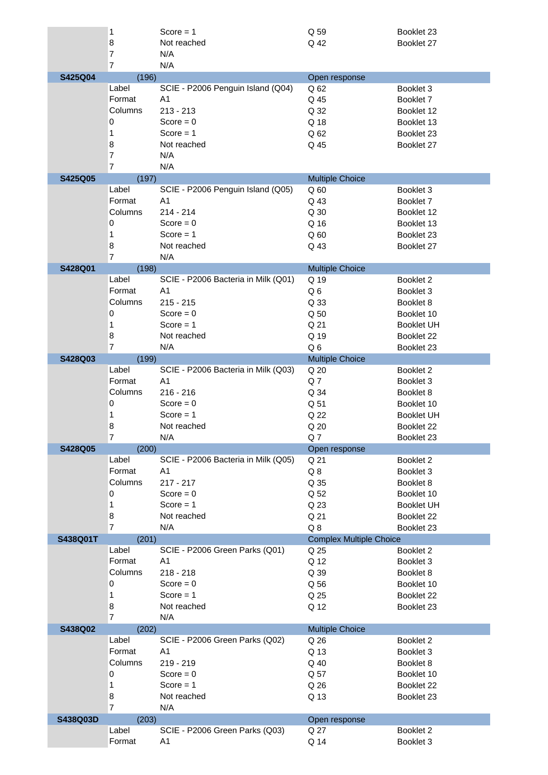|          | 1                   | Score $= 1$                         | Q 59                           | Booklet 23        |
|----------|---------------------|-------------------------------------|--------------------------------|-------------------|
|          | 8                   | Not reached                         | Q 42                           | Booklet 27        |
|          | 7                   | N/A                                 |                                |                   |
|          | $\overline{7}$      | N/A                                 |                                |                   |
| S425Q04  | (196)               |                                     | Open response                  |                   |
|          | Label               | SCIE - P2006 Penguin Island (Q04)   | Q 62                           | Booklet 3         |
|          | Format              | A <sub>1</sub>                      | Q 45                           | Booklet 7         |
|          | Columns             | $213 - 213$                         | Q 32                           | Booklet 12        |
|          | 0                   | Score = $0$                         | Q 18                           | Booklet 13        |
|          | 1                   | Score $= 1$                         | Q 62                           | Booklet 23        |
|          | 8                   | Not reached                         | Q 45                           | Booklet 27        |
|          | 7                   | N/A                                 |                                |                   |
|          | 7                   | N/A                                 |                                |                   |
| S425Q05  | (197)               |                                     | <b>Multiple Choice</b>         |                   |
|          | Label               | SCIE - P2006 Penguin Island (Q05)   | Q <sub>60</sub>                | Booklet 3         |
|          | Format              | A <sub>1</sub>                      | Q 43                           | Booklet 7         |
|          | Columns             | $214 - 214$                         | Q 30                           | Booklet 12        |
|          | 0                   | Score = $0$                         | Q 16                           | Booklet 13        |
|          | 1                   | Score $= 1$                         | Q <sub>60</sub>                | Booklet 23        |
|          | 8                   | Not reached                         | Q 43                           | Booklet 27        |
|          | $\overline{7}$      | N/A                                 |                                |                   |
| S428Q01  | (198)               |                                     | <b>Multiple Choice</b>         |                   |
|          | Label               | SCIE - P2006 Bacteria in Milk (Q01) | Q 19                           | Booklet 2         |
|          | Format              | A <sub>1</sub>                      | Q6                             | Booklet 3         |
|          | Columns             | $215 - 215$                         | Q 33                           | Booklet 8         |
|          | 0                   | Score = $0$                         | Q 50                           | Booklet 10        |
|          | 1                   | $Score = 1$                         | Q 21                           | <b>Booklet UH</b> |
|          | 8                   | Not reached                         | Q 19                           | Booklet 22        |
|          | $\overline{7}$      | N/A                                 |                                |                   |
| S428Q03  |                     |                                     | Q6                             | Booklet 23        |
|          | (199)<br>Label      | SCIE - P2006 Bacteria in Milk (Q03) | <b>Multiple Choice</b><br>Q 20 | Booklet 2         |
|          | Format              | A <sub>1</sub>                      | Q7                             | Booklet 3         |
|          | Columns             |                                     |                                |                   |
|          |                     | $216 - 216$<br>$Score = 0$          | Q 34                           | Booklet 8         |
|          | 0                   |                                     | Q 51                           | Booklet 10        |
|          | 1                   | Score $= 1$<br>Not reached          | Q 22                           | <b>Booklet UH</b> |
|          | 8                   |                                     | Q 20                           | Booklet 22        |
|          | 7                   | N/A                                 | Q 7                            | Booklet 23        |
| S428Q05  | (200)<br>Label      | SCIE - P2006 Bacteria in Milk (Q05) | Open response<br>Q 21          | Booklet 2         |
|          | Format              | A <sub>1</sub>                      | Q8                             | Booklet 3         |
|          | Columns             |                                     |                                |                   |
|          |                     | $217 - 217$                         | Q 35                           | Booklet 8         |
|          | 0                   | Score = $0$                         | Q 52                           | Booklet 10        |
|          | 1                   | Score $= 1$                         | Q 23                           | <b>Booklet UH</b> |
|          | 8<br>$\overline{7}$ | Not reached<br>N/A                  | Q 21                           | Booklet 22        |
|          |                     |                                     | $Q_8$                          | Booklet 23        |
| S438Q01T | (201)<br>Label      | SCIE - P2006 Green Parks (Q01)      | <b>Complex Multiple Choice</b> | Booklet 2         |
|          | Format              | A <sub>1</sub>                      | Q 25                           |                   |
|          | Columns             |                                     | Q 12                           | Booklet 3         |
|          |                     | $218 - 218$                         | Q 39                           | Booklet 8         |
|          | 0                   | $Score = 0$                         | Q 56                           | Booklet 10        |
|          | 1                   | Score $= 1$                         | Q 25                           | Booklet 22        |
|          | 8<br>$\overline{7}$ | Not reached                         | Q 12                           | Booklet 23        |
|          |                     | N/A                                 |                                |                   |
| S438Q02  | (202)               |                                     | <b>Multiple Choice</b>         |                   |
|          | Label               | SCIE - P2006 Green Parks (Q02)      | Q 26                           | Booklet 2         |
|          | Format              | A <sub>1</sub>                      | Q 13                           | Booklet 3         |
|          | Columns             | 219 - 219                           | Q 40                           | Booklet 8         |
|          | 0                   | Score = $0$                         | Q 57                           | Booklet 10        |
|          | 1                   | Score $= 1$                         | Q 26                           | Booklet 22        |
|          | 8                   | Not reached                         | Q 13                           | Booklet 23        |
|          | $\overline{7}$      | N/A                                 |                                |                   |
| S438Q03D | (203)               |                                     | Open response                  |                   |
|          | Label               | SCIE - P2006 Green Parks (Q03)      | Q 27                           | Booklet 2         |
|          | Format              | A <sub>1</sub>                      | Q 14                           | Booklet 3         |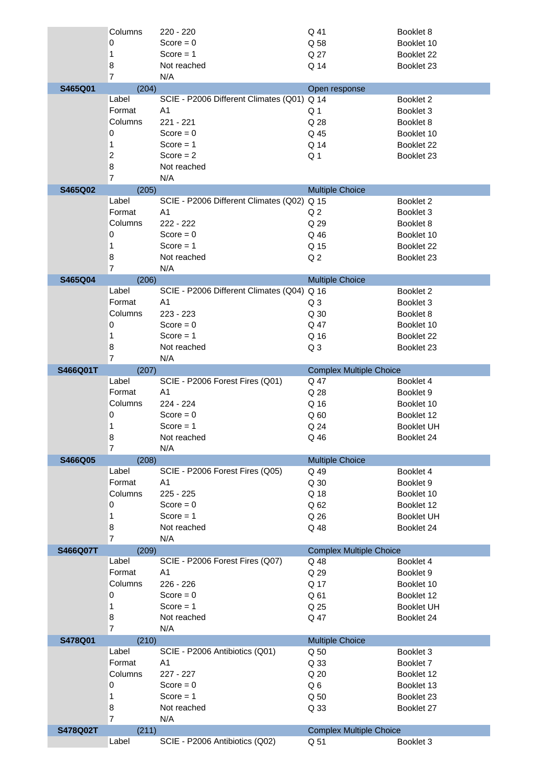|          | Columns        | 220 - 220                                  | Q 41                                   | Booklet 8         |
|----------|----------------|--------------------------------------------|----------------------------------------|-------------------|
|          | 0              | Score = $0$                                | Q 58                                   | Booklet 10        |
|          | 1              | Score $= 1$                                | Q 27                                   | Booklet 22        |
|          | 8              | Not reached                                | Q 14                                   | Booklet 23        |
|          | $\overline{7}$ | N/A                                        |                                        |                   |
| S465Q01  | (204)          |                                            | Open response                          |                   |
|          | Label          | SCIE - P2006 Different Climates (Q01) Q 14 |                                        | Booklet 2         |
|          | Format         | A <sub>1</sub>                             | Q 1                                    | Booklet 3         |
|          | Columns        | 221 - 221                                  | Q 28                                   | Booklet 8         |
|          | 0              | $Score = 0$                                | Q 45                                   | Booklet 10        |
|          | 1              | Score $= 1$                                | Q 14                                   | Booklet 22        |
|          | $\overline{c}$ | Score $= 2$                                | Q <sub>1</sub>                         | Booklet 23        |
|          | 8              | Not reached                                |                                        |                   |
|          | $\overline{7}$ | N/A                                        |                                        |                   |
| S465Q02  | (205)          |                                            | <b>Multiple Choice</b>                 |                   |
|          | Label          | SCIE - P2006 Different Climates (Q02)      | Q 15                                   | Booklet 2         |
|          | Format         | A <sub>1</sub>                             | Q <sub>2</sub>                         | Booklet 3         |
|          | Columns        | 222 - 222                                  | Q 29                                   | Booklet 8         |
|          | 0              | Score = $0$                                | Q 46                                   | Booklet 10        |
|          | 1              | $Score = 1$                                | Q 15                                   | Booklet 22        |
|          | 8              | Not reached                                | Q <sub>2</sub>                         | Booklet 23        |
|          | $\overline{7}$ | N/A                                        |                                        |                   |
| S465Q04  | (206)          |                                            | <b>Multiple Choice</b>                 |                   |
|          | Label          | SCIE - P2006 Different Climates (Q04) Q 16 |                                        | Booklet 2         |
|          | Format         | A <sub>1</sub>                             | Q <sub>3</sub>                         | Booklet 3         |
|          | Columns        | 223 - 223                                  | Q 30                                   | Booklet 8         |
|          | 0              | Score = $0$                                | Q 47                                   | Booklet 10        |
|          | 1              | Score $= 1$                                | Q 16                                   | Booklet 22        |
|          | 8              | Not reached                                | Q <sub>3</sub>                         | Booklet 23        |
|          | $\overline{7}$ | N/A                                        |                                        |                   |
| S466Q01T | (207)          |                                            | <b>Complex Multiple Choice</b>         |                   |
|          | Label          | SCIE - P2006 Forest Fires (Q01)            | Q 47                                   | Booklet 4         |
|          | Format         | A <sub>1</sub>                             | Q 28                                   | Booklet 9         |
|          | Columns        | 224 - 224                                  | Q 16                                   | Booklet 10        |
|          |                |                                            |                                        |                   |
|          | 0              | $Score = 0$                                | Q <sub>60</sub>                        | Booklet 12        |
|          | 1              | Score $= 1$                                | Q 24                                   | <b>Booklet UH</b> |
|          | 8              | Not reached                                | Q 46                                   | Booklet 24        |
|          | $\overline{7}$ | N/A                                        |                                        |                   |
| S466Q05  | (208)          |                                            | <b>Multiple Choice</b>                 |                   |
|          | Label          | SCIE - P2006 Forest Fires (Q05)            | Q 49                                   | Booklet 4         |
|          | Format         | A <sub>1</sub>                             | Q 30                                   | Booklet 9         |
|          | Columns        | $225 - 225$                                | Q 18                                   | Booklet 10        |
|          | $\mathbf 0$    | Score = $0$                                | Q 62                                   | Booklet 12        |
|          | 1              | $Score = 1$                                | Q 26                                   | <b>Booklet UH</b> |
|          | 8              | Not reached                                | Q 48                                   | Booklet 24        |
|          | $\overline{7}$ | N/A                                        |                                        |                   |
| S466Q07T | (209)          |                                            | <b>Complex Multiple Choice</b>         |                   |
|          | Label          | SCIE - P2006 Forest Fires (Q07)            | Q 48                                   | Booklet 4         |
|          | Format         | A <sub>1</sub>                             | Q 29                                   | Booklet 9         |
|          | Columns        | 226 - 226                                  | Q 17                                   | Booklet 10        |
|          | 0              | Score = $0$                                | Q 61                                   | Booklet 12        |
|          | 1              | Score $= 1$                                | Q 25                                   | <b>Booklet UH</b> |
|          | 8              | Not reached                                | Q 47                                   | Booklet 24        |
|          | $\overline{7}$ | N/A                                        |                                        |                   |
| S478Q01  | (210)          |                                            | <b>Multiple Choice</b>                 |                   |
|          | Label          | SCIE - P2006 Antibiotics (Q01)             | Q 50                                   | Booklet 3         |
|          | Format         | A <sub>1</sub>                             | Q 33                                   | Booklet 7         |
|          | Columns        | 227 - 227                                  | Q 20                                   | Booklet 12        |
|          | 0              | Score = $0$                                | Q6                                     | Booklet 13        |
|          | 1              | $Score = 1$                                | Q 50                                   | Booklet 23        |
|          | 8              | Not reached                                | Q 33                                   | Booklet 27        |
|          | $\overline{7}$ | N/A                                        |                                        |                   |
| S478Q02T | (211)<br>Label | SCIE - P2006 Antibiotics (Q02)             | <b>Complex Multiple Choice</b><br>Q 51 | Booklet 3         |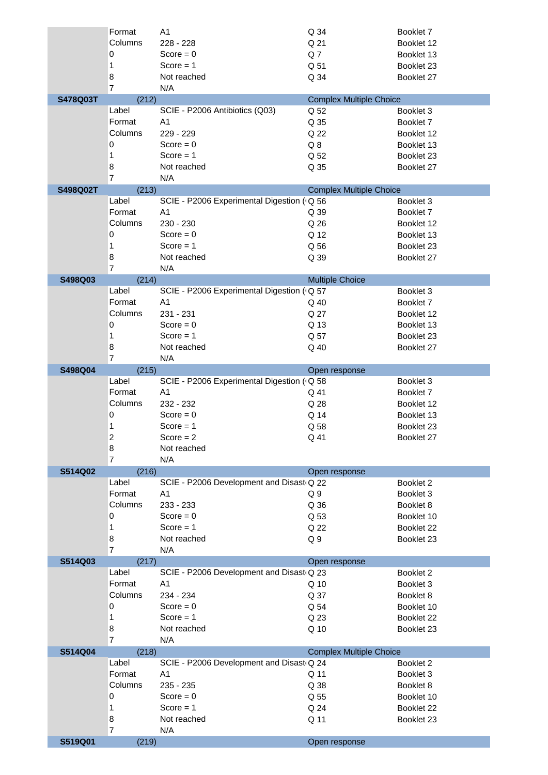|          | Format         | A <sub>1</sub>                             | Q 34                           | Booklet 7                |
|----------|----------------|--------------------------------------------|--------------------------------|--------------------------|
|          | Columns        | 228 - 228                                  | Q 21                           | Booklet 12               |
|          | 0              | Score = $0$                                | Q <sub>7</sub>                 | Booklet 13               |
|          | 1              | $Score = 1$                                | Q 51                           | Booklet 23               |
|          | 8              | Not reached                                | Q 34                           | Booklet 27               |
|          | $\overline{7}$ | N/A                                        |                                |                          |
| S478Q03T | (212)          |                                            | <b>Complex Multiple Choice</b> |                          |
|          | Label          | SCIE - P2006 Antibiotics (Q03)             | Q 52                           | Booklet 3                |
|          | Format         | A <sub>1</sub>                             | Q 35                           | Booklet 7                |
|          | Columns        | 229 - 229                                  | Q 22                           | Booklet 12               |
|          | 0              | Score = $0$                                | $Q_8$                          | Booklet 13               |
|          | 1              | Score $= 1$                                | Q 52                           | Booklet 23               |
|          | 8              | Not reached                                | Q 35                           | Booklet 27               |
|          | $\overline{7}$ | N/A                                        |                                |                          |
| S498Q02T | (213)          |                                            | <b>Complex Multiple Choice</b> |                          |
|          | Label          | SCIE - P2006 Experimental Digestion (G 56  |                                | Booklet 3                |
|          | Format         | A <sub>1</sub>                             | Q 39                           | Booklet 7                |
|          | Columns<br>0   | 230 - 230<br>Score = $0$                   | Q 26<br>Q 12                   | Booklet 12<br>Booklet 13 |
|          | 1              | Score $= 1$                                | Q 56                           | Booklet 23               |
|          | 8              | Not reached                                | Q 39                           | Booklet 27               |
|          | 7              | N/A                                        |                                |                          |
| S498Q03  | (214)          |                                            | <b>Multiple Choice</b>         |                          |
|          | Label          | SCIE - P2006 Experimental Digestion (+Q 57 |                                | Booklet 3                |
|          | Format         | A <sub>1</sub>                             | Q 40                           | Booklet 7                |
|          | Columns        | 231 - 231                                  | Q 27                           | Booklet 12               |
|          | 0              | Score = $0$                                | Q 13                           | Booklet 13               |
|          | 1              | $Score = 1$                                | Q 57                           | Booklet 23               |
|          | 8              | Not reached                                | Q 40                           | Booklet 27               |
|          | $\overline{7}$ | N/A                                        |                                |                          |
| S498Q04  | (215)          |                                            | Open response                  |                          |
|          | Label          | SCIE - P2006 Experimental Digestion ( Q 58 |                                | Booklet 3                |
|          | Format         | A <sub>1</sub>                             | Q 41                           | Booklet 7                |
|          | Columns        | 232 - 232                                  | Q 28                           | Booklet 12               |
|          | 0              | Score = $0$                                | Q 14                           | Booklet 13               |
|          | 1              | Score $= 1$                                | Q 58                           | Booklet 23               |
|          | 2              | $Score = 2$                                | Q 41                           | Booklet 27               |
|          | 8              | Not reached                                |                                |                          |
|          | $\overline{7}$ | N/A                                        |                                |                          |
| S514Q02  | (216)          |                                            | Open response                  |                          |
|          | Label          | SCIE - P2006 Development and Disast Q 22   |                                | Booklet 2                |
|          | Format         | A <sub>1</sub>                             | Q <sub>9</sub>                 | Booklet 3                |
|          | Columns        | 233 - 233<br>$Score = 0$                   | Q 36                           | Booklet 8                |
|          | 0<br>1         | Score $= 1$                                | Q 53<br>Q 22                   | Booklet 10<br>Booklet 22 |
|          | 8              | Not reached                                | Q <sub>9</sub>                 | Booklet 23               |
|          | $\overline{7}$ | N/A                                        |                                |                          |
| S514Q03  | (217)          |                                            | Open response                  |                          |
|          | Label          | SCIE - P2006 Development and Disast Q 23   |                                | Booklet 2                |
|          | Format         | A <sub>1</sub>                             | Q 10                           | Booklet 3                |
|          | Columns        | 234 - 234                                  | Q 37                           | Booklet 8                |
|          | 0              | Score = $0$                                | Q 54                           | Booklet 10               |
|          | 1              | Score $= 1$                                | Q 23                           | Booklet 22               |
|          | 8              | Not reached                                | Q 10                           | Booklet 23               |
|          | $\overline{7}$ | N/A                                        |                                |                          |
| S514Q04  | (218)          |                                            | <b>Complex Multiple Choice</b> |                          |
|          | Label          | SCIE - P2006 Development and Disast Q 24   |                                | Booklet 2                |
|          | Format         | A <sub>1</sub>                             | Q 11                           | Booklet 3                |
|          | Columns        | 235 - 235                                  | Q 38                           | Booklet 8                |
|          | 0              | Score = $0$                                | Q 55                           | Booklet 10               |
|          | 1              | Score $= 1$                                | Q 24                           | Booklet 22               |
|          | 8              | Not reached                                | Q 11                           | Booklet 23               |
|          | $\overline{7}$ | N/A                                        |                                |                          |
| S519Q01  | (219)          |                                            | Open response                  |                          |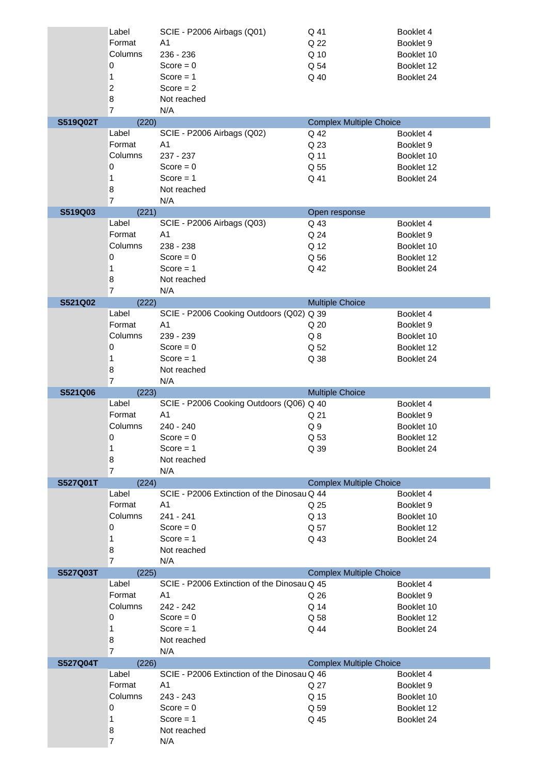|                 | Label               | SCIE - P2006 Airbags (Q01)                  | Q 41                           | Booklet 4  |
|-----------------|---------------------|---------------------------------------------|--------------------------------|------------|
|                 | Format              | A <sub>1</sub>                              | Q 22                           | Booklet 9  |
|                 | Columns             | 236 - 236                                   | Q 10                           | Booklet 10 |
|                 | 0                   | Score = $0$                                 | Q 54                           | Booklet 12 |
|                 | 1                   | Score $= 1$                                 | Q 40                           | Booklet 24 |
|                 | $\overline{c}$      | Score $= 2$                                 |                                |            |
|                 | 8                   | Not reached                                 |                                |            |
|                 | $\overline{7}$      | N/A                                         |                                |            |
| S519Q02T        | (220)               |                                             | <b>Complex Multiple Choice</b> |            |
|                 | Label               | SCIE - P2006 Airbags (Q02)                  | Q 42                           | Booklet 4  |
|                 | Format              | A1                                          | Q 23                           | Booklet 9  |
|                 | Columns             | 237 - 237                                   | Q 11                           | Booklet 10 |
|                 | 0                   | Score = $0$                                 | Q 55                           | Booklet 12 |
|                 | 1                   | $Score = 1$                                 | Q 41                           | Booklet 24 |
|                 | 8                   | Not reached                                 |                                |            |
|                 | $\overline{7}$      | N/A                                         |                                |            |
| S519Q03         | (221)               |                                             | Open response                  |            |
|                 | Label               | SCIE - P2006 Airbags (Q03)                  | Q 43                           | Booklet 4  |
|                 | Format              | A <sub>1</sub>                              | Q 24                           | Booklet 9  |
|                 | Columns             | 238 - 238                                   | Q 12                           | Booklet 10 |
|                 | 0                   | Score = $0$                                 | Q 56                           | Booklet 12 |
|                 | 1                   | Score $= 1$                                 | Q 42                           | Booklet 24 |
|                 | 8                   | Not reached                                 |                                |            |
|                 | $\overline{7}$      | N/A                                         |                                |            |
| S521Q02         | (222)               |                                             | <b>Multiple Choice</b>         |            |
|                 | Label               | SCIE - P2006 Cooking Outdoors (Q02) Q 39    |                                | Booklet 4  |
|                 | Format              | A <sub>1</sub>                              | Q 20                           | Booklet 9  |
|                 | Columns             | 239 - 239                                   | Q8                             | Booklet 10 |
|                 | 0                   | $Score = 0$                                 | Q 52                           | Booklet 12 |
|                 | 1                   | Score $= 1$                                 | Q 38                           | Booklet 24 |
|                 | 8                   | Not reached                                 |                                |            |
|                 | $\overline{7}$      | N/A                                         |                                |            |
|                 | (223)               |                                             |                                |            |
| S521Q06         |                     |                                             | <b>Multiple Choice</b>         |            |
|                 | Label               | SCIE - P2006 Cooking Outdoors (Q06) Q 40    |                                | Booklet 4  |
|                 | Format              | A <sub>1</sub>                              | Q 21                           | Booklet 9  |
|                 | Columns             | 240 - 240                                   | Q <sub>9</sub>                 | Booklet 10 |
|                 | 0                   | $Score = 0$                                 | Q 53                           | Booklet 12 |
|                 | 1                   | $Score = 1$                                 | Q 39                           | Booklet 24 |
|                 | 8                   | Not reached                                 |                                |            |
|                 | $\overline{7}$      | N/A                                         |                                |            |
| S527Q01T        | (224)               |                                             | <b>Complex Multiple Choice</b> |            |
|                 | Label               | SCIE - P2006 Extinction of the Dinosau Q 44 |                                | Booklet 4  |
|                 | Format              | A <sub>1</sub>                              | Q 25                           | Booklet 9  |
|                 | Columns             | 241 - 241                                   | Q 13                           | Booklet 10 |
|                 | 0                   | Score = $0$                                 | Q 57                           | Booklet 12 |
|                 | 1                   | Score $= 1$                                 | Q 43                           | Booklet 24 |
|                 | 8                   | Not reached                                 |                                |            |
|                 | $\overline{7}$      | N/A                                         |                                |            |
| S527Q03T        | (225)               |                                             | <b>Complex Multiple Choice</b> |            |
|                 | Label               | SCIE - P2006 Extinction of the Dinosau Q 45 |                                | Booklet 4  |
|                 | Format              | A <sub>1</sub>                              | Q 26                           | Booklet 9  |
|                 | Columns             | 242 - 242                                   | Q 14                           | Booklet 10 |
|                 | 0                   | $Score = 0$                                 | Q 58                           | Booklet 12 |
|                 | 1                   | Score $= 1$                                 | Q 44                           | Booklet 24 |
|                 | 8                   | Not reached                                 |                                |            |
|                 | $\overline{7}$      | N/A                                         |                                |            |
| <b>S527Q04T</b> | (226)               |                                             | <b>Complex Multiple Choice</b> |            |
|                 | Label               | SCIE - P2006 Extinction of the Dinosau Q 46 |                                | Booklet 4  |
|                 | Format              | A <sub>1</sub>                              | Q 27                           | Booklet 9  |
|                 | Columns             | 243 - 243                                   | Q 15                           | Booklet 10 |
|                 | 0                   | Score = $0$                                 | Q 59                           | Booklet 12 |
|                 | 1                   | Score $= 1$                                 | Q 45                           | Booklet 24 |
|                 | 8<br>$\overline{7}$ | Not reached<br>N/A                          |                                |            |